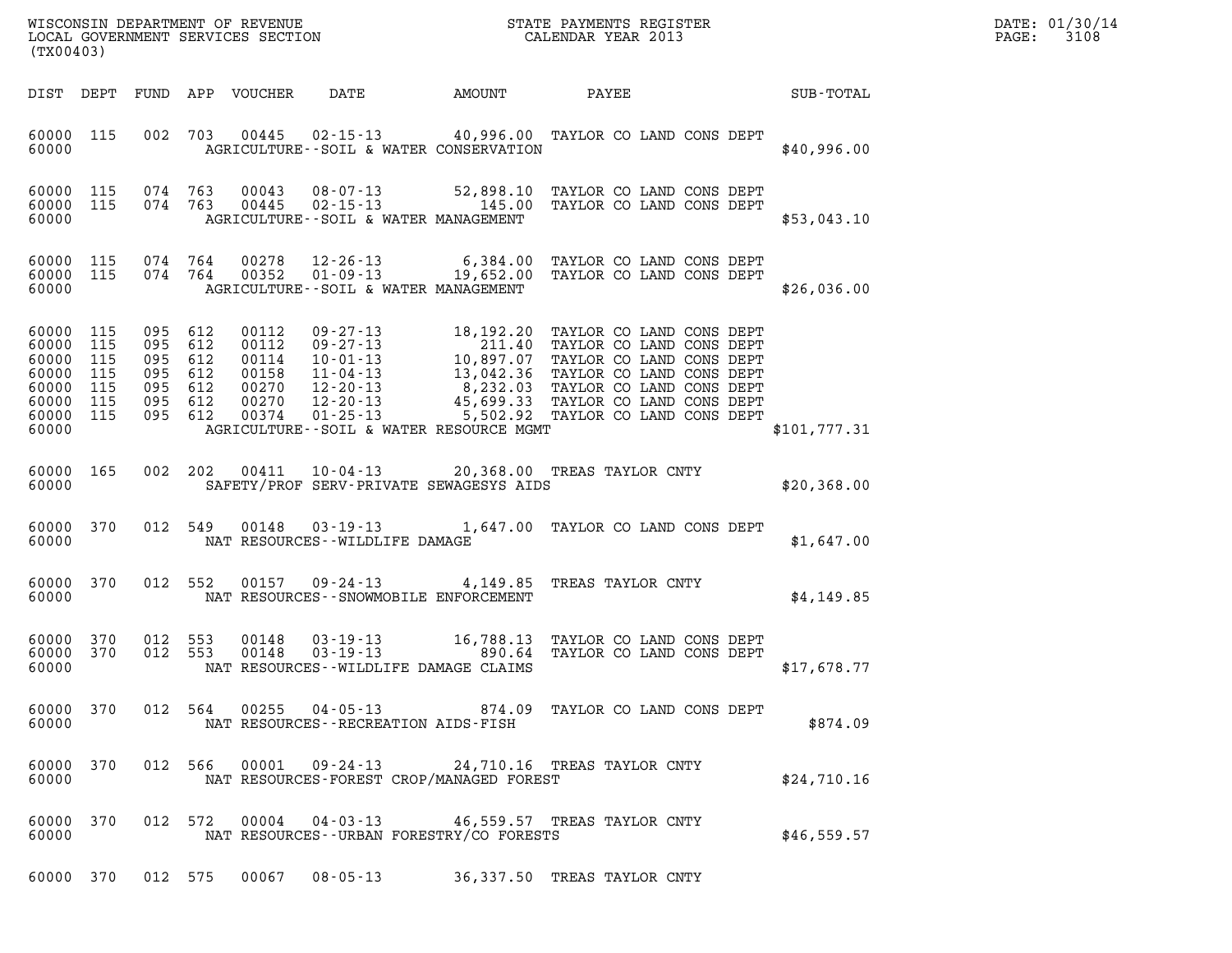| DATE: | 01/30/14 |
|-------|----------|
| PAGE: | 3108     |

| (TX00403)                                                                    |                                 |                                                                   |            |                                                             |                                                                    |        |                                                                                                                                                                                                                                                                                         |              | DATE: 01/30/14<br>$\mathtt{PAGE}$ :<br>3108 |
|------------------------------------------------------------------------------|---------------------------------|-------------------------------------------------------------------|------------|-------------------------------------------------------------|--------------------------------------------------------------------|--------|-----------------------------------------------------------------------------------------------------------------------------------------------------------------------------------------------------------------------------------------------------------------------------------------|--------------|---------------------------------------------|
|                                                                              |                                 |                                                                   |            | DIST DEPT FUND APP VOUCHER                                  | DATE                                                               | AMOUNT | PAYEE                                                                                                                                                                                                                                                                                   | SUB-TOTAL    |                                             |
| 60000 115<br>60000                                                           |                                 |                                                                   |            | 002 703 00445                                               | AGRICULTURE--SOIL & WATER CONSERVATION                             |        | 02-15-13 40,996.00 TAYLOR CO LAND CONS DEPT                                                                                                                                                                                                                                             | \$40,996.00  |                                             |
| 60000 115<br>60000 115<br>60000                                              |                                 | 074 763<br>074 763                                                |            | 00043<br>00445                                              | AGRICULTURE--SOIL & WATER MANAGEMENT                               |        | 08-07-13 52,898.10 TAYLOR CO LAND CONS DEPT<br>02-15-13 145.00 TAYLOR CO LAND CONS DEPT                                                                                                                                                                                                 | \$53,043.10  |                                             |
| 60000 115<br>60000 115<br>60000                                              |                                 | 074 764<br>074 764                                                |            | 00278<br>00352                                              | AGRICULTURE--SOIL & WATER MANAGEMENT                               |        | 12-26-13 6,384.00 TAYLOR CO LAND CONS DEPT<br>01-09-13 19,652.00 TAYLOR CO LAND CONS DEPT                                                                                                                                                                                               | \$26,036.00  |                                             |
| 60000 115<br>60000<br>60000<br>60000<br>60000<br>60000<br>60000 115<br>60000 | 115<br>115<br>115<br>115<br>115 | 095 612<br>095<br>095 612<br>095<br>095 612<br>095 612<br>095 612 | 612<br>612 | 00112<br>00112<br>00114<br>00158<br>00270<br>00270<br>00374 | 01-25-13<br>AGRICULTURE--SOIL & WATER RESOURCE MGMT                |        | 09-27-13<br>09-27-13<br>18,192.20 TAYLOR CO LAND CONS DEPT<br>10-01-13<br>10,897.07 TAYLOR CO LAND CONS DEPT<br>11-04-13<br>13,042.36 TAYLOR CO LAND CONS DEPT<br>12-20-13<br>45,699.33 TAYLOR CO LAND CONS DEPT<br>12-20-13<br>45,699.33 TAYLOR C<br>5,502.92 TAYLOR CO LAND CONS DEPT | \$101,777.31 |                                             |
| 60000 165<br>60000                                                           |                                 |                                                                   | 002 202    |                                                             | SAFETY/PROF SERV-PRIVATE SEWAGESYS AIDS                            |        | 00411  10-04-13  20,368.00 TREAS TAYLOR CNTY                                                                                                                                                                                                                                            | \$20,368.00  |                                             |
| 60000 370<br>60000                                                           |                                 | 012 549                                                           |            | 00148                                                       | NAT RESOURCES - - WILDLIFE DAMAGE                                  |        | 03-19-13 1,647.00 TAYLOR CO LAND CONS DEPT                                                                                                                                                                                                                                              | \$1,647.00   |                                             |
| 60000 370<br>60000                                                           |                                 |                                                                   | 012 552    | 00157                                                       | 09-24-13<br>NAT RESOURCES - - SNOWMOBILE ENFORCEMENT               |        | 4,149.85 TREAS TAYLOR CNTY                                                                                                                                                                                                                                                              | \$4,149.85   |                                             |
| 60000 370<br>60000 370<br>60000                                              |                                 | 012 553<br>012 553                                                |            | 00148<br>00148                                              | NAT RESOURCES--WILDLIFE DAMAGE CLAIMS                              |        | 03-19-13 16,788.13 TAYLOR CO LAND CONS DEPT<br>03-19-13 0890.64 TAYLOR CO LAND CONS DEPT                                                                                                                                                                                                | \$17,678.77  |                                             |
| 60000 370<br>60000                                                           |                                 |                                                                   | 012 564    |                                                             | $00255$ $04 - 05 - 13$<br>NAT RESOURCES - - RECREATION AIDS - FISH |        | 874.09 TAYLOR CO LAND CONS DEPT                                                                                                                                                                                                                                                         | \$874.09     |                                             |
| 60000 370<br>60000                                                           |                                 | 012 566                                                           |            |                                                             | $00001$ 09-24-13<br>NAT RESOURCES-FOREST CROP/MANAGED FOREST       |        | 24,710.16 TREAS TAYLOR CNTY                                                                                                                                                                                                                                                             | \$24,710.16  |                                             |
| 60000 370<br>60000                                                           |                                 | 012 572                                                           |            | 00004                                                       | $04 - 03 - 13$<br>NAT RESOURCES - - URBAN FORESTRY/CO FORESTS      |        | 46,559.57 TREAS TAYLOR CNTY                                                                                                                                                                                                                                                             | \$46,559.57  |                                             |

60000 370 012 575 00067 08-05-13 36,337.50 TREAS TAYLOR CNTY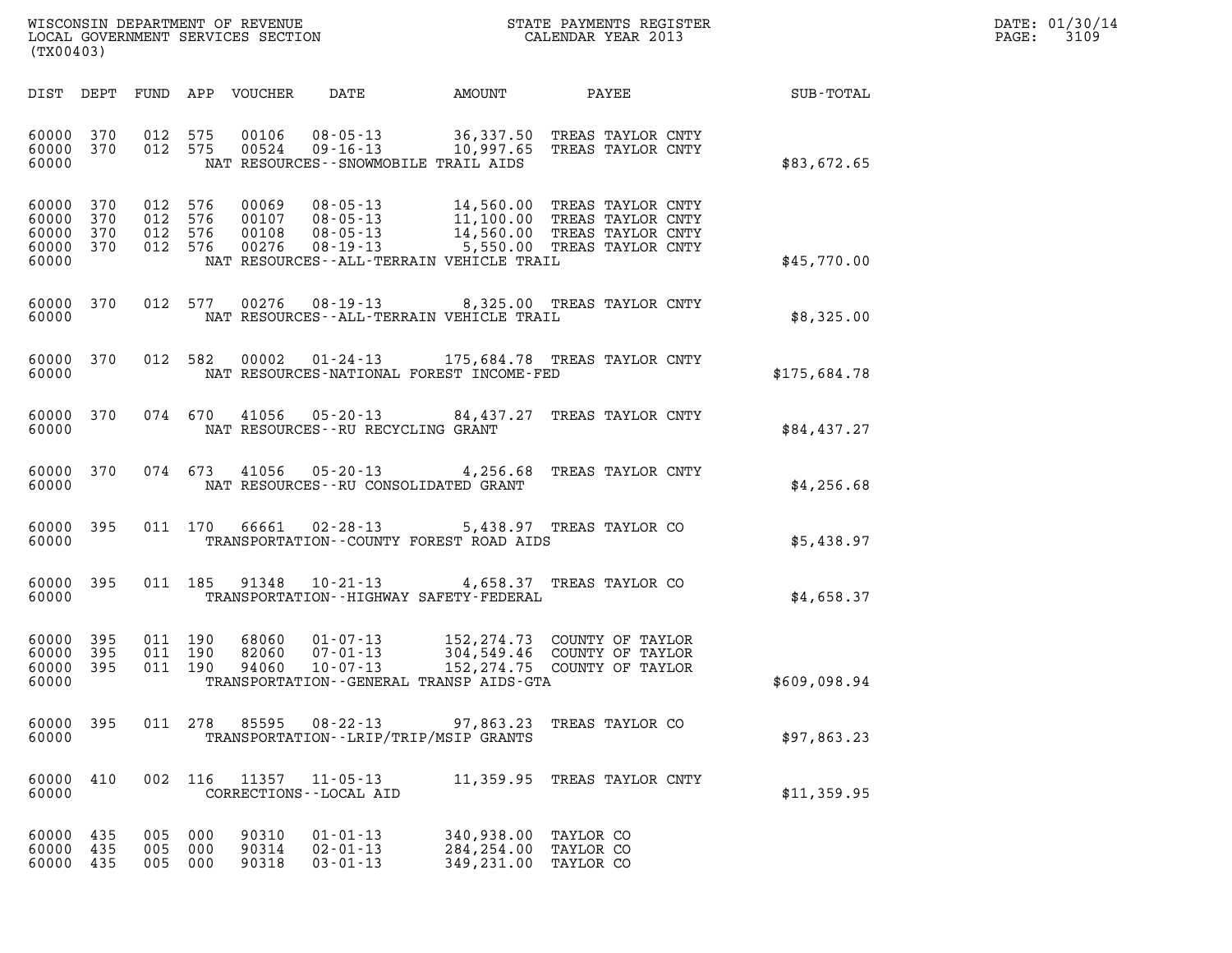| WISCONSIN DEPARTMENT OF REVENUE   | STATE PAYMENTS REGISTER | DATE: 01/30/14 |
|-----------------------------------|-------------------------|----------------|
| LOCAL GOVERNMENT SERVICES SECTION | CALENDAR YEAR 2013      | 3109<br>PAGE:  |

| (TX00403)                                         |                       |                                          |            |                            |                                                    | WISCONSIN DEPARTMENT OF REVENUE<br>LOCAL GOVERNMENT SERVICES SECTION<br>CALENDAR YEAR 2013                                                                                                                                      |                                     |              | DATE: 01/30/14<br>$\mathtt{PAGE:}$<br>3109 |
|---------------------------------------------------|-----------------------|------------------------------------------|------------|----------------------------|----------------------------------------------------|---------------------------------------------------------------------------------------------------------------------------------------------------------------------------------------------------------------------------------|-------------------------------------|--------------|--------------------------------------------|
|                                                   |                       |                                          |            | DIST DEPT FUND APP VOUCHER | DATE                                               | AMOUNT PAYEE                                                                                                                                                                                                                    |                                     | SUB-TOTAL    |                                            |
| 60000 370<br>60000 370<br>60000                   |                       | 012 575<br>012 575                       |            |                            |                                                    | 00106  08-05-13  36,337.50 TREAS TAYLOR CNTY<br>00524  09-16-13  10,997.65 TREAS TAYLOR CNTY<br>NAT RESOURCES - - SNOWMOBILE TRAIL AIDS                                                                                         |                                     | \$83,672.65  |                                            |
| 60000 370<br>60000<br>60000<br>60000 370<br>60000 | 370<br>370            | 012 576<br>012 576<br>012 576<br>012 576 |            |                            |                                                    | 00069 08-05-13 14,560.00 TREAS TAYLOR CNTY<br>00107 08-05-13 11,100.00 TREAS TAYLOR CNTY<br>00108 08-05-13 14,560.00 TREAS TAYLOR CNTY<br>00276 08-19-13 5,550.00 TREAS TAYLOR CNTY<br>NAT RESOURCES--ALL-TERRAIN VEHICLE TRAIL |                                     | \$45,770.00  |                                            |
| 60000                                             | 60000 370             |                                          | 012 577    |                            |                                                    | 00276  08-19-13  8,325.00  TREAS TAYLOR CNTY<br>NAT RESOURCES - - ALL-TERRAIN VEHICLE TRAIL                                                                                                                                     |                                     | \$8,325.00   |                                            |
| 60000                                             | 60000 370             |                                          | 012 582    | 00002                      |                                                    | 01-24-13 175,684.78 TREAS TAYLOR CNTY<br>NAT RESOURCES-NATIONAL FOREST INCOME-FED                                                                                                                                               |                                     | \$175,684.78 |                                            |
| 60000                                             | 60000 370             |                                          | 074 670    |                            | NAT RESOURCES--RU RECYCLING GRANT                  | 41056  05-20-13  84,437.27  TREAS TAYLOR CNTY                                                                                                                                                                                   |                                     | \$84,437.27  |                                            |
| 60000                                             | 60000 370             |                                          |            |                            |                                                    | 074 673 41056 05-20-13 4,256.68 TREAS TAYLOR CNTY<br>NAT RESOURCES--RU CONSOLIDATED GRANT                                                                                                                                       |                                     | \$4,256.68   |                                            |
| 60000 395<br>60000                                |                       |                                          | 011 170    | 66661                      | $02 - 28 - 13$                                     | TRANSPORTATION--COUNTY FOREST ROAD AIDS                                                                                                                                                                                         | 5,438.97 TREAS TAYLOR CO            | \$5,438.97   |                                            |
| 60000 395<br>60000                                |                       |                                          | 011 185    |                            | 91348 10-21-13                                     | TRANSPORTATION - - HIGHWAY SAFETY - FEDERAL                                                                                                                                                                                     | 4,658.37 TREAS TAYLOR CO            | \$4,658.37   |                                            |
| 60000<br>60000<br>60000<br>60000                  | - 395<br>395<br>- 395 | 011 190<br>011 190<br>011 190            |            |                            |                                                    | 68060  01-07-13  152,274.73  COUNTY OF TAYLOR<br>82060  07-01-13  304,549.46  COUNTY OF TAYLOR<br>94060  10-07-13  152,274.75  COUNTY OF TAYLOR<br>TRANSPORTATION--GENERAL TRANSP AIDS-GTA                                      |                                     | \$609,098.94 |                                            |
| 60000<br>60000                                    | 395                   | 011 278                                  |            | 85595                      | 08-22-13                                           | 97,863.23<br>TRANSPORTATION - - LRIP/TRIP/MSIP GRANTS                                                                                                                                                                           | TREAS TAYLOR CO                     | \$97,863.23  |                                            |
| 60000<br>60000                                    | 410                   |                                          | 002 116    | 11357                      | $11 - 05 - 13$<br>CORRECTIONS - - LOCAL AID        | 11,359.95                                                                                                                                                                                                                       | TREAS TAYLOR CNTY                   | \$11,359.95  |                                            |
| 60000<br>60000<br>60000                           | 435<br>435<br>435     | 005<br>005<br>005 000                    | 000<br>000 | 90310<br>90314<br>90318    | $01 - 01 - 13$<br>$02 - 01 - 13$<br>$03 - 01 - 13$ | 340,938.00<br>284,254.00<br>349,231.00                                                                                                                                                                                          | TAYLOR CO<br>TAYLOR CO<br>TAYLOR CO |              |                                            |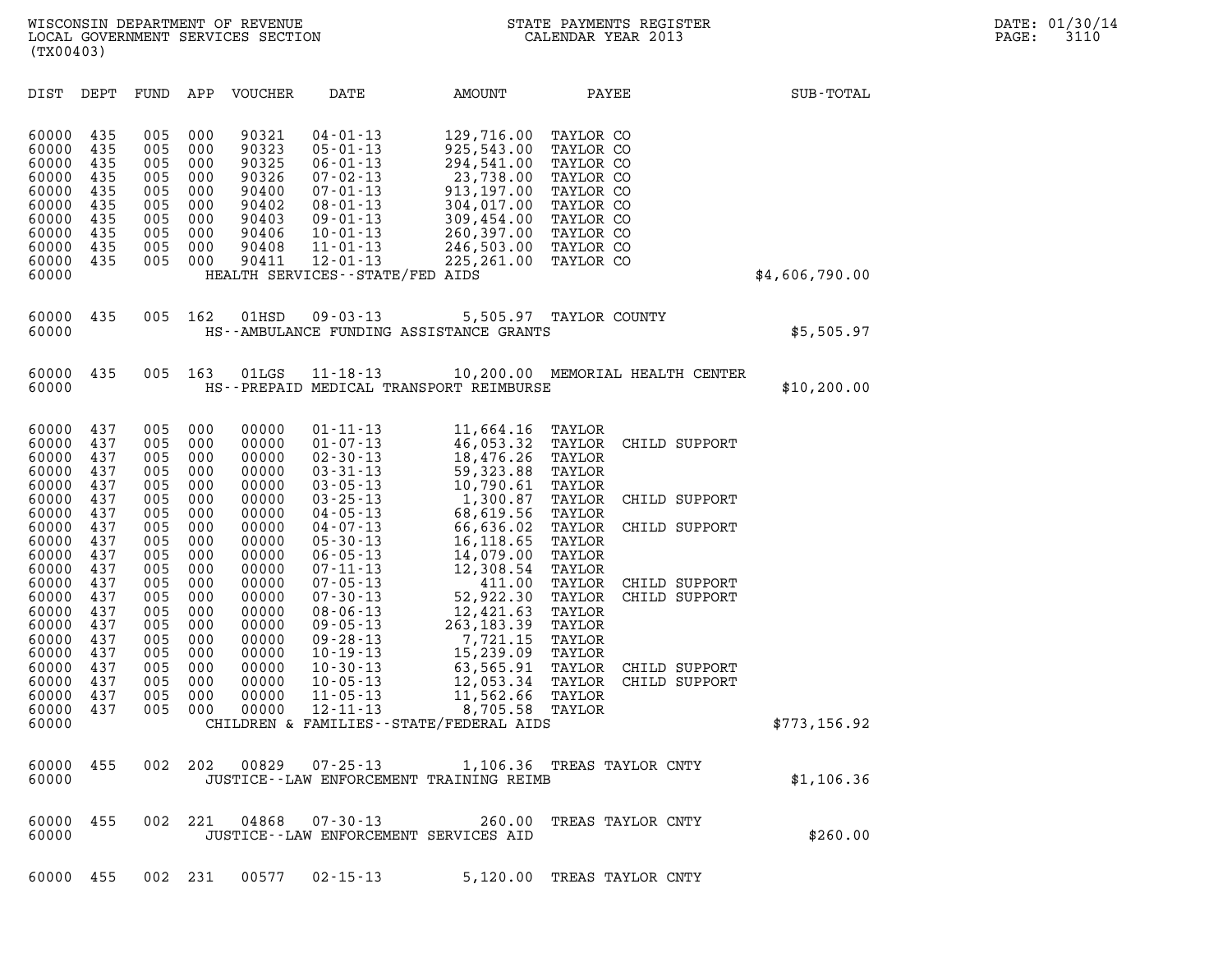| (TX00403)                                                                                                                                                                                          |                                                                                                                                                 |                                                                                                                                                 |                                                                                                                                                 |                                                                                                                                                                                           |                                                                                                                                                                                                                                                                                                                                                                                                                                      |                                                                                                                                                                                                                                                                           |                                                                                                                                                                                                                                                                                                                                       |                |  |
|----------------------------------------------------------------------------------------------------------------------------------------------------------------------------------------------------|-------------------------------------------------------------------------------------------------------------------------------------------------|-------------------------------------------------------------------------------------------------------------------------------------------------|-------------------------------------------------------------------------------------------------------------------------------------------------|-------------------------------------------------------------------------------------------------------------------------------------------------------------------------------------------|--------------------------------------------------------------------------------------------------------------------------------------------------------------------------------------------------------------------------------------------------------------------------------------------------------------------------------------------------------------------------------------------------------------------------------------|---------------------------------------------------------------------------------------------------------------------------------------------------------------------------------------------------------------------------------------------------------------------------|---------------------------------------------------------------------------------------------------------------------------------------------------------------------------------------------------------------------------------------------------------------------------------------------------------------------------------------|----------------|--|
| DIST                                                                                                                                                                                               | DEPT                                                                                                                                            | FUND                                                                                                                                            | APP                                                                                                                                             | VOUCHER                                                                                                                                                                                   | DATE                                                                                                                                                                                                                                                                                                                                                                                                                                 | AMOUNT                                                                                                                                                                                                                                                                    | PAYEE                                                                                                                                                                                                                                                                                                                                 | SUB-TOTAL      |  |
| 60000<br>60000<br>60000<br>60000<br>60000<br>60000<br>60000<br>60000<br>60000<br>60000<br>60000                                                                                                    | 435<br>435<br>435<br>435<br>435<br>435<br>435<br>435<br>435<br>435                                                                              | 005<br>005<br>005<br>005<br>005<br>005<br>005<br>005<br>005<br>005                                                                              | 000<br>000<br>000<br>000<br>000<br>000<br>000<br>000<br>000<br>000                                                                              | 90321<br>90323<br>90325<br>90326<br>90400<br>90402<br>90403<br>90406<br>90408<br>90411                                                                                                    | $04 - 01 - 13$<br>$05 - 01 - 13$<br>$06 - 01 - 13$<br>$07 - 02 - 13$<br>$07 - 01 - 13$<br>$08 - 01 - 13$<br>$09 - 01 - 13$<br>$10 - 01 - 13$<br>$11 - 01 - 13$<br>$12 - 01 - 13$<br>HEALTH SERVICES - - STATE/FED AIDS                                                                                                                                                                                                               | 129,716.00<br>925,543.00<br>294,541.00<br>23,738.00<br>913,197.00<br>304,017.00<br>309,454.00<br>260,397.00<br>246,503.00<br>225,261.00                                                                                                                                   | TAYLOR CO<br>TAYLOR CO<br>TAYLOR CO<br>TAYLOR CO<br>TAYLOR CO<br>TAYLOR CO<br>TAYLOR CO<br>TAYLOR CO<br>TAYLOR CO<br>TAYLOR CO                                                                                                                                                                                                        | \$4,606,790.00 |  |
| 60000<br>60000                                                                                                                                                                                     | 435                                                                                                                                             | 005                                                                                                                                             | 162                                                                                                                                             | 01HSD                                                                                                                                                                                     | $09 - 03 - 13$<br>HS--AMBULANCE FUNDING ASSISTANCE GRANTS                                                                                                                                                                                                                                                                                                                                                                            | 5,505.97                                                                                                                                                                                                                                                                  | TAYLOR COUNTY                                                                                                                                                                                                                                                                                                                         | \$5,505.97     |  |
| 60000<br>60000                                                                                                                                                                                     | 435                                                                                                                                             | 005                                                                                                                                             | 163                                                                                                                                             | 01LGS                                                                                                                                                                                     | $11 - 18 - 13$<br>HS--PREPAID MEDICAL TRANSPORT REIMBURSE                                                                                                                                                                                                                                                                                                                                                                            |                                                                                                                                                                                                                                                                           | 10,200.00 MEMORIAL HEALTH CENTER                                                                                                                                                                                                                                                                                                      | \$10, 200.00   |  |
| 60000<br>60000<br>60000<br>60000<br>60000<br>60000<br>60000<br>60000<br>60000<br>60000<br>60000<br>60000<br>60000<br>60000<br>60000<br>60000<br>60000<br>60000<br>60000<br>60000<br>60000<br>60000 | 437<br>437<br>437<br>437<br>437<br>437<br>437<br>437<br>437<br>437<br>437<br>437<br>437<br>437<br>437<br>437<br>437<br>437<br>437<br>437<br>437 | 005<br>005<br>005<br>005<br>005<br>005<br>005<br>005<br>005<br>005<br>005<br>005<br>005<br>005<br>005<br>005<br>005<br>005<br>005<br>005<br>005 | 000<br>000<br>000<br>000<br>000<br>000<br>000<br>000<br>000<br>000<br>000<br>000<br>000<br>000<br>000<br>000<br>000<br>000<br>000<br>000<br>000 | 00000<br>00000<br>00000<br>00000<br>00000<br>00000<br>00000<br>00000<br>00000<br>00000<br>00000<br>00000<br>00000<br>00000<br>00000<br>00000<br>00000<br>00000<br>00000<br>00000<br>00000 | $01 - 11 - 13$<br>$01 - 07 - 13$<br>$02 - 30 - 13$<br>$03 - 31 - 13$<br>$03 - 05 - 13$<br>$03 - 25 - 13$<br>$04 - 05 - 13$<br>$04 - 07 - 13$<br>$05 - 30 - 13$<br>$06 - 05 - 13$<br>$07 - 11 - 13$<br>$07 - 05 - 13$<br>$07 - 30 - 13$<br>$08 - 06 - 13$<br>$09 - 05 - 13$<br>$09 - 28 - 13$<br>$10 - 19 - 13$<br>$10 - 30 - 13$<br>$10 - 05 - 13$<br>$11 - 05 - 13$<br>$12 - 11 - 13$<br>CHILDREN & FAMILIES - - STATE/FEDERAL AIDS | 11,664.16<br>46,053.32<br>18,476.26<br>59,323.88<br>10,790.61<br>1,300.87<br>68,619.56<br>66,636.02<br>16,118.65<br>14,079.00<br>12,308.54<br>411.00<br>52,922.30<br>12,421.63<br>263, 183.39<br>7,721.15<br>15,239.09<br>63,565.91<br>12,053.34<br>11,562.66<br>8,705.58 | TAYLOR<br>TAYLOR<br>CHILD SUPPORT<br>TAYLOR<br>TAYLOR<br>TAYLOR<br>TAYLOR<br>CHILD SUPPORT<br>TAYLOR<br>TAYLOR<br>CHILD SUPPORT<br>TAYLOR<br>TAYLOR<br>TAYLOR<br>TAYLOR<br>CHILD SUPPORT<br>TAYLOR<br>CHILD SUPPORT<br>TAYLOR<br>TAYLOR<br>TAYLOR<br>TAYLOR<br>TAYLOR<br>CHILD SUPPORT<br>TAYLOR<br>CHILD SUPPORT<br>TAYLOR<br>TAYLOR | \$773,156.92   |  |
| 60000<br>60000                                                                                                                                                                                     | 455                                                                                                                                             | 002                                                                                                                                             | 202                                                                                                                                             | 00829                                                                                                                                                                                     | $07 - 25 - 13$<br>JUSTICE -- LAW ENFORCEMENT TRAINING REIMB                                                                                                                                                                                                                                                                                                                                                                          |                                                                                                                                                                                                                                                                           | 1,106.36 TREAS TAYLOR CNTY                                                                                                                                                                                                                                                                                                            | \$1,106.36     |  |
| 60000<br>60000                                                                                                                                                                                     | 455                                                                                                                                             | 002                                                                                                                                             | 221                                                                                                                                             | 04868                                                                                                                                                                                     | $07 - 30 - 13$<br>JUSTICE -- LAW ENFORCEMENT SERVICES AID                                                                                                                                                                                                                                                                                                                                                                            | 260.00                                                                                                                                                                                                                                                                    | TREAS TAYLOR CNTY                                                                                                                                                                                                                                                                                                                     | \$260.00       |  |
| 60000 455                                                                                                                                                                                          |                                                                                                                                                 |                                                                                                                                                 | 002 231                                                                                                                                         |                                                                                                                                                                                           | 00577 02-15-13                                                                                                                                                                                                                                                                                                                                                                                                                       |                                                                                                                                                                                                                                                                           | 5,120.00 TREAS TAYLOR CNTY                                                                                                                                                                                                                                                                                                            |                |  |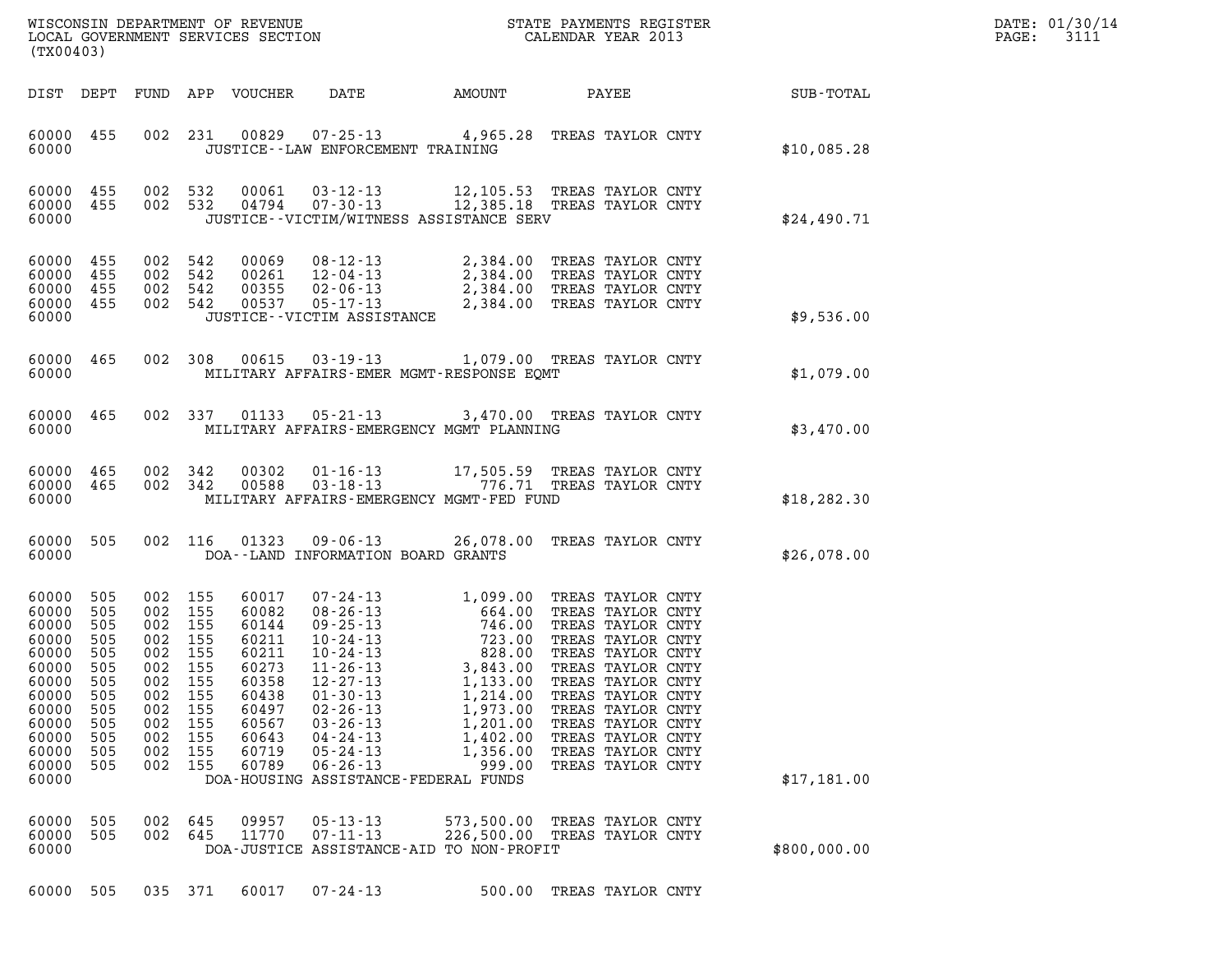| DATE: | 01/30/14 |
|-------|----------|
| PAGE: | 3111     |

|                                                                                                                            |                                                                                         |                                                                                                             |                                                      |                                                                                                                   |                                                                                                                                                                                      |                                                                                                                                                                                                                                                                                                                                                        |                                                                                                                                                                                                                                                                               |              | DATE: 01/30/14 |
|----------------------------------------------------------------------------------------------------------------------------|-----------------------------------------------------------------------------------------|-------------------------------------------------------------------------------------------------------------|------------------------------------------------------|-------------------------------------------------------------------------------------------------------------------|--------------------------------------------------------------------------------------------------------------------------------------------------------------------------------------|--------------------------------------------------------------------------------------------------------------------------------------------------------------------------------------------------------------------------------------------------------------------------------------------------------------------------------------------------------|-------------------------------------------------------------------------------------------------------------------------------------------------------------------------------------------------------------------------------------------------------------------------------|--------------|----------------|
| (TX00403)                                                                                                                  |                                                                                         |                                                                                                             |                                                      |                                                                                                                   |                                                                                                                                                                                      |                                                                                                                                                                                                                                                                                                                                                        |                                                                                                                                                                                                                                                                               |              | PAGE:<br>3111  |
| DIST DEPT                                                                                                                  |                                                                                         |                                                                                                             |                                                      | FUND APP VOUCHER                                                                                                  | DATE                                                                                                                                                                                 | AMOUNT                                                                                                                                                                                                                                                                                                                                                 | PAYEE                                                                                                                                                                                                                                                                         | SUB-TOTAL    |                |
| 60000 455<br>60000                                                                                                         |                                                                                         |                                                                                                             | 002 231                                              |                                                                                                                   | JUSTICE - - LAW ENFORCEMENT TRAINING                                                                                                                                                 | 00829  07-25-13  4,965.28  TREAS TAYLOR CNTY                                                                                                                                                                                                                                                                                                           |                                                                                                                                                                                                                                                                               | \$10,085.28  |                |
| 60000 455<br>60000 455<br>60000                                                                                            |                                                                                         | 002 532<br>002 532                                                                                          |                                                      |                                                                                                                   |                                                                                                                                                                                      | $\begin{array}{cccc} 0\,0\,0\,6\,1 & 0\,3\cdot12\cdot13 & 12\,, 1\,0\,5\,.53 & \textrm{TREAS TAYLOR CNTY} \\ 0\,4\,7\,9\,4 & 0\,7\cdot3\,0\cdot13 & 12\,, 3\,8\,5\,.18 & \textrm{TREAS TAYLOR CNTY} \end{array}$<br>JUSTICE - - VICTIM/WITNESS ASSISTANCE SERV                                                                                         |                                                                                                                                                                                                                                                                               | \$24,490.71  |                |
| 60000 455<br>60000 455<br>60000<br>60000 455<br>60000                                                                      | 455                                                                                     | 002<br>002 542<br>002 542<br>002 542                                                                        | 542                                                  | 00069<br>00261<br>00355<br>00537                                                                                  | JUSTICE - - VICTIM ASSISTANCE                                                                                                                                                        | 08-12-13 2,384.00 TREAS TAYLOR CNTY<br>12-04-13 2,384.00 TREAS TAYLOR CNTY<br>02-06-13 2,384.00 TREAS TAYLOR CNTY<br>05-17-13 2,384.00 TREAS TAYLOR CNTY                                                                                                                                                                                               |                                                                                                                                                                                                                                                                               | \$9,536.00   |                |
| 60000 465<br>60000                                                                                                         |                                                                                         |                                                                                                             | 002 308                                              |                                                                                                                   |                                                                                                                                                                                      | 00615 03-19-13 1,079.00 TREAS TAYLOR CNTY<br>MILITARY AFFAIRS-EMER MGMT-RESPONSE EQMT                                                                                                                                                                                                                                                                  |                                                                                                                                                                                                                                                                               | \$1,079.00   |                |
| 60000 465<br>60000                                                                                                         |                                                                                         |                                                                                                             | 002 337                                              |                                                                                                                   |                                                                                                                                                                                      | 01133  05-21-13  3,470.00 TREAS TAYLOR CNTY<br>MILITARY AFFAIRS-EMERGENCY MGMT PLANNING                                                                                                                                                                                                                                                                |                                                                                                                                                                                                                                                                               | \$3,470.00   |                |
| 60000 465<br>60000 465<br>60000                                                                                            |                                                                                         | 002 342<br>002 342                                                                                          |                                                      | 00302<br>00588                                                                                                    |                                                                                                                                                                                      | 01-16-13 17,505.59 TREAS TAYLOR CNTY<br>03-18-13 776.71 TREAS TAYLOR CNTY<br>MILITARY AFFAIRS-EMERGENCY MGMT-FED FUND                                                                                                                                                                                                                                  |                                                                                                                                                                                                                                                                               | \$18, 282.30 |                |
| 60000<br>60000                                                                                                             | 505                                                                                     |                                                                                                             | 002 116                                              | 01323                                                                                                             | $09 - 06 - 13$<br>DOA--LAND INFORMATION BOARD GRANTS                                                                                                                                 | 26,078.00                                                                                                                                                                                                                                                                                                                                              | TREAS TAYLOR CNTY                                                                                                                                                                                                                                                             | \$26,078.00  |                |
| 60000<br>60000<br>60000<br>60000<br>60000<br>60000<br>60000<br>60000<br>60000<br>60000<br>60000<br>60000<br>60000<br>60000 | 505<br>505<br>505<br>505<br>505<br>505<br>505<br>505<br>505<br>505<br>505<br>505<br>505 | 002<br>002 155<br>002 155<br>002 155<br>002 155<br>002 155<br>002<br>002<br>002<br>002<br>002<br>002<br>002 | 155<br>155<br>155<br>155<br>155<br>155<br>155<br>155 | 60017<br>60082<br>60144<br>60211<br>60211<br>60273<br>60358<br>60438<br>60497<br>60567<br>60643<br>60719<br>60789 | $11 - 26 - 13$<br>$12 - 27 - 13$<br>$01 - 30 - 13$<br>$02 - 26 - 13$<br>$03 - 26 - 13$<br>$04 - 24 - 13$<br>$05 - 24 - 13$<br>$06 - 26 - 13$<br>DOA-HOUSING ASSISTANCE-FEDERAL FUNDS | $07 - 24 - 13$<br>$08 - 26 - 13$<br>$10 - 24 - 13$<br>$10 - 24 - 13$<br>$10 - 24 - 13$<br>$10 - 24 - 13$<br>$10 - 24 - 13$<br>$10 - 24 - 13$<br>$10 - 24 - 13$<br>$10 - 24 - 13$<br>$10 - 24 - 13$<br>$10 - 24 - 13$<br>$10 - 24 - 13$<br>$10 - 24 - 13$<br>3,843.00<br>1,133.00<br>1,214.00<br>1,973.00<br>1,201.00<br>1,402.00<br>1,356.00<br>999.00 | TREAS TAYLOR CNTY<br>TREAS TAYLOR CNTY<br>TREAS TAYLOR CNTY<br>TREAS TAYLOR CNTY<br>TREAS TAYLOR CNTY<br>TREAS TAYLOR CNTY<br>TREAS TAYLOR CNTY<br>TREAS TAYLOR CNTY<br>TREAS TAYLOR CNTY<br>TREAS TAYLOR CNTY<br>TREAS TAYLOR CNTY<br>TREAS TAYLOR CNTY<br>TREAS TAYLOR CNTY | \$17,181.00  |                |
| 60000<br>60000<br>60000                                                                                                    | 505<br>505                                                                              | 002<br>002                                                                                                  | 645<br>645                                           | 09957<br>11770                                                                                                    | $05 - 13 - 13$<br>$07 - 11 - 13$                                                                                                                                                     | 573,500.00<br>226,500.00<br>DOA-JUSTICE ASSISTANCE-AID TO NON-PROFIT                                                                                                                                                                                                                                                                                   | TREAS TAYLOR CNTY<br>TREAS TAYLOR CNTY                                                                                                                                                                                                                                        | \$800,000.00 |                |
| 60000                                                                                                                      | 505                                                                                     |                                                                                                             | 035 371                                              | 60017                                                                                                             | $07 - 24 - 13$                                                                                                                                                                       | 500.00                                                                                                                                                                                                                                                                                                                                                 | TREAS TAYLOR CNTY                                                                                                                                                                                                                                                             |              |                |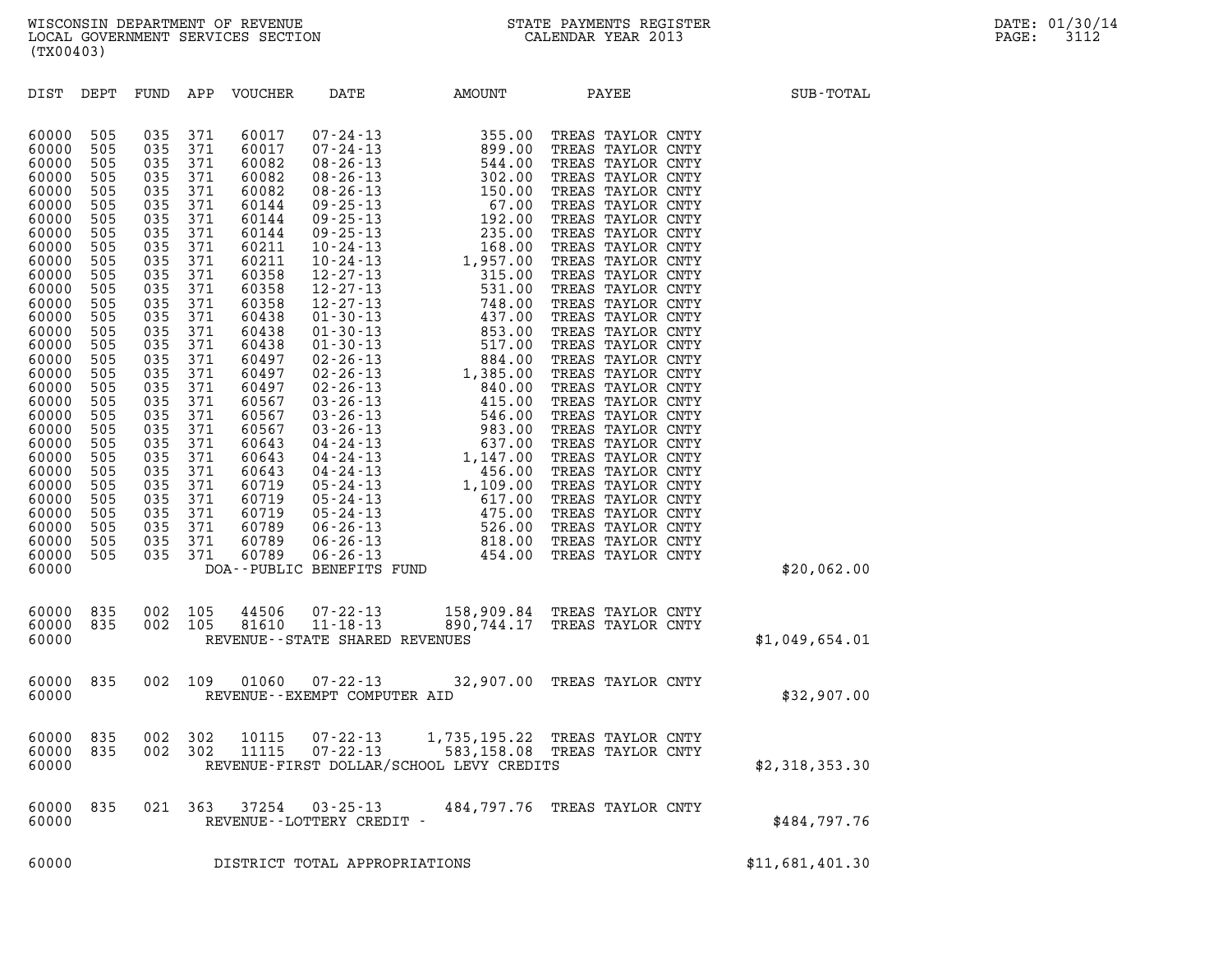| (TX00403)                                                                                                                                                                                                                                                                                    |                                                                                                                                                                                                                       |                                                                                                                                                                                                                       |                                                                                                                                                                                                                       |                                                                                                                                                                                                                                                                                     |                                                                 |                                          |                                                                |                 |
|----------------------------------------------------------------------------------------------------------------------------------------------------------------------------------------------------------------------------------------------------------------------------------------------|-----------------------------------------------------------------------------------------------------------------------------------------------------------------------------------------------------------------------|-----------------------------------------------------------------------------------------------------------------------------------------------------------------------------------------------------------------------|-----------------------------------------------------------------------------------------------------------------------------------------------------------------------------------------------------------------------|-------------------------------------------------------------------------------------------------------------------------------------------------------------------------------------------------------------------------------------------------------------------------------------|-----------------------------------------------------------------|------------------------------------------|----------------------------------------------------------------|-----------------|
| DIST                                                                                                                                                                                                                                                                                         | DEPT                                                                                                                                                                                                                  | FUND                                                                                                                                                                                                                  | APP                                                                                                                                                                                                                   | VOUCHER                                                                                                                                                                                                                                                                             | DATE                                                            | AMOUNT                                   | PAYEE                                                          | SUB-TOTAL       |
| 60000<br>60000<br>60000<br>60000<br>60000<br>60000<br>60000<br>60000<br>60000<br>60000<br>60000<br>60000<br>60000<br>60000<br>60000<br>60000<br>60000<br>60000<br>60000<br>60000<br>60000<br>60000<br>60000<br>60000<br>60000<br>60000<br>60000<br>60000<br>60000<br>60000<br>60000<br>60000 | 505<br>505<br>505<br>505<br>505<br>505<br>505<br>505<br>505<br>505<br>505<br>505<br>505<br>505<br>505<br>505<br>505<br>505<br>505<br>505<br>505<br>505<br>505<br>505<br>505<br>505<br>505<br>505<br>505<br>505<br>505 | 035<br>035<br>035<br>035<br>035<br>035<br>035<br>035<br>035<br>035<br>035<br>035<br>035<br>035<br>035<br>035<br>035<br>035<br>035<br>035<br>035<br>035<br>035<br>035<br>035<br>035<br>035<br>035<br>035<br>035<br>035 | 371<br>371<br>371<br>371<br>371<br>371<br>371<br>371<br>371<br>371<br>371<br>371<br>371<br>371<br>371<br>371<br>371<br>371<br>371<br>371<br>371<br>371<br>371<br>371<br>371<br>371<br>371<br>371<br>371<br>371<br>371 | 60017<br>60017<br>60082<br>60082<br>60082<br>60144<br>60144<br>60144<br>60211<br>60211<br>60358<br>60358<br>60358<br>60438<br>60438<br>60438<br>60497<br>60497<br>60497<br>60567<br>60567<br>60567<br>60643<br>60643<br>60643<br>60719<br>60719<br>60719<br>60789<br>60789<br>60789 | DOA--PUBLIC BENEFITS FUND                                       |                                          |                                                                | \$20,062.00     |
| 60000<br>60000<br>60000                                                                                                                                                                                                                                                                      | 835<br>835                                                                                                                                                                                                            | 002<br>002                                                                                                                                                                                                            | 105<br>105                                                                                                                                                                                                            | 81610                                                                                                                                                                                                                                                                               | 44506 07-22-13<br>11-18-13<br>REVENUE - - STATE SHARED REVENUES |                                          | 158,909.84 TREAS TAYLOR CNTY<br>890,744.17 TREAS TAYLOR CNTY   | \$1,049,654.01  |
| 60000<br>60000                                                                                                                                                                                                                                                                               | 835                                                                                                                                                                                                                   | 002                                                                                                                                                                                                                   | 109                                                                                                                                                                                                                   | 01060                                                                                                                                                                                                                                                                               | $07 - 22 - 13$<br>REVENUE - - EXEMPT COMPUTER AID               |                                          | 32,907.00 TREAS TAYLOR CNTY                                    | \$32,907.00     |
| 60000<br>60000<br>60000                                                                                                                                                                                                                                                                      | 835<br>835                                                                                                                                                                                                            | 002                                                                                                                                                                                                                   | 302<br>002 302                                                                                                                                                                                                        | 10115<br>11115                                                                                                                                                                                                                                                                      | $07 - 22 - 13$<br>07-22-13                                      | REVENUE-FIRST DOLLAR/SCHOOL LEVY CREDITS | 1,735,195.22 TREAS TAYLOR CNTY<br>583,158.08 TREAS TAYLOR CNTY | \$2,318,353.30  |
| 60000<br>60000                                                                                                                                                                                                                                                                               | 835                                                                                                                                                                                                                   |                                                                                                                                                                                                                       | 021 363                                                                                                                                                                                                               | 37254                                                                                                                                                                                                                                                                               | 03-25-13<br>REVENUE--LOTTERY CREDIT -                           |                                          | 484,797.76 TREAS TAYLOR CNTY                                   | \$484,797.76    |
| 60000                                                                                                                                                                                                                                                                                        |                                                                                                                                                                                                                       |                                                                                                                                                                                                                       |                                                                                                                                                                                                                       |                                                                                                                                                                                                                                                                                     | DISTRICT TOTAL APPROPRIATIONS                                   |                                          |                                                                | \$11,681,401.30 |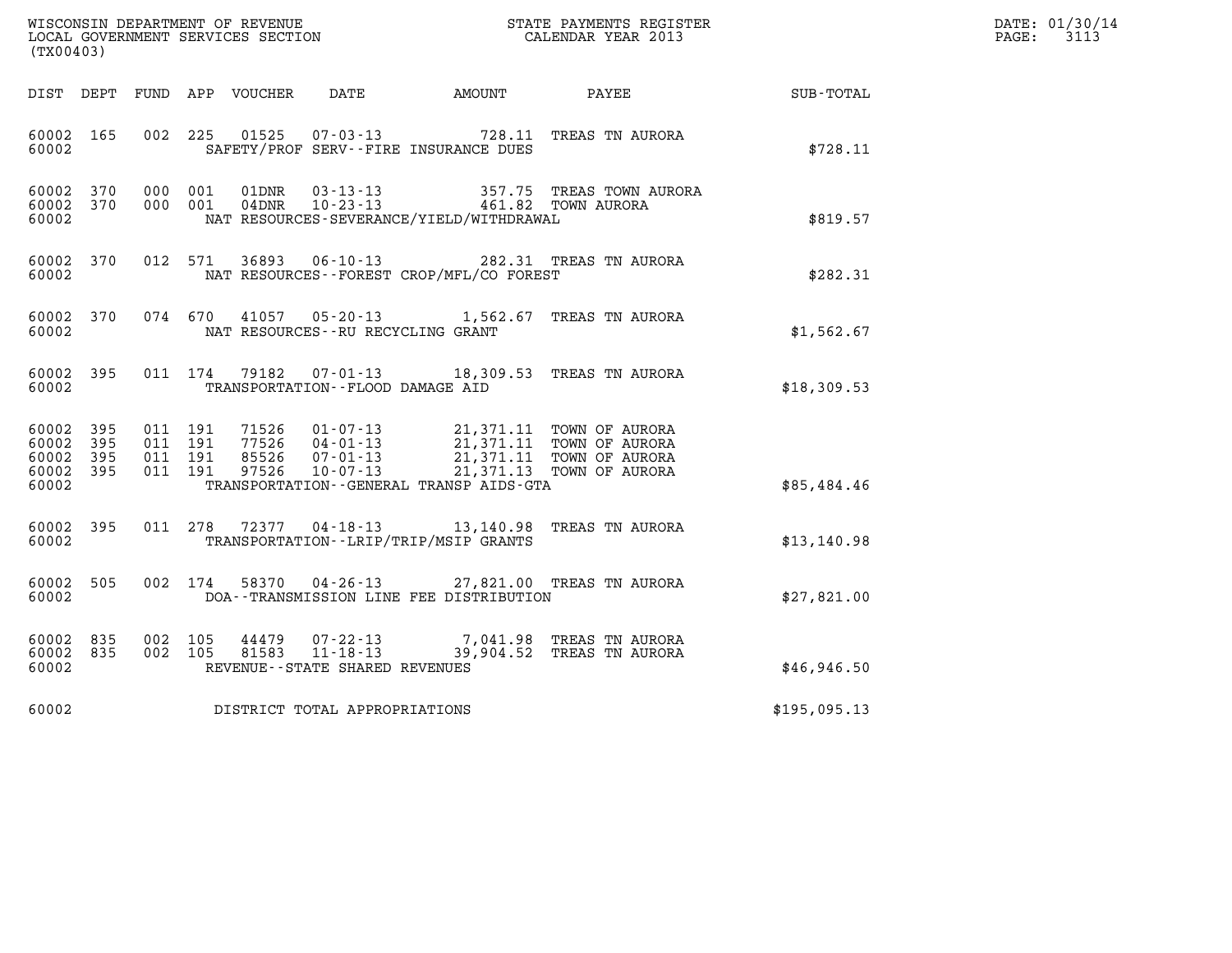| DATE: | 01/30/14 |
|-------|----------|
| PAGE: | 3113     |

| (TX00403)                                                       |                                          | %WISCONSIN DEPARTMENT OF REVENUE $$\tt STATE~PAYMENTS~REGISTER~LOCALSONSTR~QOVERNMENT~SERVICES~SECTION~CALENDAR~YEAR~2013$                                                                                                                                                                            |                                                           |              | DATE: 01/30/14<br>$\mathtt{PAGE:}$<br>3113 |
|-----------------------------------------------------------------|------------------------------------------|-------------------------------------------------------------------------------------------------------------------------------------------------------------------------------------------------------------------------------------------------------------------------------------------------------|-----------------------------------------------------------|--------------|--------------------------------------------|
| DIST DEPT                                                       |                                          | FUND APP VOUCHER DATE AMOUNT                                                                                                                                                                                                                                                                          | <b>PAYEE</b>                                              | SUB-TOTAL    |                                            |
| 60002 165<br>60002                                              |                                          | 002 225 01525<br>SAFETY/PROF SERV--FIRE INSURANCE DUES                                                                                                                                                                                                                                                | 07-03-13 728.11 TREAS TN AURORA                           | \$728.11     |                                            |
| 60002 370<br>60002 370<br>60002                                 |                                          | 000 001<br>$\begin{array}{cccc} \texttt{01DNR} & \texttt{03-13-13} & \texttt{357.75} & \texttt{TREAS} & \texttt{TOWN} & \texttt{AURORA} \\ \texttt{04DNR} & \texttt{10-23-13} & \texttt{461.82} & \texttt{TOWN} & \texttt{AURORA} \end{array}$<br>000 001<br>NAT RESOURCES-SEVERANCE/YIELD/WITHDRAWAL |                                                           | \$819.57     |                                            |
| 60002 370<br>60002                                              |                                          | 36893  06-10-13  282.31  TREAS TN AURORA<br>012 571<br>NAT RESOURCES - - FOREST CROP/MFL/CO FOREST                                                                                                                                                                                                    |                                                           | \$282.31     |                                            |
| 60002 370<br>60002                                              |                                          | 074 670 41057 05-20-13 1,562.67 TREAS TN AURORA<br>NAT RESOURCES - - RU RECYCLING GRANT                                                                                                                                                                                                               |                                                           | \$1,562.67   |                                            |
| 60002 395<br>60002                                              |                                          | 79182  07-01-13  18,309.53  TREAS TN AURORA<br>011 174<br>TRANSPORTATION--FLOOD DAMAGE AID                                                                                                                                                                                                            |                                                           | \$18,309.53  |                                            |
| 60002<br>395<br>60002<br>395<br>60002 395<br>60002 395<br>60002 | 011 191<br>011 191<br>011 191<br>011 191 | 71526  01-07-13  21,371.11 TOWN OF AURORA<br>77526  04-01-13  21,371.11 TOWN OF AURORA<br>85526  07-01-13  21,371.11 TOWN OF AURORA<br>97526  10-07-13  21,371.13 TOWN OF AURORA<br>TRANSPORTATION - - GENERAL TRANSP AIDS - GTA                                                                      |                                                           | \$85,484.46  |                                            |
| 60002 395<br>60002                                              |                                          | 011 278 72377 04-18-13 13,140.98 TREAS TN AURORA<br>TRANSPORTATION--LRIP/TRIP/MSIP GRANTS                                                                                                                                                                                                             |                                                           | \$13, 140.98 |                                            |
| 60002<br>505<br>60002                                           |                                          | 58370  04-26-13  27,821.00  TREAS TN AURORA<br>002 174<br>DOA--TRANSMISSION LINE FEE DISTRIBUTION                                                                                                                                                                                                     |                                                           | \$27,821.00  |                                            |
| 60002 835<br>60002 835<br>60002                                 | 002 105<br>002 105                       | 44479<br>07-22-13<br>$81583$ $11 - 18 - 13$<br>REVENUE - - STATE SHARED REVENUES                                                                                                                                                                                                                      | 7,041.98   TREAS  TN  AURORA<br>39,904.52 TREAS TN AURORA | \$46,946.50  |                                            |
| 60002                                                           |                                          | DISTRICT TOTAL APPROPRIATIONS                                                                                                                                                                                                                                                                         |                                                           | \$195,095.13 |                                            |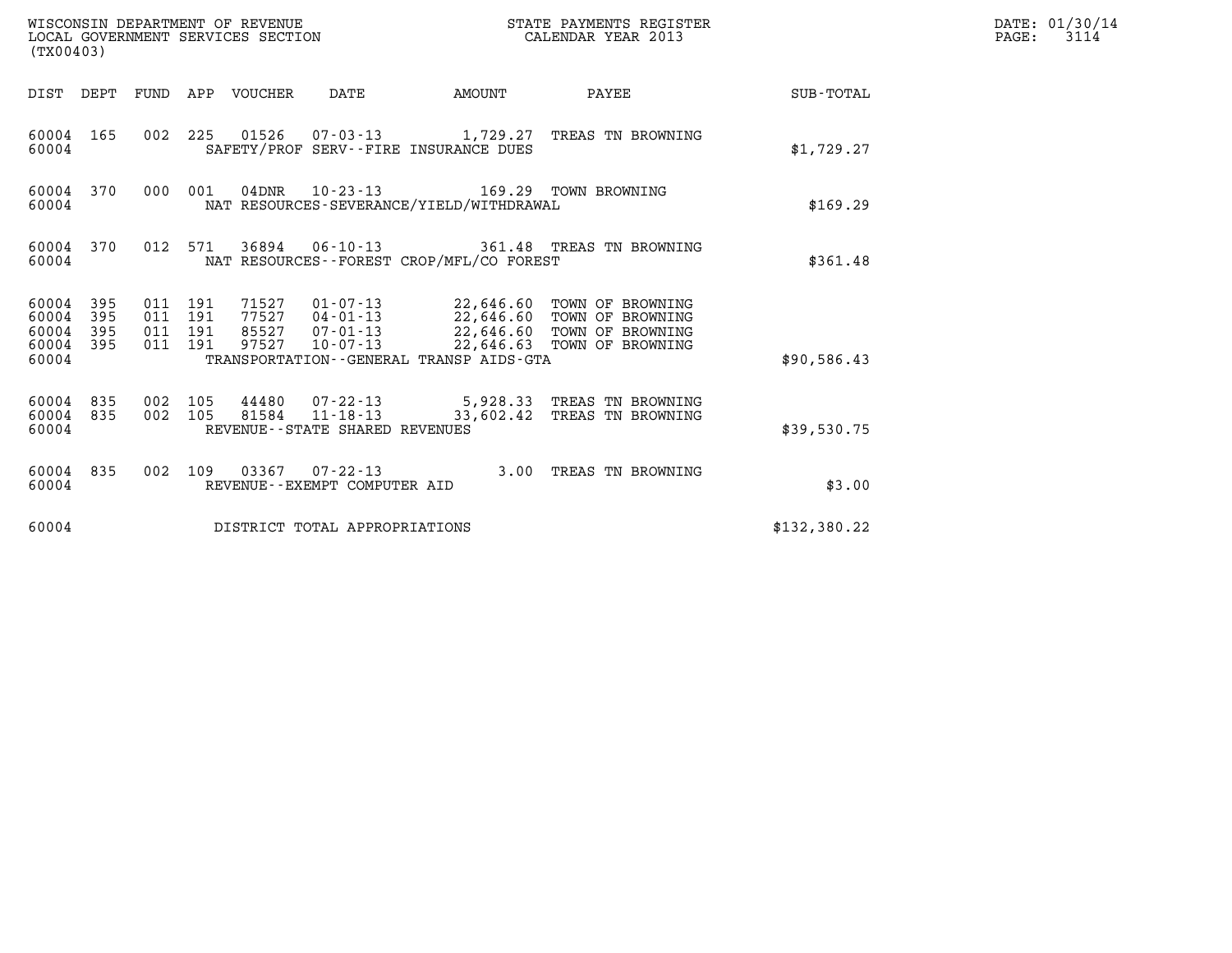| (TX00403)                                     |                   |                                          |         | WISCONSIN DEPARTMENT OF REVENUE<br>LOCAL GOVERNMENT SERVICES SECTION |                                                           |                                                                                   | STATE PAYMENTS REGISTER<br>CALENDAR YEAR 2013                                                                                          |              | DATE: 01/30/14<br>$\mathtt{PAGE:}$<br>3114 |
|-----------------------------------------------|-------------------|------------------------------------------|---------|----------------------------------------------------------------------|-----------------------------------------------------------|-----------------------------------------------------------------------------------|----------------------------------------------------------------------------------------------------------------------------------------|--------------|--------------------------------------------|
|                                               |                   |                                          |         | DIST DEPT FUND APP VOUCHER DATE                                      |                                                           | AMOUNT                                                                            | PAYEE                                                                                                                                  | SUB-TOTAL    |                                            |
| 60004 165<br>60004                            |                   |                                          |         |                                                                      |                                                           | SAFETY/PROF SERV--FIRE INSURANCE DUES                                             | 002 225 01526 07-03-13 1,729.27 TREAS TN BROWNING                                                                                      | \$1,729.27   |                                            |
| 60004 370<br>60004                            |                   | 000 001                                  |         |                                                                      |                                                           | 04DNR  10-23-13  169.29 TOWN BROWNING<br>NAT RESOURCES-SEVERANCE/YIELD/WITHDRAWAL |                                                                                                                                        | \$169.29     |                                            |
| 60004 370<br>60004                            |                   |                                          | 012 571 |                                                                      |                                                           | NAT RESOURCES - - FOREST CROP/MFL/CO FOREST                                       | 36894   06-10-13   361.48   TREAS TN BROWNING                                                                                          | \$361.48     |                                            |
| 60004 395<br>60004<br>60004<br>60004<br>60004 | 395<br>395<br>395 | 011 191<br>011 191<br>011 191<br>011 191 |         | 77527<br>85527<br>97527                                              | $04 - 01 - 13$<br>$07 - 01 - 13$<br>10-07-13              | TRANSPORTATION--GENERAL TRANSP AIDS-GTA                                           | 71527  01-07-13  22,646.60  TOWN OF BROWNING<br>22,646.60 TOWN OF BROWNING<br>22,646.60 TOWN OF BROWNING<br>22,646.63 TOWN OF BROWNING | \$90,586.43  |                                            |
| 60004 835<br>60004 835<br>60004               |                   | 002 105<br>002 105                       |         | 81584                                                                | $11 - 18 - 13$<br>REVENUE--STATE SHARED REVENUES          | 33,602.42                                                                         | 44480 07-22-13 5,928.33 TREAS TN BROWNING<br>TREAS TN BROWNING                                                                         | \$39,530.75  |                                            |
| 60004 835<br>60004                            |                   |                                          |         |                                                                      | 002 109 03367 07-22-13<br>REVENUE - - EXEMPT COMPUTER AID |                                                                                   | 3.00 TREAS TN BROWNING                                                                                                                 | \$3.00       |                                            |
| 60004                                         |                   |                                          |         |                                                                      | DISTRICT TOTAL APPROPRIATIONS                             |                                                                                   |                                                                                                                                        | \$132,380.22 |                                            |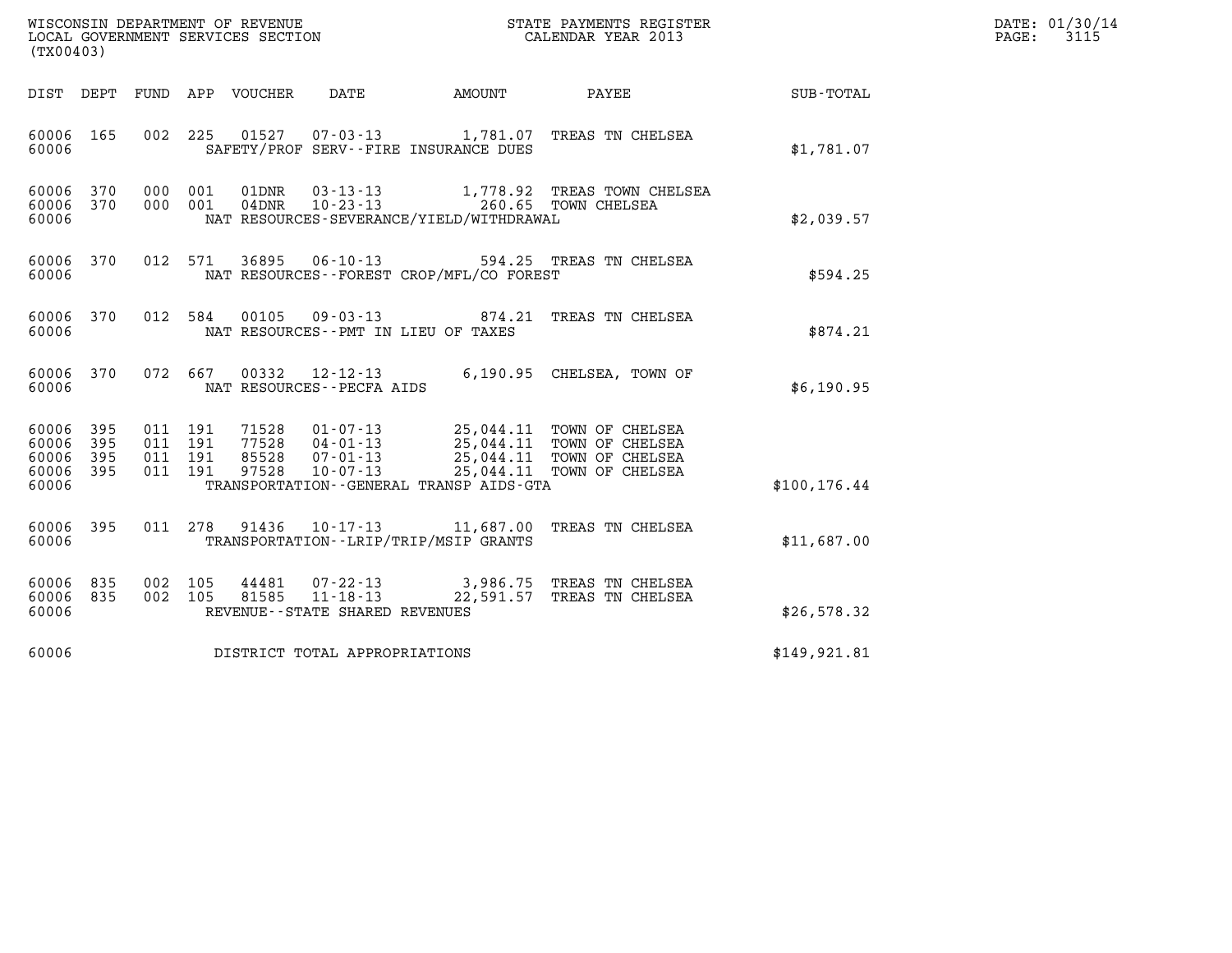| DATE: | 01/30/14 |
|-------|----------|
| PAGE: | 3115     |

| WISCONSIN DEPARTMENT OF REVENUE<br>LOCAL GOVERNMENT SERVICES SECTION<br>LOCAL GOVERNMENT SERVICES SECTION<br>(TX00403) |                   |     |                                          |                |                                                     |                                              | STATE PAYMENTS REGISTER<br>CALENDAR YEAR 2013                                                                                                                                                       |               | DATE: 01/30/14<br>PAGE:<br>3115 |
|------------------------------------------------------------------------------------------------------------------------|-------------------|-----|------------------------------------------|----------------|-----------------------------------------------------|----------------------------------------------|-----------------------------------------------------------------------------------------------------------------------------------------------------------------------------------------------------|---------------|---------------------------------|
|                                                                                                                        |                   |     | DIST DEPT FUND APP VOUCHER               |                | DATE                                                | AMOUNT                                       | PAYEE                                                                                                                                                                                               | SUB-TOTAL     |                                 |
| 60006<br>60006                                                                                                         | 165               | 002 | 225                                      |                |                                                     | SAFETY/PROF SERV--FIRE INSURANCE DUES        | 01527  07-03-13  1,781.07  TREAS TN CHELSEA                                                                                                                                                         | \$1,781.07    |                                 |
| 60006<br>60006<br>60006                                                                                                | 370<br>370        |     | 000 001<br>000 001                       |                |                                                     | NAT RESOURCES-SEVERANCE/YIELD/WITHDRAWAL     | 01DNR  03-13-13    1,778.92 TREAS TOWN CHELSEA<br>04DNR    10-23-13    260.65 TOWN CHELSEA                                                                                                          | \$2,039.57    |                                 |
| 60006<br>60006                                                                                                         | 370               |     | 012 571                                  |                |                                                     | NAT RESOURCES--FOREST CROP/MFL/CO FOREST     | 36895  06-10-13  594.25  TREAS TN CHELSEA                                                                                                                                                           | \$594.25      |                                 |
| 60006<br>60006                                                                                                         | 370               |     | 012 584                                  | 00105          |                                                     | NAT RESOURCES -- PMT IN LIEU OF TAXES        | 09-03-13 874.21 TREAS TN CHELSEA                                                                                                                                                                    | \$874.21      |                                 |
| 60006<br>60006                                                                                                         | 370               |     | 072 667                                  |                | NAT RESOURCES - - PECFA AIDS                        |                                              | 00332 12-12-13 6,190.95 CHELSEA, TOWN OF                                                                                                                                                            | \$6,190.95    |                                 |
| 60006<br>60006<br>60006<br>60006 395<br>60006                                                                          | 395<br>395<br>395 |     | 011 191<br>011 191<br>011 191<br>011 191 | 85528<br>97528 | $07 - 01 - 13$<br>$10 - 07 - 13$                    | TRANSPORTATION - - GENERAL TRANSP AIDS - GTA | 71528  01-07-13  25,044.11  TOWN OF CHELSEA<br>77528  04-01-13  25,044.11  TOWN OF CHELSEA<br>85528  07-01-13  25.044.11  TOWN OF CHELSEA<br>25,044.11 TOWN OF CHELSEA<br>25,044.11 TOWN OF CHELSEA | \$100, 176.44 |                                 |
| 60006<br>60006                                                                                                         | 395               |     | 011 278                                  |                |                                                     | TRANSPORTATION - - LRIP/TRIP/MSIP GRANTS     | 91436  10-17-13  11,687.00 TREAS TN CHELSEA                                                                                                                                                         | \$11,687.00   |                                 |
| 60006<br>60006 835<br>60006                                                                                            | 835               |     | 002 105<br>002 105                       | 44481<br>81585 | $11 - 18 - 13$<br>REVENUE - - STATE SHARED REVENUES |                                              | 07-22-13 3,986.75 TREAS TN CHELSEA<br>22,591.57 TREAS TN CHELSEA                                                                                                                                    | \$26,578.32   |                                 |
| 60006                                                                                                                  |                   |     |                                          |                | DISTRICT TOTAL APPROPRIATIONS                       |                                              |                                                                                                                                                                                                     | \$149,921.81  |                                 |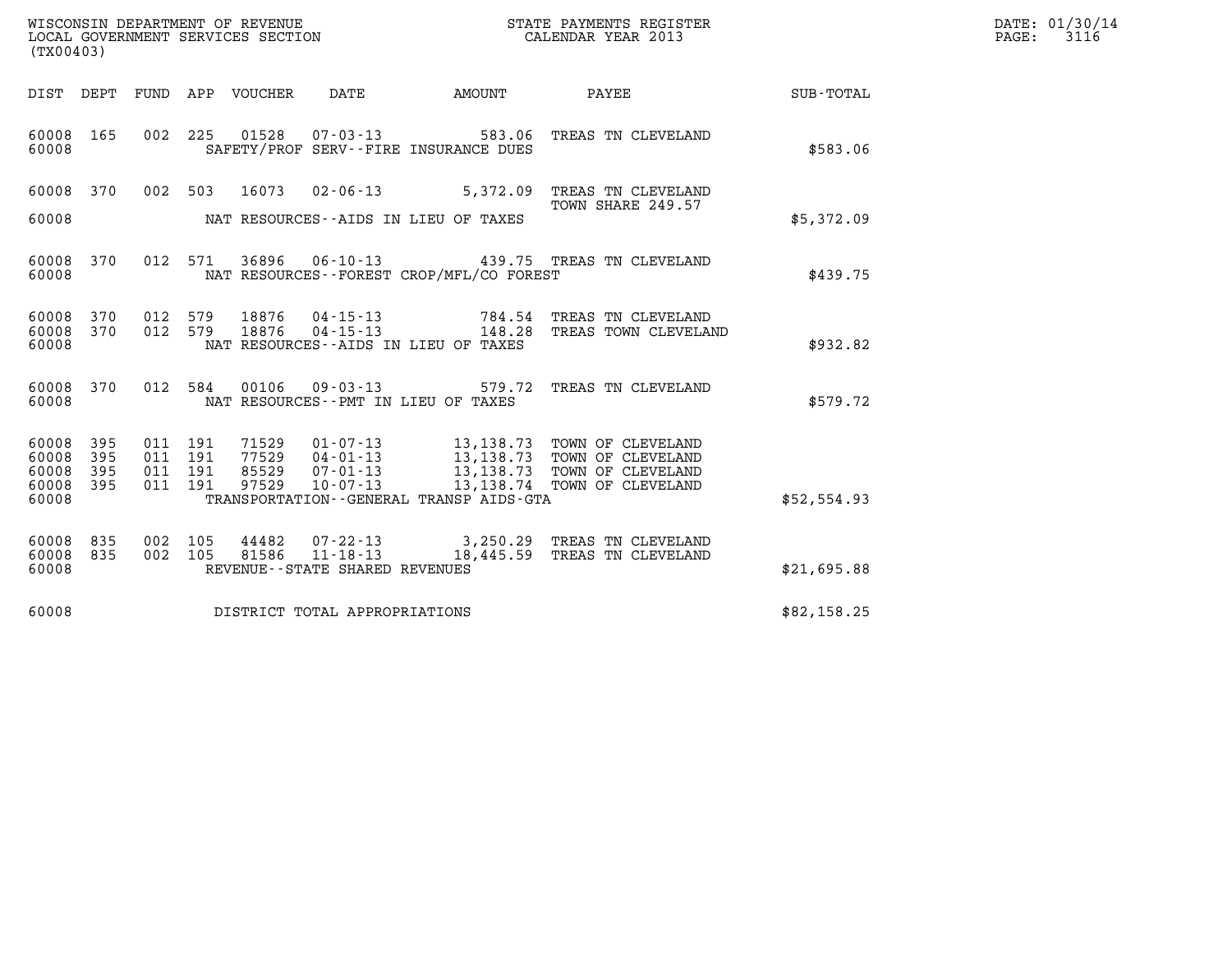| WISCONSIN DEPARTMENT OF REVENUE   | STATE PAYMENTS REGISTER | DATE: 01/30/14 |
|-----------------------------------|-------------------------|----------------|
| LOCAL GOVERNMENT SERVICES SECTION | CALENDAR YEAR 2013      | 3116<br>PAGE:  |

| (TX00403)                                 |                          |                          |                          |                         |                                                                 |                                                                                                      |                                                                                  |                  |
|-------------------------------------------|--------------------------|--------------------------|--------------------------|-------------------------|-----------------------------------------------------------------|------------------------------------------------------------------------------------------------------|----------------------------------------------------------------------------------|------------------|
| DIST                                      | DEPT                     | FUND                     | APP                      | VOUCHER                 | DATE                                                            | AMOUNT                                                                                               | PAYEE                                                                            | <b>SUB-TOTAL</b> |
| 60008<br>60008                            | 165                      | 002                      | 225                      | 01528                   |                                                                 | 07-03-13 583.06<br>SAFETY/PROF SERV--FIRE INSURANCE DUES                                             | TREAS TN CLEVELAND                                                               | \$583.06         |
| 60008<br>60008                            | 370                      | 002                      | 503                      | 16073                   | $02 - 06 - 13$                                                  | 5,372.09<br>NAT RESOURCES--AIDS IN LIEU OF TAXES                                                     | TREAS TN CLEVELAND<br>TOWN SHARE 249.57                                          | \$5,372.09       |
| 60008<br>60008                            | 370                      | 012                      | 571                      | 36896                   | $06 - 10 - 13$                                                  | NAT RESOURCES - - FOREST CROP/MFL/CO FOREST                                                          | 439.75 TREAS TN CLEVELAND                                                        | \$439.75         |
| 60008<br>60008<br>60008                   | 370<br>370               | 012<br>012               | 579<br>579               | 18876<br>18876          | 04-15-13<br>04-15-13                                            | 784.54<br>148.28<br>NAT RESOURCES--AIDS IN LIEU OF TAXES                                             | TREAS TN CLEVELAND<br>TREAS TOWN CLEVELAND                                       | \$932.82         |
| 60008<br>60008                            | 370                      | 012                      | 584                      | 00106                   | $09 - 03 - 13$                                                  | 579.72<br>NAT RESOURCES -- PMT IN LIEU OF TAXES                                                      | TREAS TN CLEVELAND                                                               | \$579.72         |
| 60008<br>60008<br>60008<br>60008<br>60008 | 395<br>395<br>395<br>395 | 011<br>011<br>011<br>011 | 191<br>191<br>191<br>191 | 71529<br>77529<br>97529 | $01 - 07 - 13$<br>$04 - 01 - 13$<br>85529 07-01-13<br>10-07-13  | 13,138.73<br>13, 138. 73<br>13, 138. 73<br>13,138.74<br>TRANSPORTATION - - GENERAL TRANSP AIDS - GTA | TOWN OF CLEVELAND<br>TOWN OF CLEVELAND<br>TOWN OF CLEVELAND<br>TOWN OF CLEVELAND | \$52,554.93      |
| 60008<br>60008<br>60008                   | 835<br>835               | 002<br>002               | 105<br>105               | 44482<br>81586          | 07-22-13<br>$11 - 18 - 13$<br>REVENUE - - STATE SHARED REVENUES | 18,445.59                                                                                            | 3,250.29 TREAS TN CLEVELAND<br>TREAS TN CLEVELAND                                | \$21,695.88      |
| 60008                                     |                          |                          |                          |                         | DISTRICT TOTAL APPROPRIATIONS                                   |                                                                                                      |                                                                                  | \$82,158.25      |

LOCAL GOVERNMENT SERVICES SECTION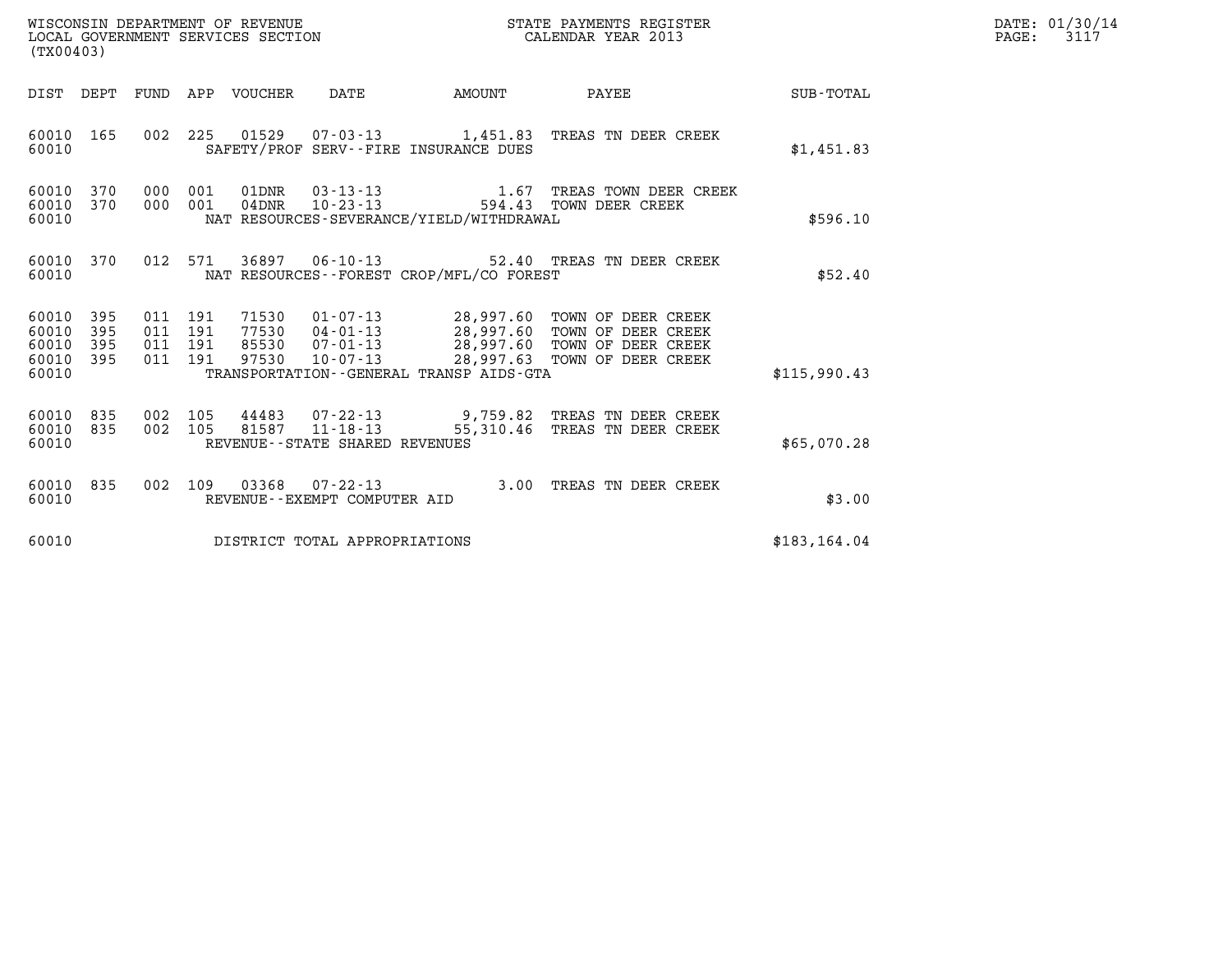| WISCONSIN DEPARTMENT OF REVENUE<br>LOCAL GOVERNMENT SERVICES SECTION<br>(TX00403) |            |                                          |     |                                 |                                |                                              | STATE PAYMENTS REGISTER<br>CALENDAR YEAR 2013                                                                                                           |               | DATE: 01/30/14<br>$\mathtt{PAGE:}$<br>3117 |
|-----------------------------------------------------------------------------------|------------|------------------------------------------|-----|---------------------------------|--------------------------------|----------------------------------------------|---------------------------------------------------------------------------------------------------------------------------------------------------------|---------------|--------------------------------------------|
|                                                                                   |            |                                          |     | DIST DEPT FUND APP VOUCHER DATE |                                | <b>AMOUNT</b>                                | PAYEE SUB-TOTAL                                                                                                                                         |               |                                            |
| 60010 165<br>60010                                                                |            |                                          |     |                                 |                                | SAFETY/PROF SERV--FIRE INSURANCE DUES        | 002 225 01529 07-03-13 1,451.83 TREAS TN DEER CREEK                                                                                                     | \$1,451.83    |                                            |
| 60010 370<br>60010<br>60010                                                       | 370        | 000 001<br>000 001                       |     |                                 |                                | NAT RESOURCES-SEVERANCE/YIELD/WITHDRAWAL     | $01DNR$ $03-13-13$ $1.67$ TREAS TOWN DEER CREEK<br>$04DNR$ $10-23-13$ $594.43$ TOWN DEER CREEK                                                          | \$596.10      |                                            |
| 60010 370<br>60010                                                                |            | 012 571                                  |     |                                 |                                | NAT RESOURCES--FOREST CROP/MFL/CO FOREST     | 36897 06-10-13 52.40 TREAS TN DEER CREEK                                                                                                                | \$52.40       |                                            |
| 60010 395<br>60010<br>60010<br>60010 395<br>60010                                 | 395<br>395 | 011 191<br>011 191<br>011 191<br>011 191 |     | 71530<br>85530<br>97530         | 07-01-13<br>$10 - 07 - 13$     | TRANSPORTATION - - GENERAL TRANSP AIDS - GTA | 01-07-13 28,997.60 TOWN OF DEER CREEK<br>77530  04-01-13  28,997.60  TOWN OF DEER CREEK<br>28,997.60 TOWN OF DEER CREEK<br>28,997.63 TOWN OF DEER CREEK | \$115,990.43  |                                            |
| 60010 835<br>60010 835<br>60010                                                   |            | 002<br>002 105                           | 105 |                                 | REVENUE--STATE SHARED REVENUES |                                              | 44483 07-22-13 9,759.82 TREAS TN DEER CREEK<br>81587  11-18-13  55,310.46  TREAS TN DEER CREEK                                                          | \$65,070.28   |                                            |
| 60010 835<br>60010                                                                |            | 002 109                                  |     |                                 | REVENUE--EXEMPT COMPUTER AID   |                                              | 03368  07-22-13  3.00  TREAS TN DEER CREEK                                                                                                              | \$3.00        |                                            |
| 60010                                                                             |            |                                          |     |                                 | DISTRICT TOTAL APPROPRIATIONS  |                                              |                                                                                                                                                         | \$183, 164.04 |                                            |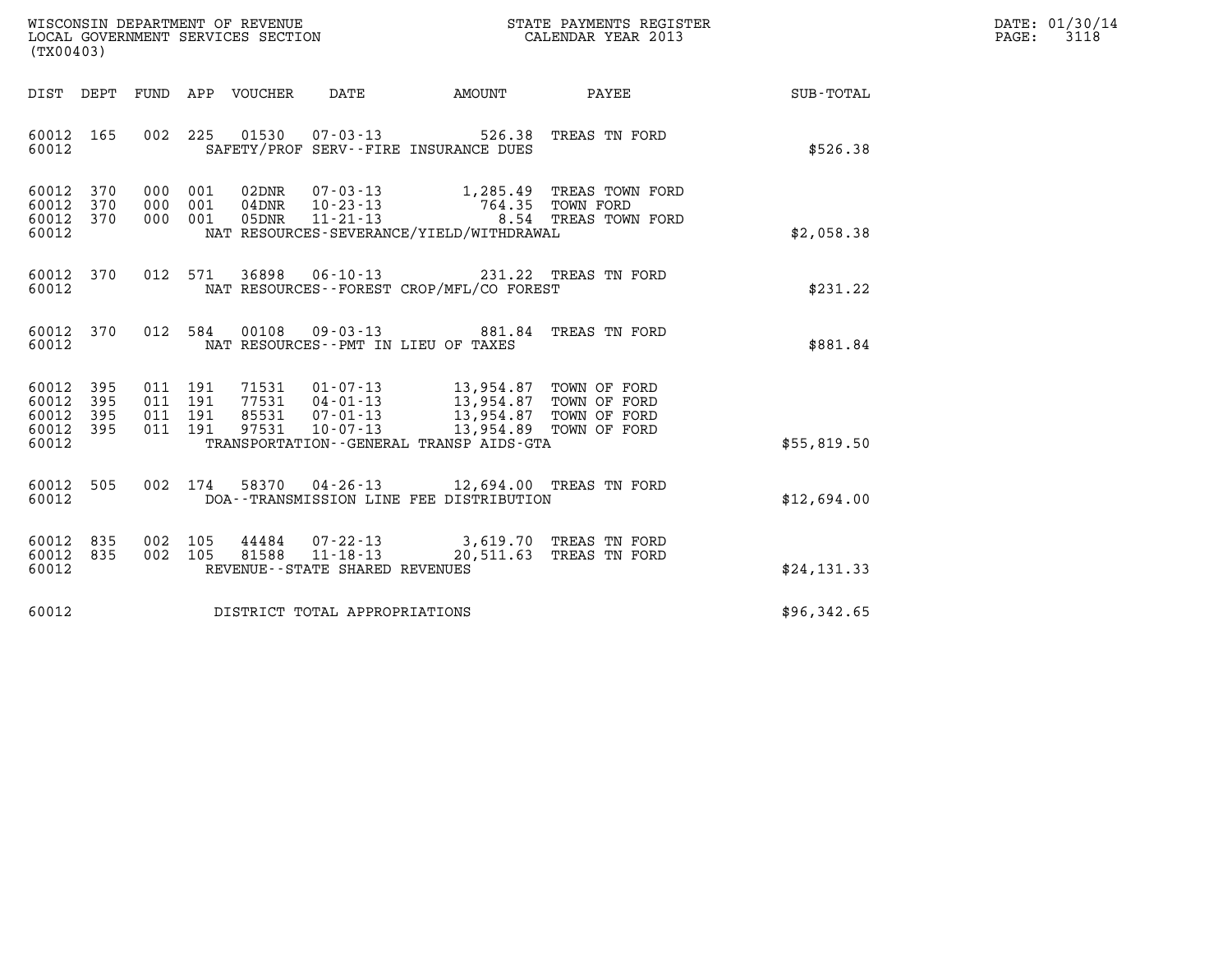| WISCONSIN DEPARTMENT OF REVENUE   | STATE PAYMENTS REGISTER | DATE: 01/30/14 |
|-----------------------------------|-------------------------|----------------|
| LOCAL GOVERNMENT SERVICES SECTION | CALENDAR YEAR 2013      | 3118<br>PAGE:  |

| (TX00403)                                                                                                                                                                                                                                                                                                       |  |                                          |              | DATE: 01/30/14<br>3118<br>$\mathtt{PAGE}$ : |
|-----------------------------------------------------------------------------------------------------------------------------------------------------------------------------------------------------------------------------------------------------------------------------------------------------------------|--|------------------------------------------|--------------|---------------------------------------------|
| DIST DEPT FUND APP VOUCHER DATE AMOUNT                                                                                                                                                                                                                                                                          |  | PAYEE                                    | SUB-TOTAL    |                                             |
| 002 225 01530 07-03-13 526.38 TREAS TN FORD<br>60012 165<br>60012<br>SAFETY/PROF SERV--FIRE INSURANCE DUES                                                                                                                                                                                                      |  |                                          | \$526.38     |                                             |
| 000 001<br>02DNR  07-03-13  1,285.49 TREAS TOWN FORD<br>60012 370<br>60012 370<br>000 001<br>04DNR 10-23-13<br>05DNR 11-21-13<br>60012 370<br>000 001<br>60012<br>NAT RESOURCES-SEVERANCE/YIELD/WITHDRAWAL                                                                                                      |  | 764.35 TOWN FORD<br>8.54 TREAS TOWN FORD | \$2,058.38   |                                             |
| 012 571 36898 06-10-13 231.22 TREAS TN FORD<br>60012 370<br>60012<br>NAT RESOURCES - - FOREST CROP/MFL/CO FOREST                                                                                                                                                                                                |  |                                          | \$231.22     |                                             |
| 012 584 00108 09-03-13 881.84 TREAS TN FORD<br>60012 370<br>60012<br>NAT RESOURCES--PMT IN LIEU OF TAXES                                                                                                                                                                                                        |  |                                          | \$881.84     |                                             |
| 60012 395<br>011 191<br>71531  01-07-13  13,954.87  TOWN OF FORD<br>77531  04-01-13  13,954.87  TOWN OF FORD<br>85531  07-01-13  13,954.87  TOWN OF FORD<br>60012 395<br>011 191<br>60012 395<br>011 191<br>60012 395<br>011 191<br>97531<br>$10 - 07 - 13$<br>60012<br>TRANSPORTATION--GENERAL TRANSP AIDS-GTA |  | 13,954.89 TOWN OF FORD                   | \$55,819.50  |                                             |
| 002 174 58370 04-26-13 12,694.00 TREAS TN FORD<br>60012 505<br>60012<br>DOA--TRANSMISSION LINE FEE DISTRIBUTION                                                                                                                                                                                                 |  |                                          | \$12,694.00  |                                             |
| 60012 835<br>002 105 44484 07-22-13 3,619.70 TREAS TN FORD<br>002 105 81588 11-18-13 20,511.63 TREAS TN FORD<br>60012 835<br>60012<br>REVENUE--STATE SHARED REVENUES                                                                                                                                            |  |                                          | \$24, 131.33 |                                             |
| 60012<br>DISTRICT TOTAL APPROPRIATIONS                                                                                                                                                                                                                                                                          |  |                                          | \$96,342.65  |                                             |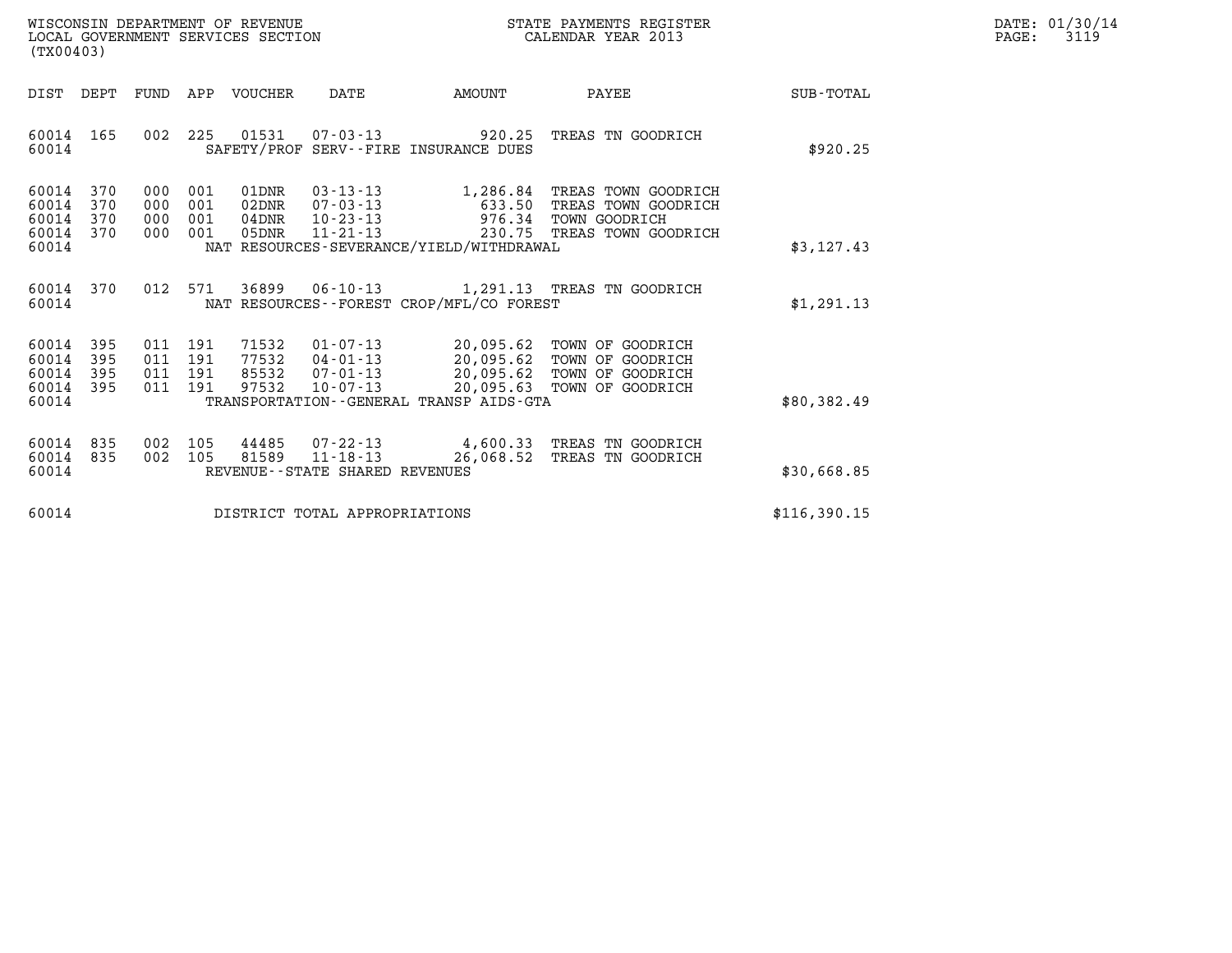| WISCONSIN DEPARTMENT OF REVENUE   | STATE PAYMENTS REGISTER | DATE: 01/30/14 |
|-----------------------------------|-------------------------|----------------|
| LOCAL GOVERNMENT SERVICES SECTION | CALENDAR YEAR 2013      | 3119<br>PAGE:  |

| (TX00403)                                                             |                                                                                             |                                                                                                                                                                     |                                                                                    |                  |
|-----------------------------------------------------------------------|---------------------------------------------------------------------------------------------|---------------------------------------------------------------------------------------------------------------------------------------------------------------------|------------------------------------------------------------------------------------|------------------|
| DIST<br>DEPT                                                          | APP<br>FUND<br><b>VOUCHER</b>                                                               | DATE<br>AMOUNT                                                                                                                                                      | PAYEE                                                                              | <b>SUB-TOTAL</b> |
| 60014<br>165<br>60014                                                 | 002<br>225<br>01531                                                                         | $07 - 03 - 13$<br>920.25<br>SAFETY/PROF SERV--FIRE INSURANCE DUES                                                                                                   | TREAS TN GOODRICH                                                                  | \$920.25         |
| 60014<br>370<br>370<br>60014<br>60014<br>370<br>60014<br>370<br>60014 | 000<br>001<br>01DNR<br>001<br>000<br>02DNR<br>000<br>001<br>$04$ DNR<br>000<br>001<br>05DNR | $03 - 13 - 13$<br>1,286.84<br>$07 - 03 - 13$<br>633.50<br>$10 - 23 - 13$<br>976.34<br>$11 - 21 - 13$<br>230.75<br>NAT RESOURCES-SEVERANCE/YIELD/WITHDRAWAL          | TREAS TOWN GOODRICH<br>TREAS TOWN GOODRICH<br>TOWN GOODRICH<br>TREAS TOWN GOODRICH | \$3,127.43       |
| 60014<br>370<br>60014                                                 | 36899<br>012<br>571                                                                         | $06 - 10 - 13$<br>NAT RESOURCES - - FOREST CROP/MFL/CO FOREST                                                                                                       | 1,291.13 TREAS TN GOODRICH                                                         | \$1,291.13       |
| 60014<br>395<br>395<br>60014<br>395<br>60014<br>60014<br>395<br>60014 | 191<br>71532<br>011<br>011<br>191<br>77532<br>011<br>191<br>85532<br>011<br>191<br>97532    | $01 - 07 - 13$<br>20,095.62<br>$04 - 01 - 13$<br>20,095.62<br>$07 - 01 - 13$<br>20,095.62<br>$10 - 07 - 13$<br>20,095.63<br>TRANSPORTATION--GENERAL TRANSP AIDS-GTA | TOWN OF GOODRICH<br>TOWN OF GOODRICH<br>TOWN OF GOODRICH<br>TOWN OF GOODRICH       | \$80,382.49      |
| 835<br>60014<br>835<br>60014<br>60014                                 | 002<br>105<br>44485<br>105<br>81589<br>002                                                  | $07 - 22 - 13$<br>4,600.33<br>$11 - 18 - 13$<br>26,068.52<br>REVENUE--STATE SHARED REVENUES                                                                         | TREAS TN GOODRICH<br>TREAS TN GOODRICH                                             | \$30,668.85      |
| 60014                                                                 |                                                                                             | DISTRICT TOTAL APPROPRIATIONS                                                                                                                                       |                                                                                    | \$116,390.15     |

LOCAL GOVERNMENT SERVICES SECTION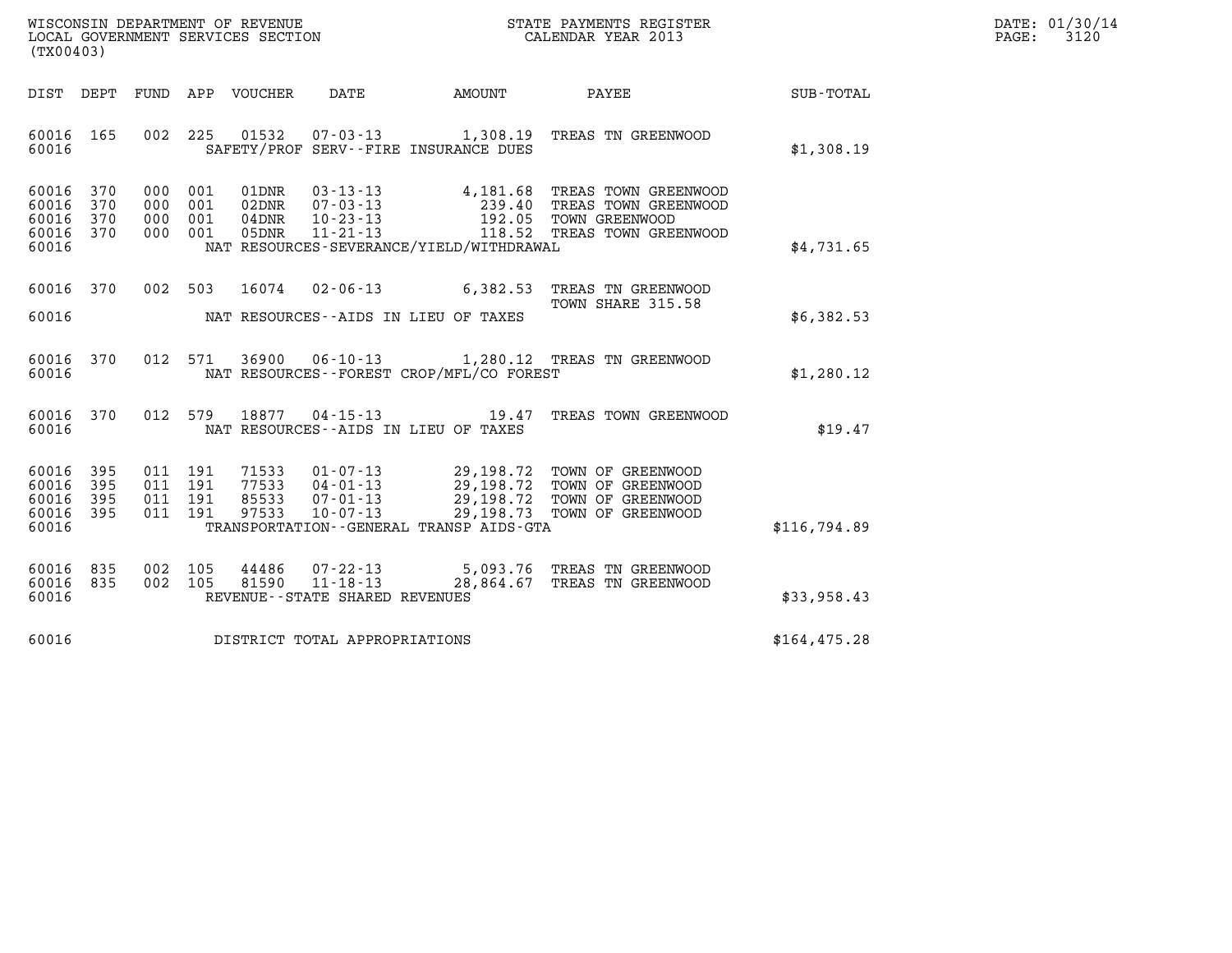| WISCONSIN DEPARTMENT OF REVENUE   | STATE PAYMENTS REGISTER | DATE: 01/30/14 |
|-----------------------------------|-------------------------|----------------|
| LOCAL GOVERNMENT SERVICES SECTION | CALENDAR YEAR 2013      | 3120<br>PAGE:  |

| WISCONSIN DEPARTMENT OF REVENUE<br>LOCAL GOVERNMENT SERVICES SECTION<br>(TX00403) |                          |                          |                          |                                  |                                                                       |                                                                                    | STATE PAYMENTS REGISTER<br>CALENDAR YEAR 2013                                              |                  |
|-----------------------------------------------------------------------------------|--------------------------|--------------------------|--------------------------|----------------------------------|-----------------------------------------------------------------------|------------------------------------------------------------------------------------|--------------------------------------------------------------------------------------------|------------------|
| DIST                                                                              | DEPT                     | FUND                     | APP                      | VOUCHER                          | DATE                                                                  | AMOUNT                                                                             | PAYEE                                                                                      | <b>SUB-TOTAL</b> |
| 60016<br>60016                                                                    | 165                      | 002                      | 225                      | 01532                            | $07 - 03 - 13$                                                        | 1,308.19<br>SAFETY/PROF SERV--FIRE INSURANCE DUES                                  | TREAS TN GREENWOOD                                                                         | \$1,308.19       |
| 60016<br>60016<br>60016<br>60016<br>60016                                         | 370<br>370<br>370<br>370 | 000<br>000<br>000<br>000 | 001<br>001<br>001<br>001 | 01DNR<br>02DNR<br>04DNR<br>05DNR | $03 - 13 - 13$<br>07-03-13<br>$10 - 23 - 13$<br>$11 - 21 - 13$        | 4,181.68<br>239.40<br>192.05<br>118.52<br>NAT RESOURCES-SEVERANCE/YIELD/WITHDRAWAL | TREAS TOWN GREENWOOD<br>TREAS TOWN GREENWOOD<br>TOWN GREENWOOD<br>TREAS TOWN GREENWOOD     | \$4,731.65       |
| 60016<br>60016                                                                    | 370                      | 002                      | 503                      | 16074                            | $02 - 06 - 13$                                                        | 6,382.53<br>NAT RESOURCES -- AIDS IN LIEU OF TAXES                                 | TREAS TN GREENWOOD<br>TOWN SHARE 315.58                                                    | \$6,382.53       |
| 60016<br>60016                                                                    | 370                      | 012                      | 571                      | 36900                            | $06 - 10 - 13$                                                        | NAT RESOURCES - - FOREST CROP/MFL/CO FOREST                                        | 1,280.12 TREAS TN GREENWOOD                                                                | \$1,280.12       |
| 60016<br>60016                                                                    | 370                      | 012                      | 579                      | 18877                            | $04 - 15 - 13$                                                        | 19.47<br>NAT RESOURCES -- AIDS IN LIEU OF TAXES                                    | TREAS TOWN GREENWOOD                                                                       | \$19.47          |
| 60016<br>60016<br>60016<br>60016<br>60016                                         | 395<br>395<br>395<br>395 | 011<br>011<br>011<br>011 | 191<br>191<br>191<br>191 | 71533<br>77533<br>85533<br>97533 | $01 - 07 - 13$<br>04-01-13<br>$07 - 01 - 13$<br>10-07-13              | 29,198.72<br>29,198.72<br>29,198.73<br>TRANSPORTATION--GENERAL TRANSP AIDS-GTA     | TOWN OF GREENWOOD<br>29,198.72 TOWN OF GREENWOOD<br>TOWN OF GREENWOOD<br>TOWN OF GREENWOOD | \$116,794.89     |
| 60016<br>60016<br>60016                                                           | 835<br>835               | 002<br>002               | 105<br>105               | 44486<br>81590                   | $07 - 22 - 13$<br>$11 - 18 - 13$<br>REVENUE - - STATE SHARED REVENUES | 5,093.76<br>28,864.67                                                              | TREAS TN GREENWOOD<br>TREAS TN GREENWOOD                                                   | \$33,958.43      |
| 60016                                                                             |                          |                          |                          |                                  | DISTRICT TOTAL APPROPRIATIONS                                         |                                                                                    |                                                                                            | \$164, 475.28    |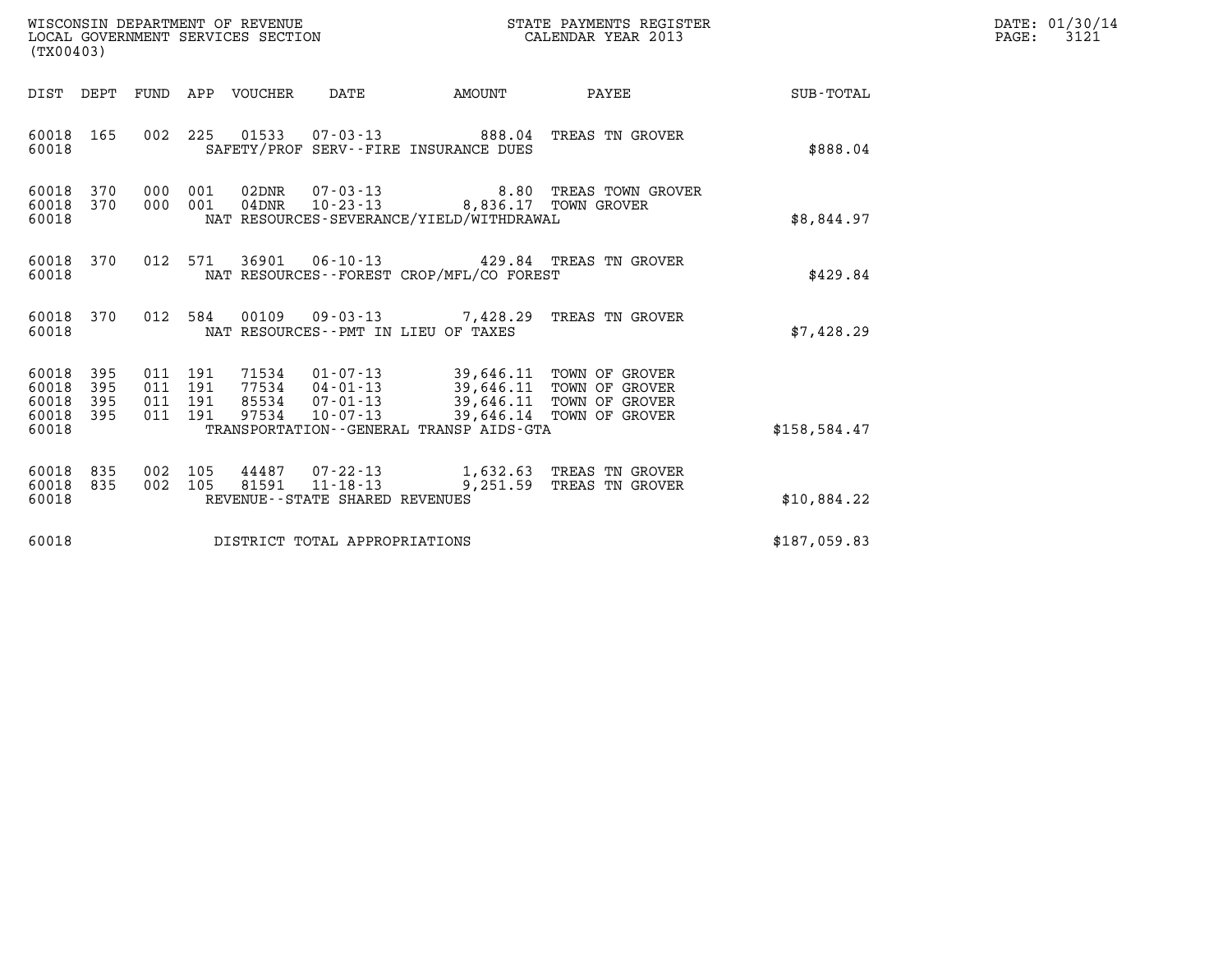| DATE: | 01/30/14 |
|-------|----------|
| PAGE: | 3121     |

| WISCONSIN DEPARTMENT OF REVENUE<br>(TX00403)                          | LOCAL GOVERNMENT SERVICES SECTION                                                                              | STATE PAYMENTS REGISTER<br>CALENDAR YEAR 2013                                                                                                                   |                 | DATE: 01/30/14<br>$\mathtt{PAGE:}$<br>3121 |
|-----------------------------------------------------------------------|----------------------------------------------------------------------------------------------------------------|-----------------------------------------------------------------------------------------------------------------------------------------------------------------|-----------------|--------------------------------------------|
| DIST DEPT FUND APP VOUCHER                                            | <b>AMOUNT</b><br>DATE                                                                                          |                                                                                                                                                                 | PAYEE SUB-TOTAL |                                            |
| 60018<br>165<br>60018                                                 | 002 225<br>SAFETY/PROF SERV--FIRE INSURANCE DUES                                                               |                                                                                                                                                                 | \$888.04        |                                            |
| 60018<br>370<br>60018<br>370<br>60018                                 | $07 - 03 - 13$<br>000 001<br>02DNR<br>$04$ DNR<br>000 001<br>NAT RESOURCES-SEVERANCE/YIELD/WITHDRAWAL          | 8.80 TREAS TOWN GROVER<br>10-23-13 8,836.17 TOWN GROVER                                                                                                         | \$8,844.97      |                                            |
| 60018<br>370<br>60018                                                 | 012 571<br>NAT RESOURCES - - FOREST CROP/MFL/CO FOREST                                                         | 36901 06-10-13 429.84 TREAS TN GROVER                                                                                                                           | \$429.84        |                                            |
| 60018<br>370<br>60018                                                 | 012 584 00109 09-03-13 7,428.29 TREAS TN GROVER<br>NAT RESOURCES -- PMT IN LIEU OF TAXES                       |                                                                                                                                                                 | \$7,428.29      |                                            |
| 60018<br>395<br>60018<br>395<br>60018<br>395<br>60018<br>395<br>60018 | 011 191<br>011 191<br>011 191<br>011 191<br>97534<br>$10 - 07 - 13$<br>TRANSPORTATION--GENERAL TRANSP AIDS-GTA | 71534  01-07-13  39,646.11  TOWN OF GROVER<br>77534  04-01-13  39,646.11  TOWN OF GROVER<br>85534 07-01-13 39,646.11 TOWN OF GROVER<br>39,646.14 TOWN OF GROVER | \$158,584.47    |                                            |
| 60018<br>835<br>002<br>60018<br>835<br>60018                          | 105<br>002 105<br>81591<br>$11 - 18 - 13$<br>REVENUE--STATE SHARED REVENUES                                    | 44487 07-22-13 1,632.63 TREAS TN GROVER<br>9,251.59<br>TREAS TN GROVER                                                                                          | \$10,884.22     |                                            |
| 60018                                                                 | DISTRICT TOTAL APPROPRIATIONS                                                                                  |                                                                                                                                                                 | \$187,059.83    |                                            |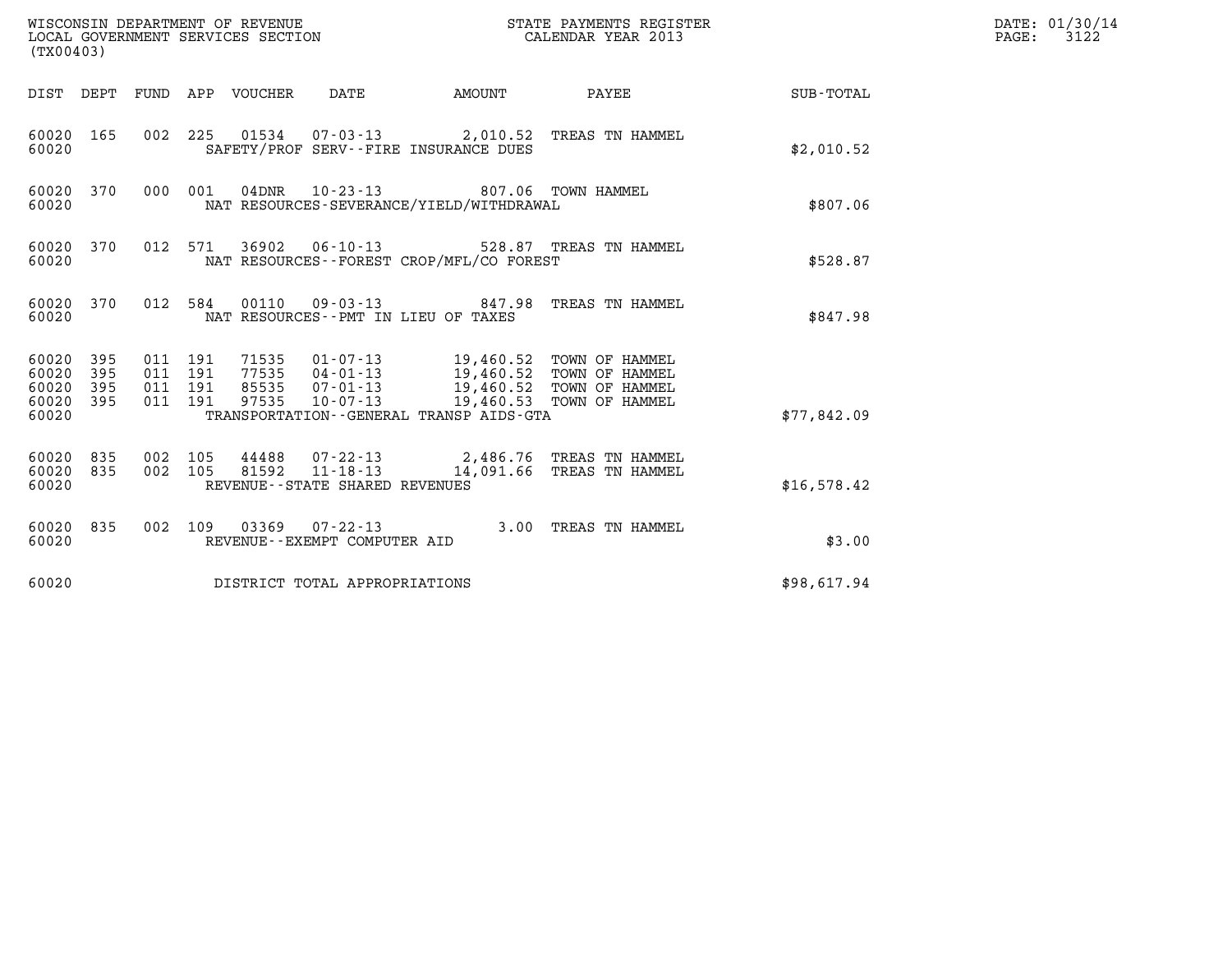| WISCONSIN DEPARTMENT OF REVENUE<br>LOCAL GOVERNMENT SERVICES SECTION<br>(TX00403) |            |                                          |         |                                 |                                                                    |                                                                                                                         | STATE PAYMENTS REGISTER<br>CALENDAR YEAR 2013         |             | DATE: 01/30/14<br>$\mathtt{PAGE:}$<br>3122 |
|-----------------------------------------------------------------------------------|------------|------------------------------------------|---------|---------------------------------|--------------------------------------------------------------------|-------------------------------------------------------------------------------------------------------------------------|-------------------------------------------------------|-------------|--------------------------------------------|
|                                                                                   |            |                                          |         | DIST DEPT FUND APP VOUCHER DATE |                                                                    | <b>EXAMPLE THE AMOUNT</b>                                                                                               | PAYEE                                                 | SUB-TOTAL   |                                            |
| 60020 165<br>60020                                                                |            |                                          |         |                                 |                                                                    | SAFETY/PROF SERV--FIRE INSURANCE DUES                                                                                   | 002 225 01534 07-03-13 2,010.52 TREAS TN HAMMEL       | \$2,010.52  |                                            |
| 60020 370<br>60020                                                                |            |                                          | 000 001 |                                 | $04\text{DNR}$ 10-23-13                                            | NAT RESOURCES-SEVERANCE/YIELD/WITHDRAWAL                                                                                | 807.06 TOWN HAMMEL                                    | \$807.06    |                                            |
| 60020 370<br>60020                                                                |            |                                          | 012 571 |                                 |                                                                    | NAT RESOURCES--FOREST CROP/MFL/CO FOREST                                                                                | 36902  06-10-13  528.87  TREAS TN HAMMEL              | \$528.87    |                                            |
| 60020 370<br>60020                                                                |            |                                          | 012 584 |                                 |                                                                    | NAT RESOURCES -- PMT IN LIEU OF TAXES                                                                                   | 00110  09-03-13  847.98  TREAS TN HAMMEL              | \$847.98    |                                            |
| 60020 395<br>60020<br>60020<br>60020 395<br>60020                                 | 395<br>395 | 011 191<br>011 191<br>011 191<br>011 191 |         | 77535<br>85535<br>97535         | $07 - 01 - 13$<br>$10 - 07 - 13$                                   | 71535 01-07-13 19,460.52 TOWN OF HAMMEL<br>04-01-13 19,460.52 TOWN OF HAMMEL<br>TRANSPORTATION--GENERAL TRANSP AIDS-GTA | 19,460.52 TOWN OF HAMMEL<br>19,460.53 TOWN OF HAMMEL  | \$77,842.09 |                                            |
| 60020 835<br>60020<br>60020                                                       | 835        | 002 105<br>002 105                       |         | 81592                           | 44488 07-22-13<br>$11 - 18 - 13$<br>REVENUE--STATE SHARED REVENUES |                                                                                                                         | 2,486.76 TREAS TN HAMMEL<br>14,091.66 TREAS TN HAMMEL | \$16,578.42 |                                            |
| 60020 835<br>60020                                                                |            |                                          |         |                                 | 002 109 03369 07-22-13<br>REVENUE--EXEMPT COMPUTER AID             |                                                                                                                         | 3.00 TREAS TN HAMMEL                                  | \$3.00      |                                            |
| 60020                                                                             |            |                                          |         |                                 | DISTRICT TOTAL APPROPRIATIONS                                      |                                                                                                                         |                                                       | \$98,617.94 |                                            |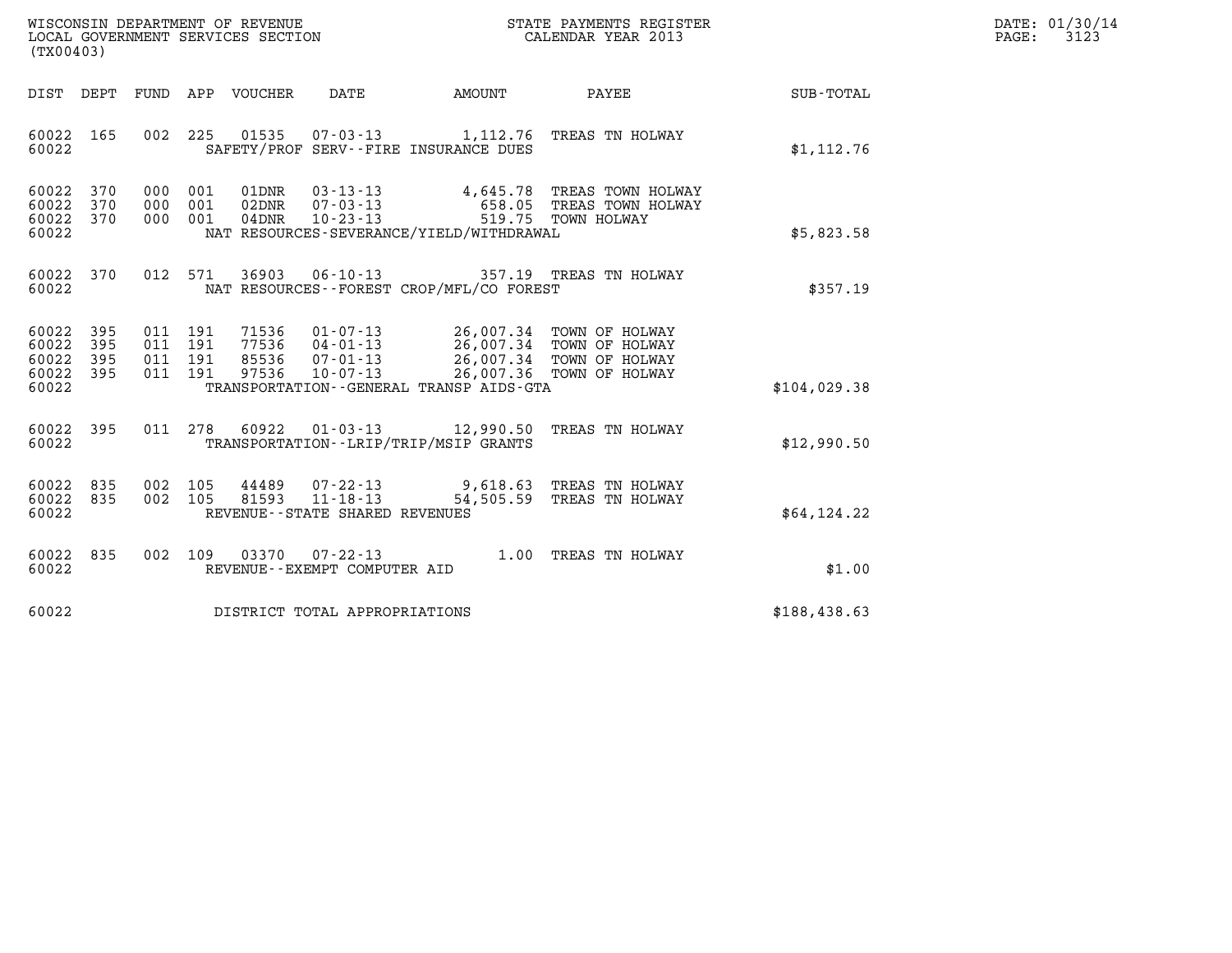|                                                                      | STATE PAYMENTS REGISTER | DATE: 01/30/14 |
|----------------------------------------------------------------------|-------------------------|----------------|
| WISCONSIN DEPARTMENT OF REVENUE<br>LOCAL GOVERNMENT SERVICES SECTION | CALENDAR YEAR 2013      | 3123<br>PAGE:  |

| WISCONSIN DEPARTMENT OF REVENUE<br>STATE PAYMENTS REGISTER<br>LOCAL GOVERNMENT SERVICES SECTION<br>CALENDAR YEAR 2013<br>(TX00403)                                                                                                                                                                                                                                                             |                  |
|------------------------------------------------------------------------------------------------------------------------------------------------------------------------------------------------------------------------------------------------------------------------------------------------------------------------------------------------------------------------------------------------|------------------|
| DATE<br>DIST<br>DEPT<br>FUND<br>APP<br>VOUCHER<br>AMOUNT<br>PAYEE                                                                                                                                                                                                                                                                                                                              | <b>SUB-TOTAL</b> |
| 002<br>225<br>60022<br>165<br>01535<br>$07 - 03 - 13$<br>1,112.76 TREAS TN HOLWAY<br>60022<br>SAFETY/PROF SERV--FIRE INSURANCE DUES                                                                                                                                                                                                                                                            | \$1, 112.76      |
| 60022<br>370<br>000<br>001<br>01DNR<br>$03 - 13 - 13$<br>4,645.78 TREAS TOWN HOLWAY<br>370<br>000<br>001<br>02DNR<br>$07 - 03 - 13$<br>60022<br>658.05<br>TREAS TOWN HOLWAY<br>370<br>0.00<br>001<br>$04$ DNR<br>$10 - 23 - 13$<br>519.75 TOWN HOLWAY<br>60022<br>60022<br>NAT RESOURCES-SEVERANCE/YIELD/WITHDRAWAL                                                                            | \$5,823.58       |
| 012<br>36903<br>60022<br>370<br>571<br>$06 - 10 - 13$<br>357.19 TREAS TN HOLWAY<br>60022<br>NAT RESOURCES -- FOREST CROP/MFL/CO FOREST                                                                                                                                                                                                                                                         | \$357.19         |
| 60022<br>395<br>011<br>71536<br>191<br>01-07-13<br>26,007.34 TOWN OF HOLWAY<br>77536<br>26,007.34 TOWN OF HOLWAY<br>60022<br>395<br>011<br>191<br>$04 - 01 - 13$<br>60022<br>395<br>191<br>85536<br>$07 - 01 - 13$<br>26,007.34 TOWN OF HOLWAY<br>011<br>97536<br>$10 - 07 - 13$<br>26,007.36 TOWN OF HOLWAY<br>60022<br>395<br>011<br>191<br>60022<br>TRANSPORTATION--GENERAL TRANSP AIDS-GTA | \$104,029.38     |
| 395<br>011<br>278<br>60922<br>60022<br>$01 - 03 - 13$<br>TREAS TN HOLWAY<br>12,990.50<br>60022<br>TRANSPORTATION - - LRIP/TRIP/MSIP GRANTS                                                                                                                                                                                                                                                     | \$12,990.50      |
| 60022<br>835<br>002<br>105<br>44489<br>$07 - 22 - 13$<br>9,618.63 TREAS TN HOLWAY<br>$11 - 18 - 13$<br>60022<br>835<br>002<br>105<br>81593<br>54,505.59<br>TREAS TN HOLWAY<br>60022<br>REVENUE--STATE SHARED REVENUES                                                                                                                                                                          | \$64,124.22      |
| 60022<br>835<br>002<br>109<br>03370<br>$07 - 22 - 13$<br>1.00<br>TREAS TN HOLWAY<br>60022<br>REVENUE--EXEMPT COMPUTER AID                                                                                                                                                                                                                                                                      | \$1.00           |
| 60022<br>DISTRICT TOTAL APPROPRIATIONS                                                                                                                                                                                                                                                                                                                                                         | \$188,438.63     |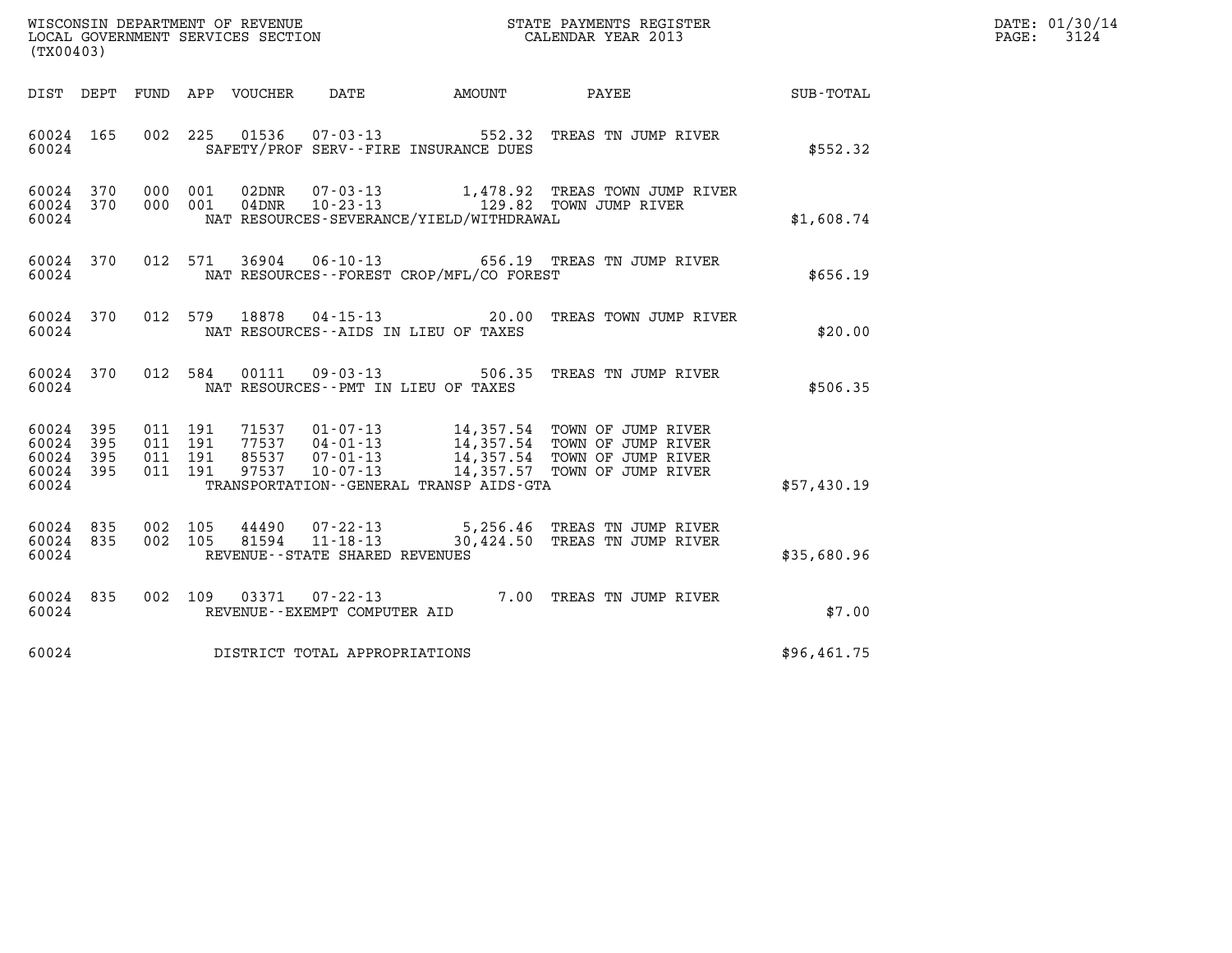|                                                                      | STATE PAYMENTS REGISTER | DATE: 01/30/14 |
|----------------------------------------------------------------------|-------------------------|----------------|
| WISCONSIN DEPARTMENT OF REVENUE<br>LOCAL GOVERNMENT SERVICES SECTION | CALENDAR YEAR 2013      | 3124<br>PAGE:  |

| WISCONSIN DEPARTMENT OF REVENUE<br>LOCAL GOVERNMENT SERVICES SECTION<br>CALENDAR YEAR 2013<br>(TX00403) |  |  |  |                                     |                                             |                                                                                                                                                                                                                                                                          | $\mathbb{R}^n$ | DATE: 01/30/14<br>PAGE: 3124 |
|---------------------------------------------------------------------------------------------------------|--|--|--|-------------------------------------|---------------------------------------------|--------------------------------------------------------------------------------------------------------------------------------------------------------------------------------------------------------------------------------------------------------------------------|----------------|------------------------------|
|                                                                                                         |  |  |  |                                     |                                             | DIST DEPT FUND APP VOUCHER DATE AMOUNT PAYEE PATE SUB-TOTAL                                                                                                                                                                                                              |                |                              |
| 60024 165<br>60024                                                                                      |  |  |  |                                     | SAFETY/PROF SERV--FIRE INSURANCE DUES       | 002 225 01536 07-03-13 552.32 TREAS TN JUMP RIVER                                                                                                                                                                                                                        | \$552.32       |                              |
| 60024 370<br>60024 370<br>60024                                                                         |  |  |  |                                     | NAT RESOURCES-SEVERANCE/YIELD/WITHDRAWAL    | 000 001 02DNR 07-03-13 1,478.92 TREAS TOWN JUMP RIVER<br>000 001 04DNR 10-23-13 129.82 TOWN JUMP RIVER                                                                                                                                                                   | \$1,608.74     |                              |
| 60024 370<br>60024                                                                                      |  |  |  |                                     | NAT RESOURCES - - FOREST CROP/MFL/CO FOREST | 012 571 36904 06-10-13 656.19 TREAS TN JUMP RIVER                                                                                                                                                                                                                        | \$656.19       |                              |
| 60024 370<br>60024                                                                                      |  |  |  |                                     | NAT RESOURCES--AIDS IN LIEU OF TAXES        | 012 579 18878 04-15-13 20.00 TREAS TOWN JUMP RIVER                                                                                                                                                                                                                       | \$20.00        |                              |
| 60024                                                                                                   |  |  |  | NAT RESOURCES--PMT IN LIEU OF TAXES |                                             | 60024 370 012 584 00111 09-03-13 506.35 TREAS TN JUMP RIVER                                                                                                                                                                                                              | \$506.35       |                              |
| 60024 395<br>60024 395<br>60024 395<br>60024 395<br>60024                                               |  |  |  |                                     |                                             | 011 191 71537 01-07-13 14,357.54 TOWN OF JUMP RIVER<br>011 191 77537 04-01-13 14,357.54 TOWN OF JUMP RIVER<br>011 191 85537 07-01-13 14,357.54 TOWN OF JUMP RIVER<br>011 191 97537 10-07-13 14,357.57 TOWN OF JUMP RIVER<br>TRANSPORTATION - - GENERAL TRANSP AIDS - GTA | \$57,430.19    |                              |
| 60024 835<br>60024 835<br>60024                                                                         |  |  |  | REVENUE - - STATE SHARED REVENUES   |                                             | 002 105 44490 07-22-13 5,256.46 TREAS TN JUMP RIVER<br>002 105 81594 11-18-13 30,424.50 TREAS TN JUMP RIVER                                                                                                                                                              | \$35,680.96    |                              |
|                                                                                                         |  |  |  | 60024 REVENUE--EXEMPT COMPUTER AID  |                                             | 60024 835 002 109 03371 07-22-13 7.00 TREAS TN JUMP RIVER                                                                                                                                                                                                                | \$7.00         |                              |
|                                                                                                         |  |  |  | 60024 DISTRICT TOTAL APPROPRIATIONS |                                             |                                                                                                                                                                                                                                                                          | \$96,461.75    |                              |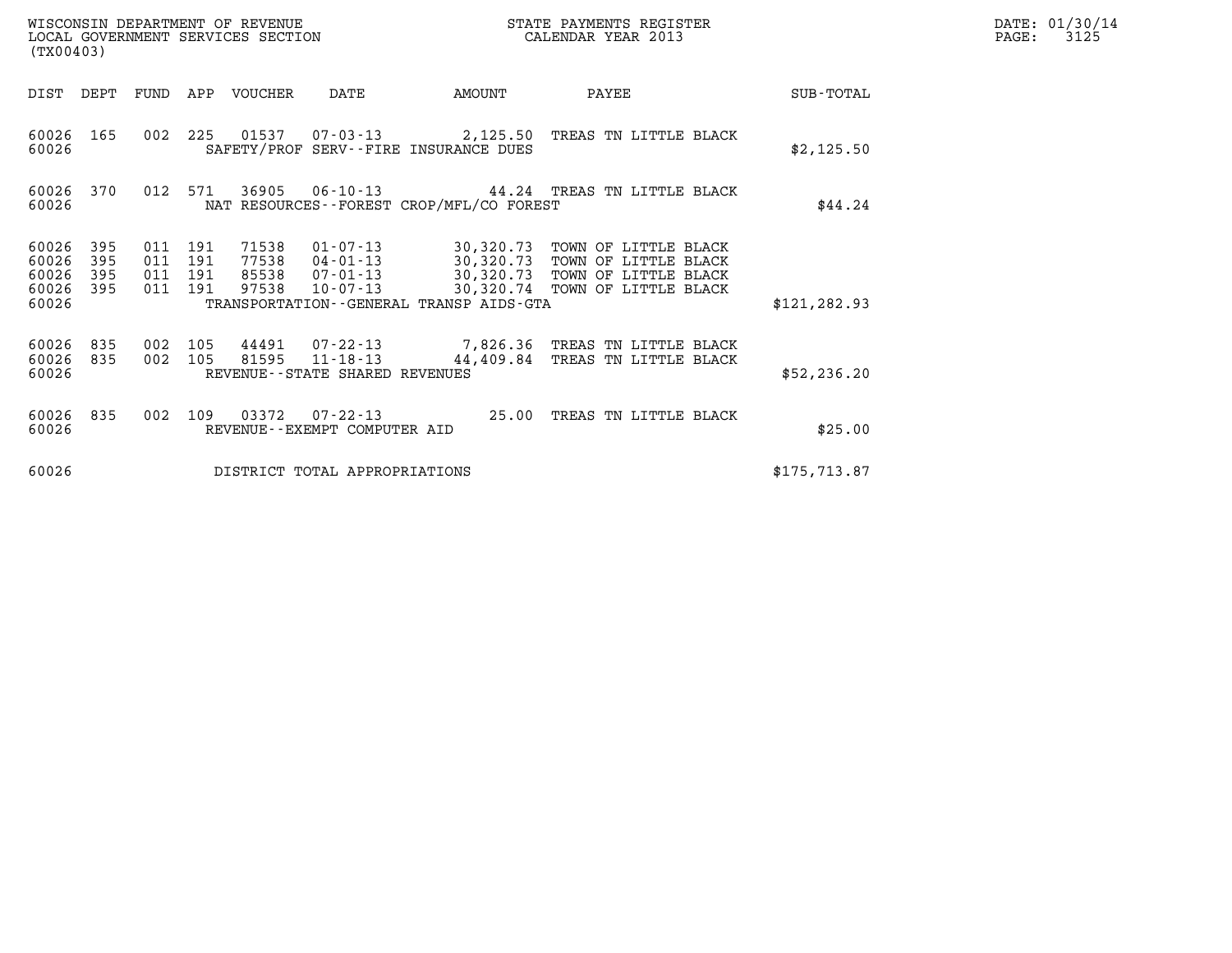| WISCONSIN DEPARTMENT OF REVENUE<br>LOCAL GOVERNMENT SERVICES SECTION<br>(TX00403) |                   |                                          |  |                                 |                                |                                             | STATE PAYMENTS REGISTER<br>CALENDAR YEAR 2013                                                                                                                                                    |               | DATE: 01/30/14<br>PAGE:<br>3125 |
|-----------------------------------------------------------------------------------|-------------------|------------------------------------------|--|---------------------------------|--------------------------------|---------------------------------------------|--------------------------------------------------------------------------------------------------------------------------------------------------------------------------------------------------|---------------|---------------------------------|
|                                                                                   |                   |                                          |  | DIST DEPT FUND APP VOUCHER DATE |                                | <b>AMOUNT</b>                               | <b>PAYEE</b>                                                                                                                                                                                     | SUB-TOTAL     |                                 |
| 60026                                                                             | 60026 165         |                                          |  |                                 |                                | SAFETY/PROF SERV--FIRE INSURANCE DUES       | 002 225 01537 07-03-13 2,125.50 TREAS TN LITTLE BLACK                                                                                                                                            | \$2,125.50    |                                 |
| 60026 370<br>60026                                                                |                   | 012 571                                  |  |                                 |                                | NAT RESOURCES - - FOREST CROP/MFL/CO FOREST | 36905 06-10-13 44.24 TREAS TN LITTLE BLACK                                                                                                                                                       | \$44.24       |                                 |
| 60026 395<br>60026<br>60026<br>60026<br>60026                                     | 395<br>395<br>395 | 011 191<br>011 191<br>011 191<br>011 191 |  | 97538                           |                                | TRANSPORTATION--GENERAL TRANSP AIDS-GTA     | 71538 01-07-13 30,320.73 TOWN OF LITTLE BLACK<br>77538  04-01-13  30,320.73  TOWN OF LITTLE BLACK<br>85538  07-01-13  30,320.73  TOWN OF LITTLE BLACK<br>10-07-13 30,320.74 TOWN OF LITTLE BLACK | \$121, 282.93 |                                 |
| 60026 835<br>60026                                                                | 60026 835         | 002 105<br>002 105                       |  |                                 | REVENUE--STATE SHARED REVENUES | 81595 11-18-13 44,409.84                    | 44491 07-22-13 7,826.36 TREAS TN LITTLE BLACK<br>TREAS TN LITTLE BLACK                                                                                                                           | \$52, 236.20  |                                 |
| 60026 835<br>60026                                                                |                   | 002 109                                  |  |                                 | REVENUE--EXEMPT COMPUTER AID   |                                             | 03372  07-22-13  25.00 TREAS TN LITTLE BLACK                                                                                                                                                     | \$25.00       |                                 |
| 60026                                                                             |                   |                                          |  |                                 | DISTRICT TOTAL APPROPRIATIONS  |                                             |                                                                                                                                                                                                  | \$175, 713.87 |                                 |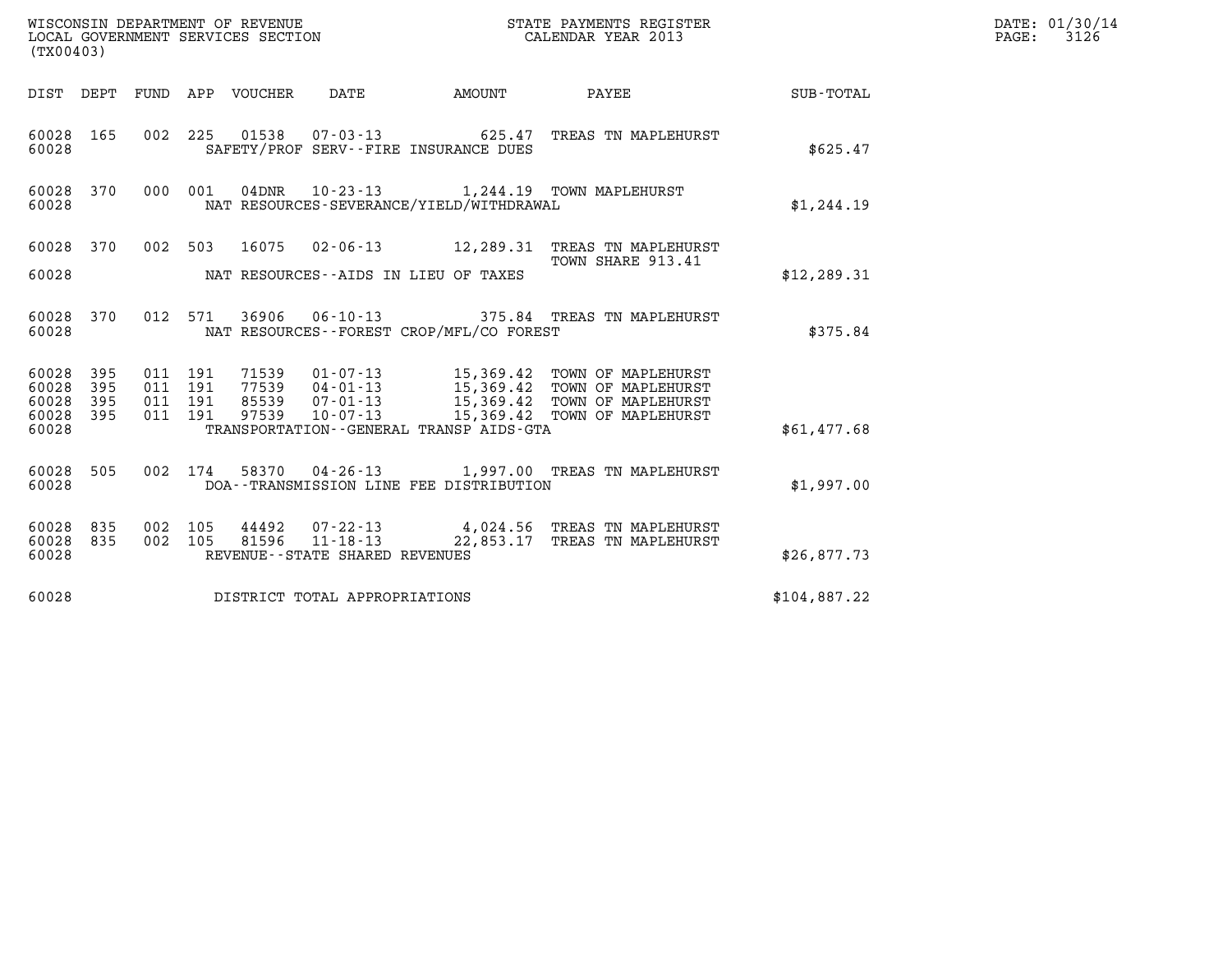| (TX00403)                                                    | WISCONSIN DEPARTMENT OF REVENUE<br>LOCAL GOVERNMENT SERVICES SECTION                           | STATE PAYMENTS REGISTER<br>CALENDAR YEAR 2013                                                                                                                             |              | DATE: 01/30/14<br>$\mathtt{PAGE:}$<br>3126 |
|--------------------------------------------------------------|------------------------------------------------------------------------------------------------|---------------------------------------------------------------------------------------------------------------------------------------------------------------------------|--------------|--------------------------------------------|
|                                                              | AMOUNT<br>DIST DEPT FUND APP VOUCHER DATE                                                      | PAYEE                                                                                                                                                                     | SUB-TOTAL    |                                            |
| 60028 165<br>60028                                           | 002 225<br>01538  07-03-13    625.47<br>SAFETY/PROF SERV--FIRE INSURANCE DUES                  | TREAS TN MAPLEHURST                                                                                                                                                       | \$625.47     |                                            |
| 60028 370<br>60028                                           | 000 001<br>NAT RESOURCES-SEVERANCE/YIELD/WITHDRAWAL                                            | 04DNR  10-23-13   1,244.19  TOWN MAPLEHURST                                                                                                                               | \$1,244.19   |                                            |
| 60028 370                                                    | 002 503                                                                                        | 16075  02-06-13  12, 289.31  TREAS TN MAPLEHURST<br>TOWN SHARE 913.41                                                                                                     |              |                                            |
| 60028                                                        | NAT RESOURCES--AIDS IN LIEU OF TAXES                                                           |                                                                                                                                                                           | \$12, 289.31 |                                            |
| 60028 370<br>60028                                           | 012 571<br>NAT RESOURCES - - FOREST CROP/MFL/CO FOREST                                         | 36906  06-10-13  375.84  TREAS TN MAPLEHURST                                                                                                                              | \$375.84     |                                            |
| 60028<br>395<br>395<br>60028<br>60028<br>395<br>395<br>60028 | 011 191<br>71539<br>011 191<br>011 191<br>011 191<br>97539<br>$10 - 07 - 13$                   | 01-07-13 15,369.42 TOWN OF MAPLEHURST<br>77539  04-01-13  15,369.42  TOWN OF MAPLEHURST<br>85539  07-01-13  15,369.42  TOWN OF MAPLEHURST<br>15,369.42 TOWN OF MAPLEHURST |              |                                            |
| 60028                                                        | TRANSPORTATION--GENERAL TRANSP AIDS-GTA                                                        |                                                                                                                                                                           | \$61,477.68  |                                            |
| 60028 505<br>60028                                           | 002 174 58370 04-26-13 1,997.00 TREAS TN MAPLEHURST<br>DOA--TRANSMISSION LINE FEE DISTRIBUTION |                                                                                                                                                                           | \$1,997.00   |                                            |
| 60028<br>835<br>60028 835<br>60028                           | 002 105<br>44492<br>002 105<br>REVENUE--STATE SHARED REVENUES                                  | 07-22-13 4,024.56 TREAS TN MAPLEHURST<br>81596  11-18-13  22,853.17  TREAS TN MAPLEHURST                                                                                  | \$26,877.73  |                                            |
| 60028                                                        | DISTRICT TOTAL APPROPRIATIONS                                                                  |                                                                                                                                                                           | \$104,887.22 |                                            |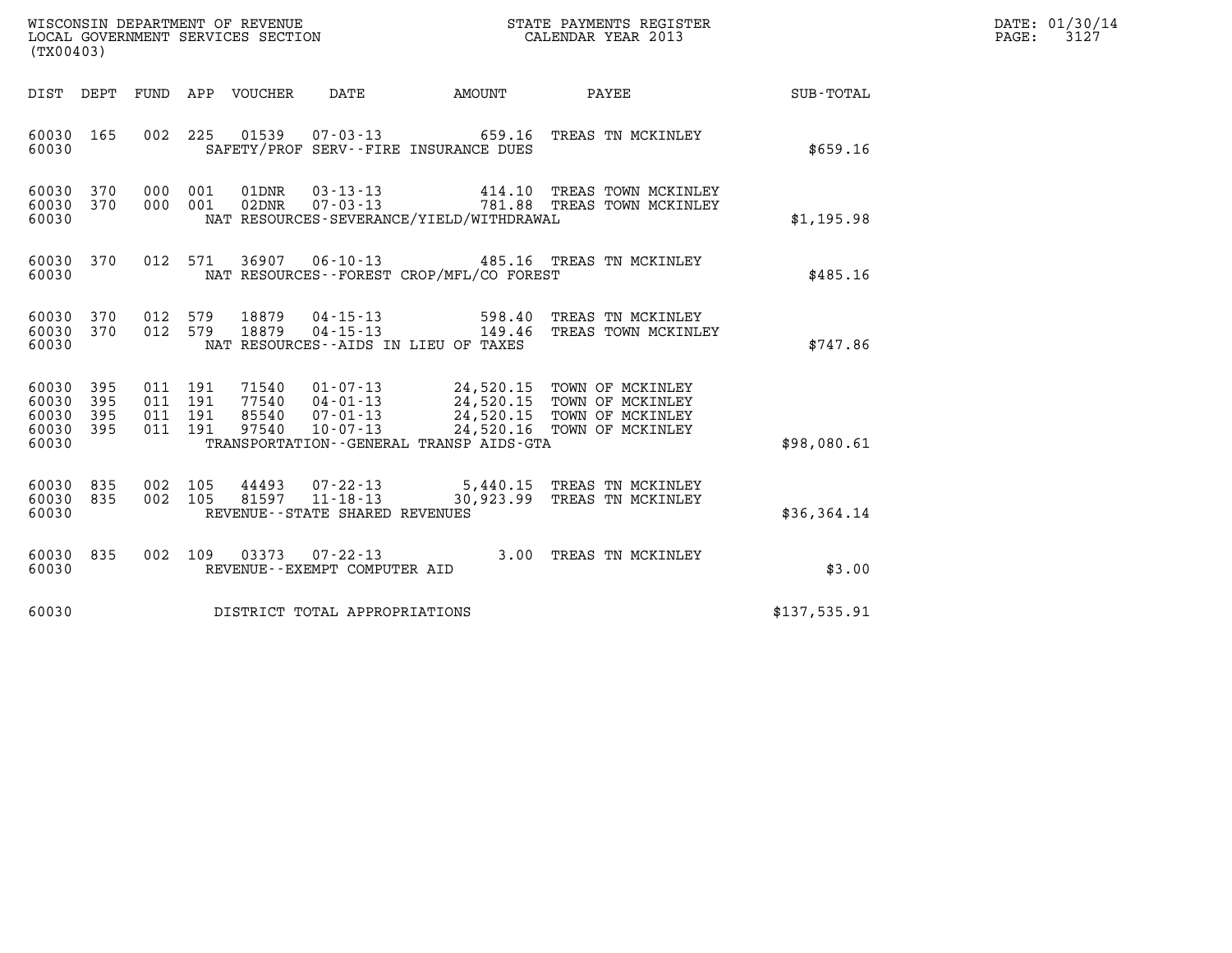| WISCONSIN DEPARTMENT OF REVENUE   | STATE PAYMENTS REGISTER | DATE: 01/30/14 |
|-----------------------------------|-------------------------|----------------|
| LOCAL GOVERNMENT SERVICES SECTION | CALENDAR YEAR 2013      | 3127<br>PAGE:  |

| (TX00403)                                     |                        |                               |                    |                       |                                 |                                                                  |                                                                                                                                                                                              |              | DATE: 01/30/14<br>PAGE:<br>3127 |
|-----------------------------------------------|------------------------|-------------------------------|--------------------|-----------------------|---------------------------------|------------------------------------------------------------------|----------------------------------------------------------------------------------------------------------------------------------------------------------------------------------------------|--------------|---------------------------------|
| DIST DEPT                                     |                        |                               |                    | FUND APP VOUCHER DATE |                                 | AMOUNT                                                           | <b>PAYEE</b>                                                                                                                                                                                 | SUB-TOTAL    |                                 |
| 60030                                         | 60030 165              | 002                           | 225                |                       |                                 | 01539  07-03-13  659.16<br>SAFETY/PROF SERV--FIRE INSURANCE DUES | TREAS TN MCKINLEY                                                                                                                                                                            | \$659.16     |                                 |
| 60030                                         | 60030 370<br>60030 370 |                               | 000 001<br>000 001 | 01DNR<br>02DNR        |                                 | NAT RESOURCES-SEVERANCE/YIELD/WITHDRAWAL                         | 03-13-13  414.10 TREAS TOWN MCKINLEY<br>07-03-13  781.88 TREAS TOWN MCKINLEY                                                                                                                 | \$1,195.98   |                                 |
| 60030                                         | 60030 370              |                               | 012 571            |                       |                                 | NAT RESOURCES - - FOREST CROP/MFL/CO FOREST                      | 36907  06-10-13  485.16  TREAS TN MCKINLEY                                                                                                                                                   | \$485.16     |                                 |
| 60030                                         | 60030 370<br>60030 370 | 012 579<br>012 579            |                    | 18879<br>18879        |                                 | NAT RESOURCES--AIDS IN LIEU OF TAXES                             | 04-15-13 598.40 TREAS TN MCKINLEY<br>04-15-13 149.46 TREAS TOWN MCKINLEY                                                                                                                     | \$747.86     |                                 |
| 60030<br>60030<br>60030<br>60030 395<br>60030 | 395<br>395<br>395      | 011 191<br>011 191<br>011 191 | 011 191            |                       |                                 | TRANSPORTATION--GENERAL TRANSP AIDS-GTA                          | 71540  01-07-13  24,520.15  TOWN OF MCKINLEY<br>77540  04-01-13  24,520.15  TOWN OF MCKINLEY<br>85540  07-01-13  24,520.15  TOWN OF MCKINLEY<br>97540  10-07-13  24,520.16  TOWN OF MCKINLEY | \$98,080.61  |                                 |
| 60030 835<br>60030 835<br>60030               |                        | 002 105                       | 002 105            | 44493<br>81597        | REVENUE--STATE SHARED REVENUES  |                                                                  | 07-22-13 5,440.15 TREAS TN MCKINLEY<br>11-18-13 30,923.99 TREAS TN MCKINLEY                                                                                                                  | \$36,364.14  |                                 |
| 60030                                         | 60030 835              |                               |                    |                       | REVENUE - - EXEMPT COMPUTER AID |                                                                  | 002 109 03373 07-22-13 3.00 TREAS TN MCKINLEY                                                                                                                                                | \$3.00       |                                 |
| 60030                                         |                        |                               |                    |                       | DISTRICT TOTAL APPROPRIATIONS   |                                                                  |                                                                                                                                                                                              | \$137,535.91 |                                 |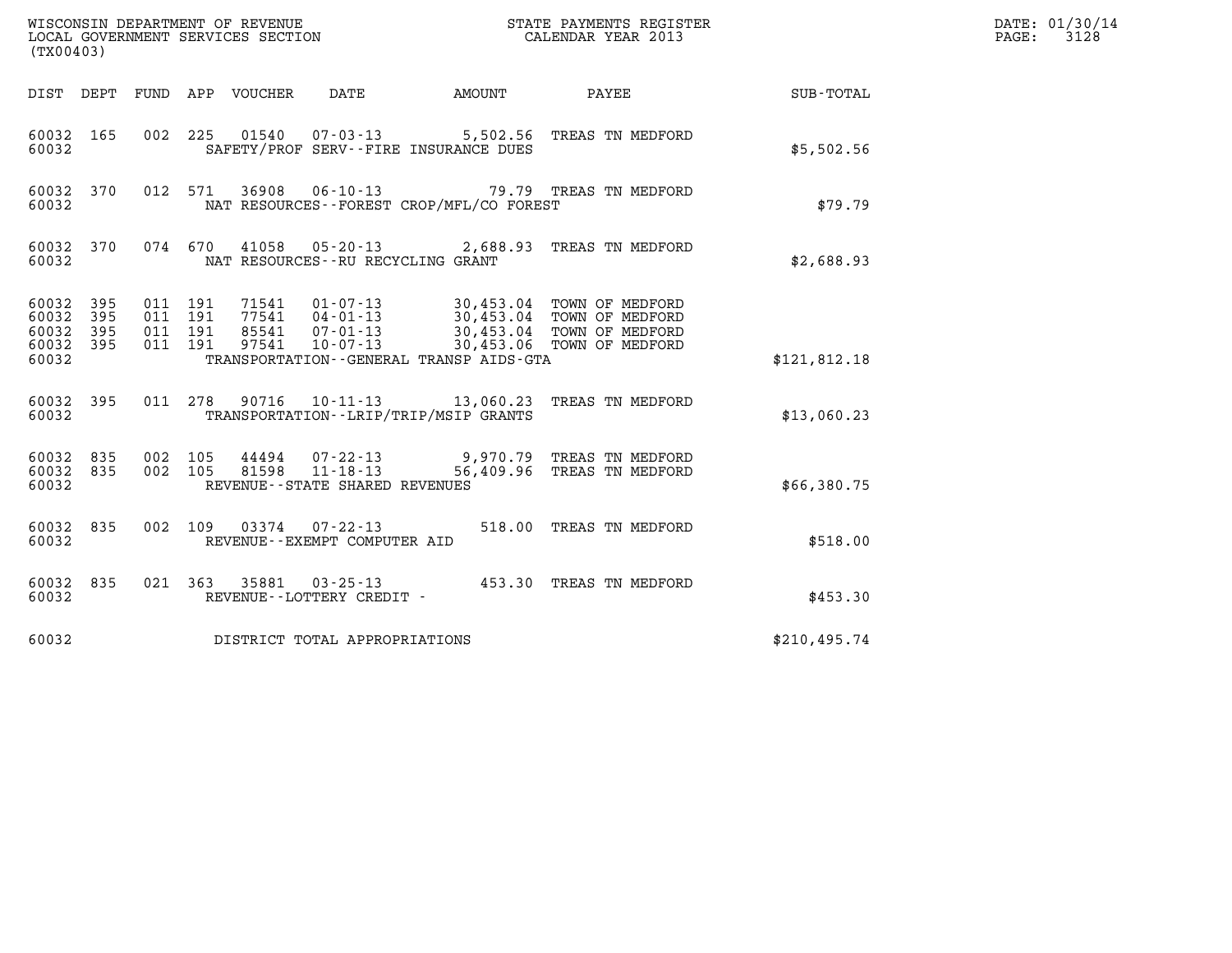| (TX00403)                                     |                   |                                          | WISCONSIN DEPARTMENT OF REVENUE<br>STATE PAYMENTS REGISTER<br>CALENDAR YEAR 2013<br>LOCAL GOVERNMENT SERVICES SECTION                                                                                                                                                  |                    | DATE: 01/30/14<br>PAGE:<br>3128 |
|-----------------------------------------------|-------------------|------------------------------------------|------------------------------------------------------------------------------------------------------------------------------------------------------------------------------------------------------------------------------------------------------------------------|--------------------|---------------------------------|
| DIST DEPT                                     |                   |                                          | FUND APP VOUCHER<br>AMOUNT<br>DATE                                                                                                                                                                                                                                     | PAYEE<br>SUB-TOTAL |                                 |
| 60032 165<br>60032                            |                   | 002 225                                  | 01540<br>$07 - 03 - 13$<br>5,502.56 TREAS TN MEDFORD<br>SAFETY/PROF SERV--FIRE INSURANCE DUES                                                                                                                                                                          | \$5,502.56         |                                 |
| 60032 370<br>60032                            |                   | 012 571                                  | 36908<br>06-10-13<br>79.79 TREAS TN MEDFORD<br>NAT RESOURCES--FOREST CROP/MFL/CO FOREST                                                                                                                                                                                | \$79.79            |                                 |
| 60032 370<br>60032                            |                   | 074 670                                  | 41058<br>$05 - 20 - 13$<br>2,688.93 TREAS TN MEDFORD<br>NAT RESOURCES - - RU RECYCLING GRANT                                                                                                                                                                           | \$2,688.93         |                                 |
| 60032 395<br>60032<br>60032<br>60032<br>60032 | 395<br>395<br>395 | 011 191<br>011 191<br>011 191<br>011 191 | 71541<br>$01 - 07 - 13$<br>30,453.04 TOWN OF MEDFORD<br>77541<br>$04 - 01 - 13$<br>30,453.04 TOWN OF MEDFORD<br>85541<br>07-01-13<br>30,453.04 TOWN OF MEDFORD<br>$10 - 07 - 13$<br>30,453.06 TOWN OF MEDFORD<br>97541<br>TRANSPORTATION - - GENERAL TRANSP AIDS - GTA | \$121,812.18       |                                 |
| 60032 395<br>60032                            |                   | 011 278                                  | 10-11-13 13,060.23 TREAS TN MEDFORD<br>90716<br>TRANSPORTATION--LRIP/TRIP/MSIP GRANTS                                                                                                                                                                                  | \$13,060.23        |                                 |
| 60032 835<br>60032 835<br>60032               |                   | 002 105<br>002 105                       | 9,970.79 TREAS TN MEDFORD<br>44494<br>07-22-13<br>$11 - 18 - 13$<br>56,409.96 TREAS TN MEDFORD<br>81598<br>REVENUE--STATE SHARED REVENUES                                                                                                                              | \$66,380.75        |                                 |
| 60032 835<br>60032                            |                   | 002 109                                  | 03374<br>07-22-13<br>518.00 TREAS TN MEDFORD<br>REVENUE--EXEMPT COMPUTER AID                                                                                                                                                                                           | \$518.00           |                                 |
| 60032 835<br>60032                            |                   |                                          | 021 363<br>35881<br>$03 - 25 - 13$<br>453.30 TREAS TN MEDFORD<br>REVENUE - - LOTTERY CREDIT -                                                                                                                                                                          | \$453.30           |                                 |
| 60032                                         |                   |                                          | DISTRICT TOTAL APPROPRIATIONS                                                                                                                                                                                                                                          | \$210,495.74       |                                 |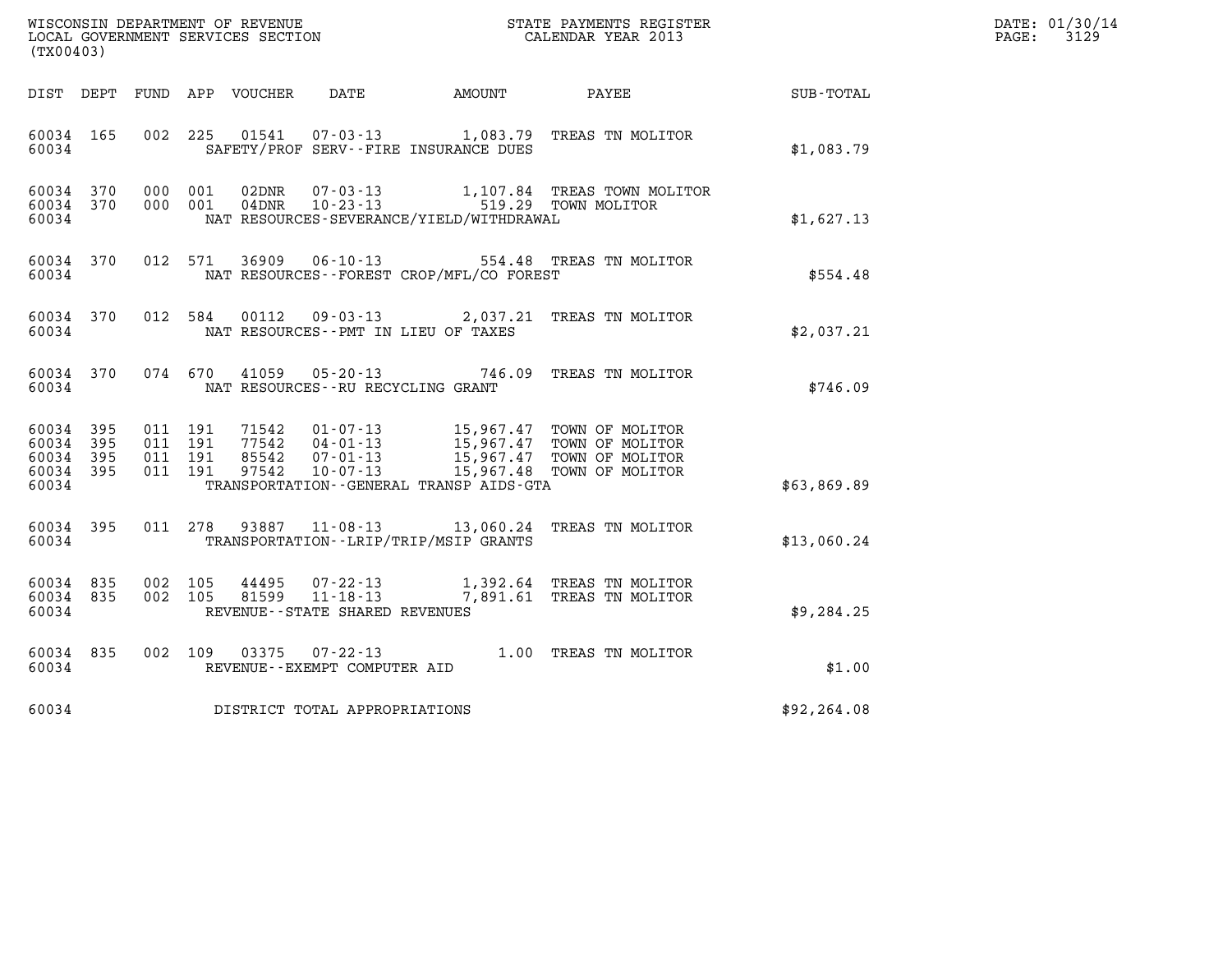| DATE: | 01/30/14 |
|-------|----------|
| PAGE: | 3129     |

| WISCONSIN DEPARTMENT OF REVENUE<br>LOCAL GOVERNMENT SERVICES SECTION<br>CALENDAR YEAR 2013<br>(TX00403) |     |         |                                          |                |                                   |                                             |                                                                                                                                                                                          |                 | DATE: 01/30/14<br>$\mathtt{PAGE:}$<br>3129 |
|---------------------------------------------------------------------------------------------------------|-----|---------|------------------------------------------|----------------|-----------------------------------|---------------------------------------------|------------------------------------------------------------------------------------------------------------------------------------------------------------------------------------------|-----------------|--------------------------------------------|
| DIST DEPT                                                                                               |     |         |                                          |                |                                   | FUND APP VOUCHER DATE AMOUNT                |                                                                                                                                                                                          | PAYEE SUB-TOTAL |                                            |
| 60034 165<br>60034                                                                                      |     |         |                                          | 002 225 01541  |                                   | SAFETY/PROF SERV--FIRE INSURANCE DUES       | 07-03-13 1,083.79 TREAS TN MOLITOR                                                                                                                                                       | \$1,083.79      |                                            |
| 60034 370<br>60034 370<br>60034                                                                         |     |         |                                          |                |                                   | NAT RESOURCES-SEVERANCE/YIELD/WITHDRAWAL    | 000 001 02DNR 07-03-13 1,107.84 TREAS TOWN MOLITOR<br>000 001 04DNR 10-23-13 519.29 TOWN MOLITOR                                                                                         | \$1,627.13      |                                            |
| 60034 370<br>60034                                                                                      |     |         |                                          |                |                                   | NAT RESOURCES - - FOREST CROP/MFL/CO FOREST | 012 571 36909 06-10-13 554.48 TREAS TN MOLITOR                                                                                                                                           | \$554.48        |                                            |
| 60034 370<br>60034                                                                                      |     |         |                                          |                |                                   | NAT RESOURCES -- PMT IN LIEU OF TAXES       | 012 584 00112 09-03-13 2,037.21 TREAS TN MOLITOR                                                                                                                                         | \$2,037.21      |                                            |
| 60034 370<br>60034                                                                                      |     |         | 074 670                                  |                |                                   | NAT RESOURCES - - RU RECYCLING GRANT        | 41059  05-20-13  746.09  TREAS TN MOLITOR                                                                                                                                                | \$746.09        |                                            |
| 60034 395<br>60034<br>60034 395<br>60034 395<br>60034                                                   | 395 |         | 011 191<br>011 191<br>011 191<br>011 191 |                |                                   | TRANSPORTATION--GENERAL TRANSP AIDS-GTA     | 71542  01-07-13  15,967.47  TOWN OF MOLITOR<br>77542  04-01-13  15,967.47  TOWN OF MOLITOR<br>85542  07-01-13  15,967.47  TOWN OF MOLITOR<br>97542  10-07-13  15,967.48  TOWN OF MOLITOR | \$63,869.89     |                                            |
| 60034 395<br>60034                                                                                      |     |         |                                          |                |                                   | TRANSPORTATION - - LRIP/TRIP/MSIP GRANTS    | 011 278 93887 11-08-13 13,060.24 TREAS TN MOLITOR                                                                                                                                        | \$13,060.24     |                                            |
| 60034 835<br>60034 835<br>60034                                                                         |     | 002 105 | 002 105                                  | 44495<br>81599 | REVENUE - - STATE SHARED REVENUES |                                             | 07-22-13 1,392.64 TREAS TN MOLITOR<br>11-18-13 7,891.61 TREAS TN MOLITOR                                                                                                                 | \$9,284.25      |                                            |
| 60034 835<br>60034                                                                                      |     |         |                                          |                | REVENUE--EXEMPT COMPUTER AID      |                                             | 002 109 03375 07-22-13 1.00 TREAS TN MOLITOR                                                                                                                                             | \$1.00          |                                            |
| 60034                                                                                                   |     |         |                                          |                | DISTRICT TOTAL APPROPRIATIONS     |                                             |                                                                                                                                                                                          | \$92,264.08     |                                            |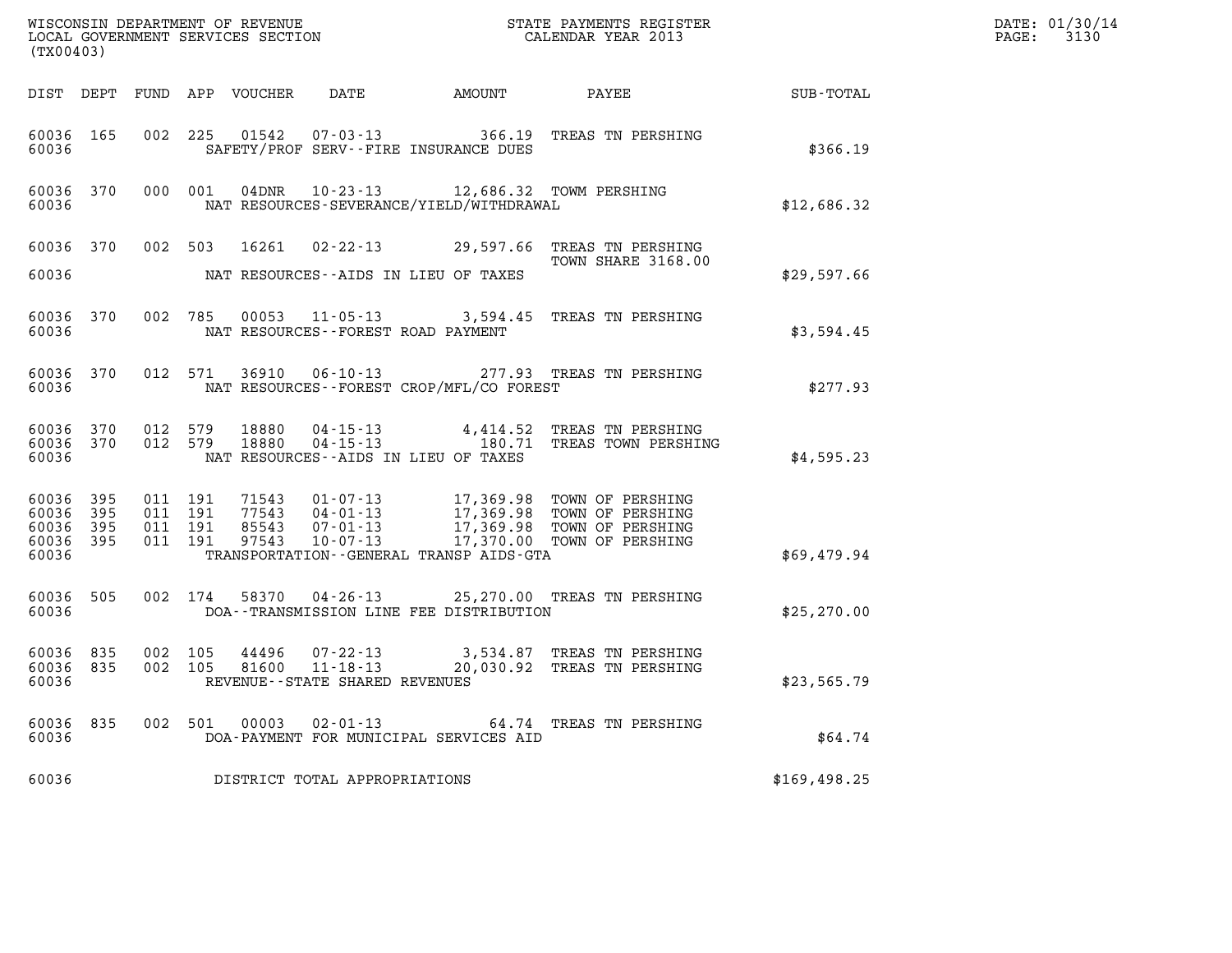| (TX00403)                                |                    |                               |         |               |                                                     |                                                                                                      |                                                                                                                                                                                              | DATE: 01/30/14<br>$\mathtt{PAGE:}$<br>3130 |  |
|------------------------------------------|--------------------|-------------------------------|---------|---------------|-----------------------------------------------------|------------------------------------------------------------------------------------------------------|----------------------------------------------------------------------------------------------------------------------------------------------------------------------------------------------|--------------------------------------------|--|
|                                          |                    |                               |         |               |                                                     |                                                                                                      |                                                                                                                                                                                              |                                            |  |
| 60036                                    | 60036 165          |                               |         |               |                                                     | SAFETY/PROF SERV--FIRE INSURANCE DUES                                                                | 002 225 01542 07-03-13 366.19 TREAS TN PERSHING                                                                                                                                              | \$366.19                                   |  |
| 60036                                    |                    |                               |         |               |                                                     | 60036 370 000 001 04DNR 10-23-13 12,686.32 TOWM PERSHING<br>NAT RESOURCES-SEVERANCE/YIELD/WITHDRAWAL |                                                                                                                                                                                              | \$12,686.32                                |  |
|                                          |                    |                               |         |               |                                                     |                                                                                                      | 60036 370 002 503 16261 02-22-13 29,597.66 TREAS TN PERSHING<br>TOWN SHARE 3168.00                                                                                                           |                                            |  |
|                                          |                    |                               |         |               | 60036 MAT RESOURCES--AIDS IN LIEU OF TAXES          |                                                                                                      |                                                                                                                                                                                              | \$29,597.66                                |  |
| 60036                                    |                    |                               |         |               | NAT RESOURCES--FOREST ROAD PAYMENT                  |                                                                                                      | 60036 370 002 785 00053 11-05-13 3,594.45 TREAS TN PERSHING                                                                                                                                  | \$3,594.45                                 |  |
|                                          | 60036 2003         |                               |         |               |                                                     | NAT RESOURCES - - FOREST CROP/MFL/CO FOREST                                                          | 60036 370 012 571 36910 06-10-13 277.93 TREAS TN PERSHING                                                                                                                                    | \$277.93                                   |  |
| 60036                                    |                    |                               |         |               | NAT RESOURCES -- AIDS IN LIEU OF TAXES              |                                                                                                      | 60036 370 012 579 18880 04-15-13 4,414.52 TREAS TN PERSHING<br>60036 370 012 579 18880 04-15-13 180.71 TREAS TOWN PERSHING                                                                   | \$4,595.23                                 |  |
| 60036 395<br>60036<br>60036 395<br>60036 | 395<br>60036 395   | 011 191<br>011 191<br>011 191 | 011 191 |               |                                                     | TRANSPORTATION--GENERAL TRANSP AIDS-GTA                                                              | 71543  01-07-13  17,369.98  TOWN OF PERSHING<br>77543  04-01-13  17,369.98  TOWN OF PERSHING<br>85543  07-01-13  17,369.98  TOWN OF PERSHING<br>97543  10-07-13  17,370.00  TOWN OF PERSHING | \$69,479.94                                |  |
|                                          | 60036 505<br>60036 |                               |         |               |                                                     | DOA--TRANSMISSION LINE FEE DISTRIBUTION                                                              | 002 174 58370 04-26-13 25,270.00 TREAS TN PERSHING                                                                                                                                           | \$25, 270.00                               |  |
| 60036 835<br>60036 835<br>60036          |                    | 002 105<br>002 105            |         |               | 81600 11-18-13<br>REVENUE - - STATE SHARED REVENUES |                                                                                                      | 44496 07-22-13 3,534.87 TREAS TN PERSHING<br>20,030.92 TREAS TN PERSHING                                                                                                                     | \$23,565.79                                |  |
| 60036 835<br>60036                       |                    |                               |         | 002 501 00003 | $02 - 01 - 13$                                      | DOA-PAYMENT FOR MUNICIPAL SERVICES AID                                                               | 64.74 TREAS TN PERSHING                                                                                                                                                                      | \$64.74                                    |  |
| 60036                                    |                    |                               |         |               | DISTRICT TOTAL APPROPRIATIONS                       |                                                                                                      |                                                                                                                                                                                              | \$169,498.25                               |  |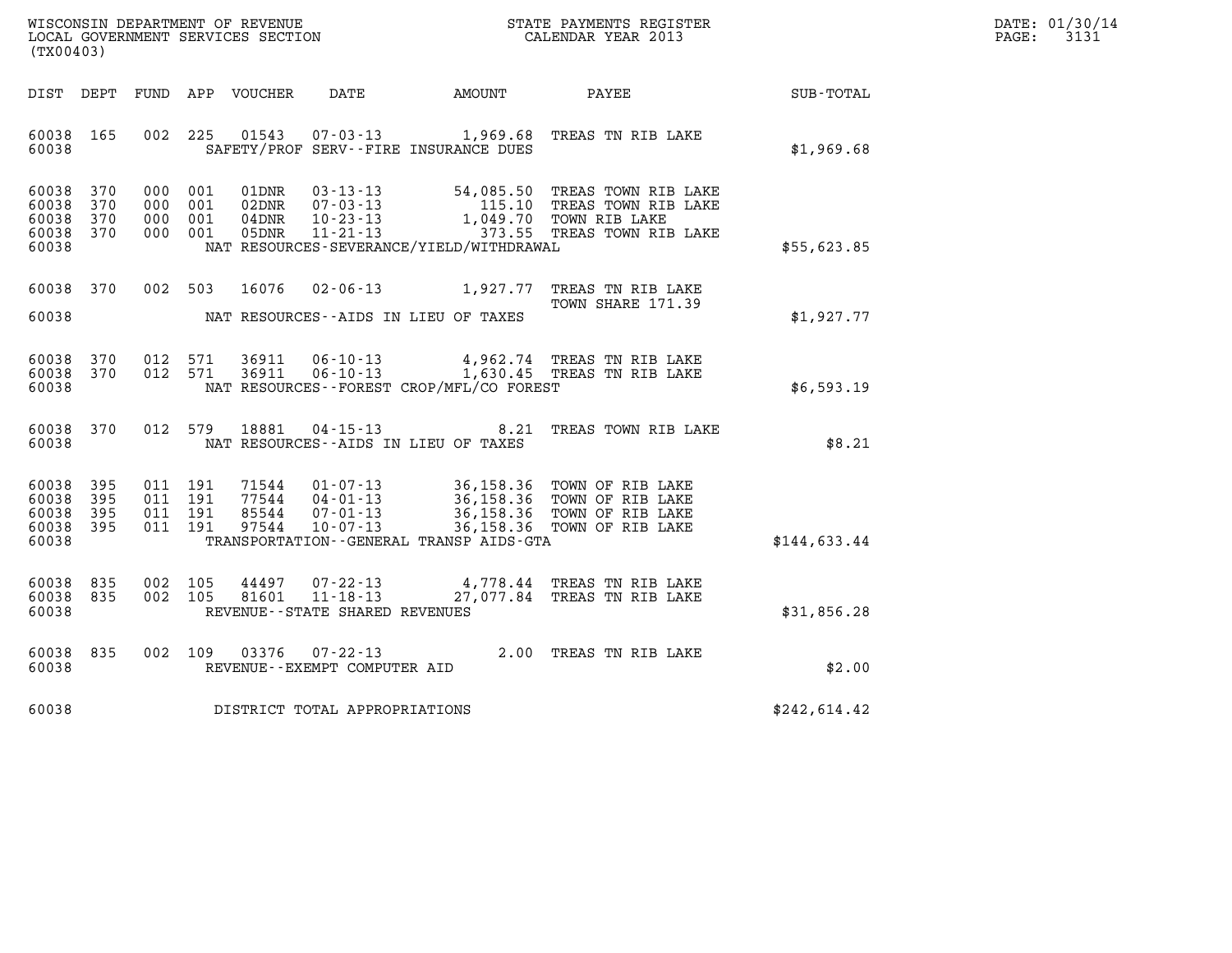| WISCONSIN DEPARTMENT OF REVENUE   | STATE PAYMENTS REGISTER | DATE: 01/30/14 |
|-----------------------------------|-------------------------|----------------|
| LOCAL GOVERNMENT SERVICES SECTION | CALENDAR YEAR 2013      | 3131<br>PAGE:  |

| WISCONSIN DEPARTMENT OF REVENUE<br>(TX00403)                                                      | LOCAL GOVERNMENT SERVICES SECTION                                                                                                                                                | STATE PAYMENTS REGISTER<br>CALENDAR YEAR 2013                                                                                    |              |
|---------------------------------------------------------------------------------------------------|----------------------------------------------------------------------------------------------------------------------------------------------------------------------------------|----------------------------------------------------------------------------------------------------------------------------------|--------------|
| DIST<br>DEPT<br>FUND                                                                              | APP<br>VOUCHER<br>DATE<br>AMOUNT                                                                                                                                                 | PAYEE                                                                                                                            | SUB-TOTAL    |
| 60038<br>165<br>002<br>60038                                                                      | 225<br>01543<br>$07 - 03 - 13$<br>SAFETY/PROF SERV--FIRE INSURANCE DUES                                                                                                          | 1,969.68<br>TREAS TN RIB LAKE                                                                                                    | \$1,969.68   |
| 60038<br>370<br>000<br>370<br>60038<br>000<br>60038<br>370<br>000<br>60038<br>370<br>000<br>60038 | 001<br>$03 - 13 - 13$<br>01DNR<br>001<br>$07 - 03 - 13$<br>02DNR<br>$10 - 23 - 13$<br>001<br>04DNR<br>$11 - 21 - 13$<br>001<br>05DNR<br>NAT RESOURCES-SEVERANCE/YIELD/WITHDRAWAL | 54,085.50<br>TREAS TOWN RIB LAKE<br>115.10<br>TREAS TOWN RIB LAKE<br>1,049.70<br>TOWN RIB LAKE<br>373.55<br>TREAS TOWN RIB LAKE  | \$55,623.85  |
| 60038<br>370<br>002<br>60038                                                                      | 503<br>16076<br>$02 - 06 - 13$<br>NAT RESOURCES -- AIDS IN LIEU OF TAXES                                                                                                         | 1,927.77<br>TREAS TN RIB LAKE<br>TOWN SHARE 171.39                                                                               | \$1,927.77   |
| 60038<br>370<br>012<br>370<br>012<br>60038<br>60038                                               | 571<br>36911<br>$06 - 10 - 13$<br>571<br>36911<br>$06 - 10 - 13$<br>NAT RESOURCES - - FOREST CROP/MFL/CO FOREST                                                                  | 4,962.74 TREAS TN RIB LAKE<br>1,630.45 TREAS TN RIB LAKE                                                                         | \$6,593.19   |
| 012<br>60038<br>370<br>60038                                                                      | 579<br>18881<br>$04 - 15 - 13$<br>NAT RESOURCES -- AIDS IN LIEU OF TAXES                                                                                                         | 8.21<br>TREAS TOWN RIB LAKE                                                                                                      | \$8.21       |
| 60038<br>395<br>011<br>395<br>011<br>60038<br>60038<br>011<br>395<br>60038<br>395<br>011<br>60038 | 191<br>71544<br>$01 - 07 - 13$<br>191<br>77544<br>$04 - 01 - 13$<br>191<br>85544<br>$07 - 01 - 13$<br>191<br>97544<br>$10 - 07 - 13$<br>TRANSPORTATION--GENERAL TRANSP AIDS-GTA  | 36,158.36<br>TOWN OF RIB LAKE<br>36,158.36<br>TOWN OF RIB LAKE<br>36,158.36<br>TOWN OF RIB LAKE<br>36,158.36<br>TOWN OF RIB LAKE | \$144,633.44 |
| 60038<br>835<br>002<br>835<br>002<br>60038<br>60038                                               | 105<br>$07 - 22 - 13$<br>44497<br>$11 - 18 - 13$<br>105<br>81601<br>REVENUE - - STATE SHARED REVENUES                                                                            | 4,778.44<br>TREAS TN RIB LAKE<br>27,077.84<br>TREAS TN RIB LAKE                                                                  | \$31,856.28  |
| 60038<br>835<br>002<br>60038                                                                      | 109<br>03376<br>$07 - 22 - 13$<br>REVENUE - - EXEMPT COMPUTER AID                                                                                                                | 2.00<br>TREAS TN RIB LAKE                                                                                                        | \$2.00       |
| 60038                                                                                             | DISTRICT TOTAL APPROPRIATIONS                                                                                                                                                    |                                                                                                                                  | \$242,614.42 |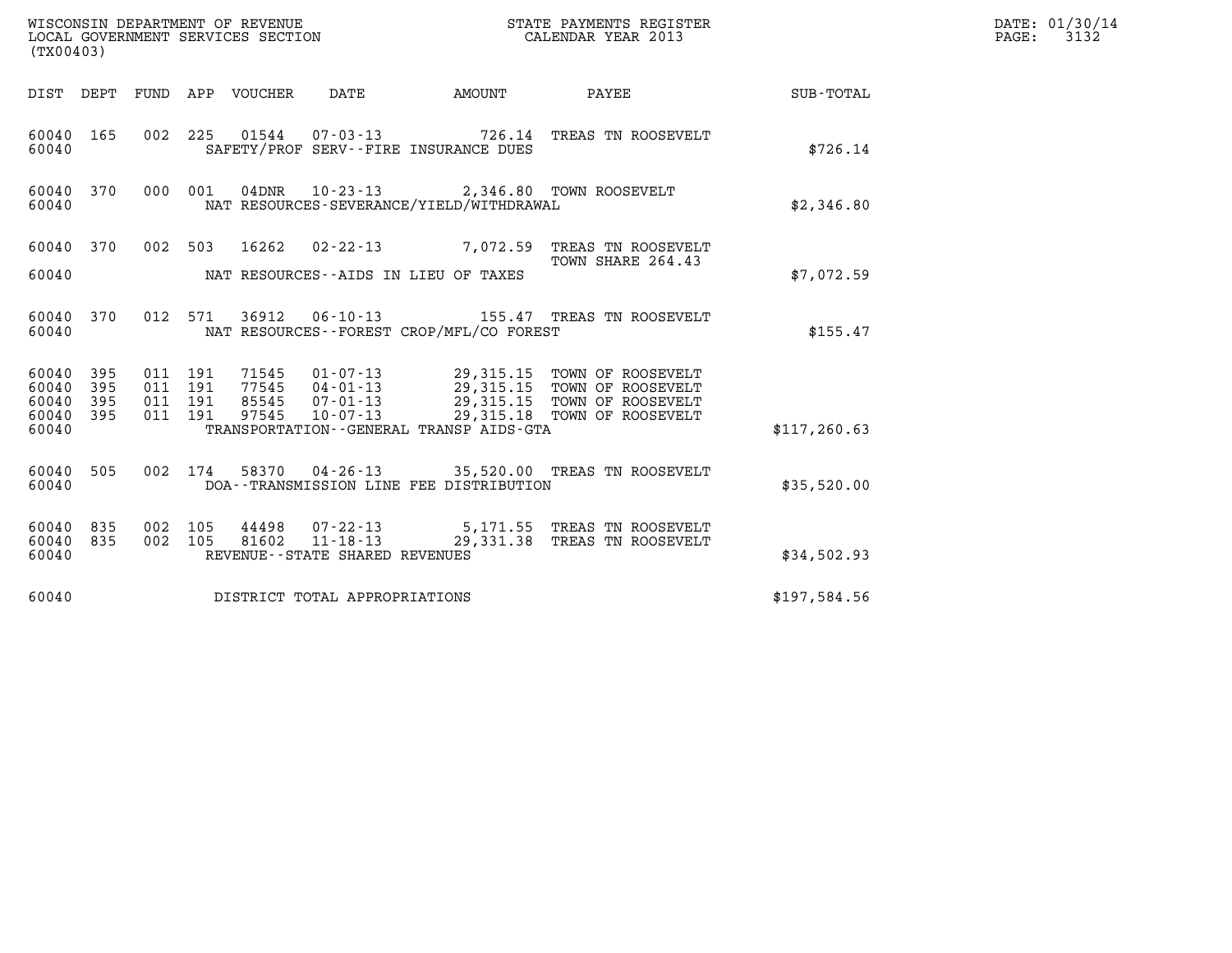| DATE: 01/30/14<br>WISCONSIN DEPARTMENT OF REVENUE<br>STATE PAYMENTS REGISTER          |  |
|---------------------------------------------------------------------------------------|--|
| 3132<br>CALENDAR YEAR 2013<br>PAGE:<br>LOCAL GOVERNMENT SERVICES SECTION<br>(TX00403) |  |

| (TX00403)                                                                                         |                                                                                                                                                                                                                                                                                              |               |
|---------------------------------------------------------------------------------------------------|----------------------------------------------------------------------------------------------------------------------------------------------------------------------------------------------------------------------------------------------------------------------------------------------|---------------|
| DIST<br>DEPT<br>FUND                                                                              | DATE<br>APP VOUCHER<br><b>EXAMPLE THE PROPERTY OF AMOUNT</b><br>PAYEE                                                                                                                                                                                                                        | SUB-TOTAL     |
| 165<br>002<br>60040<br>60040                                                                      | 225<br>01544  07-03-13  726.14  TREAS TN ROOSEVELT<br>SAFETY/PROF SERV--FIRE INSURANCE DUES                                                                                                                                                                                                  | \$726.14      |
| 370<br>000<br>60040<br>60040                                                                      | 001<br>04DNR  10-23-13  2,346.80 TOWN ROOSEVELT<br>NAT RESOURCES-SEVERANCE/YIELD/WITHDRAWAL                                                                                                                                                                                                  | \$2,346.80    |
| 002<br>370<br>60040<br>60040                                                                      | 503<br>16262<br>$02 - 22 - 13$<br>7,072.59 TREAS TN ROOSEVELT<br>TOWN SHARE 264.43<br>NAT RESOURCES--AIDS IN LIEU OF TAXES                                                                                                                                                                   | \$7,072.59    |
| 60040<br>370<br>012<br>60040                                                                      | 571<br>36912<br>NAT RESOURCES - - FOREST CROP/MFL/CO FOREST                                                                                                                                                                                                                                  | \$155.47      |
| 395<br>011<br>60040<br>395<br>60040<br>011<br>395<br>60040<br>011<br>395<br>60040<br>011<br>60040 | 71545<br>01-07-13 29,315.15 TOWN OF ROOSEVELT<br>04-01-13 29,315.15 TOWN OF ROOSEVELT<br>191<br>77545 04-01-13<br>191<br>29,315.15 TOWN OF ROOSEVELT<br>85545 07-01-13<br>191<br>29,315.18<br>$10 - 07 - 13$<br>191<br>97545<br>TOWN OF ROOSEVELT<br>TRANSPORTATION--GENERAL TRANSP AIDS-GTA | \$117, 260.63 |
| 002<br>60040<br>505<br>60040                                                                      | 174<br>58370  04-26-13  35,520.00  TREAS TN ROOSEVELT<br>DOA--TRANSMISSION LINE FEE DISTRIBUTION                                                                                                                                                                                             | \$35,520.00   |
| 835<br>002<br>60040<br>60040<br>835<br>002<br>60040                                               | 44498<br>07-22-13 5,171.55 TREAS TN ROOSEVELT<br>11-18-13 29,331.38 TREAS TN ROOSEVELT<br>105<br>$11 - 18 - 13$<br>105<br>81602<br>REVENUE - - STATE SHARED REVENUES                                                                                                                         | \$34,502.93   |
| 60040                                                                                             | DISTRICT TOTAL APPROPRIATIONS                                                                                                                                                                                                                                                                | \$197,584.56  |

(TX00403)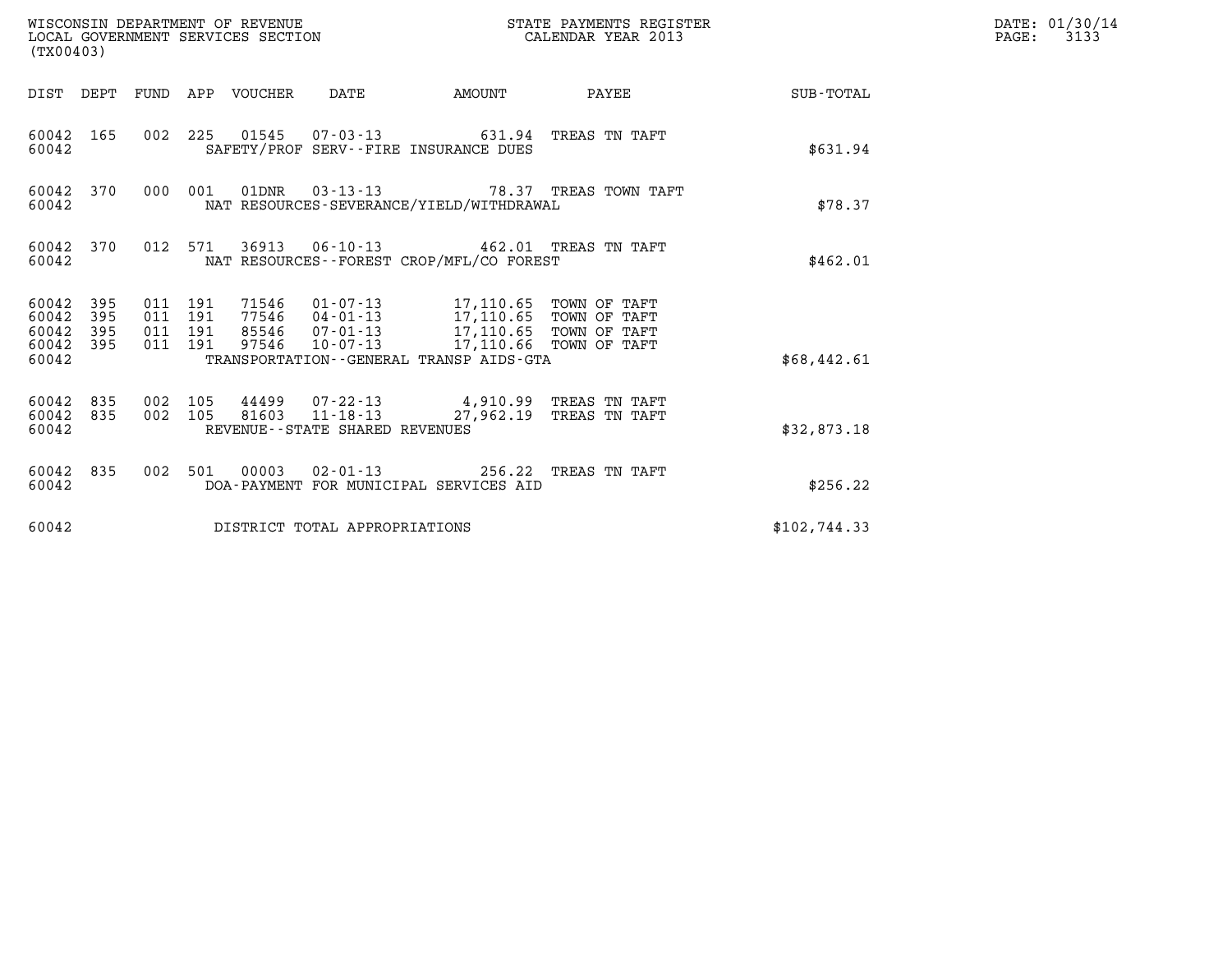| (TX00403)                                                 |                                          | WISCONSIN DEPARTMENT OF REVENUE<br>LOCAL GOVERNMENT SERVICES SECTION |                                                                                                                                                                                                                | STATE PAYMENTS REGISTER<br>CALENDAR YEAR 2013 |                         | DATE: 01/30/14<br>$\mathtt{PAGE:}$<br>3133 |  |
|-----------------------------------------------------------|------------------------------------------|----------------------------------------------------------------------|----------------------------------------------------------------------------------------------------------------------------------------------------------------------------------------------------------------|-----------------------------------------------|-------------------------|--------------------------------------------|--|
|                                                           |                                          | DIST DEPT FUND APP VOUCHER DATE                                      |                                                                                                                                                                                                                |                                               | AMOUNT PAYEE SUB-TOTAL  |                                            |  |
| 60042 165<br>60042                                        |                                          | 002 225 01545 07-03-13 631.94 TREAS TN TAFT                          | SAFETY/PROF SERV--FIRE INSURANCE DUES                                                                                                                                                                          |                                               |                         | \$631.94                                   |  |
| 60042 370<br>60042                                        |                                          | 000 001 01DNR 03-13-13 78.37 TREAS TOWN TAFT                         | NAT RESOURCES-SEVERANCE/YIELD/WITHDRAWAL                                                                                                                                                                       |                                               |                         | \$78.37                                    |  |
| 60042 370<br>60042                                        |                                          | 012 571 36913 06-10-13 462.01 TREAS TN TAFT                          | NAT RESOURCES--FOREST CROP/MFL/CO FOREST                                                                                                                                                                       |                                               |                         | \$462.01                                   |  |
| 60042 395<br>60042 395<br>60042 395<br>60042 395<br>60042 | 011 191<br>011 191<br>011 191<br>011 191 | 97546                                                                | 71546  01-07-13  17,110.65  TOWN OF TAFT<br>77546  04-01-13  17,110.65  TOWN OF TAFT<br>85546  07-01-13  17,110.65  TOWN OF TAFT<br>10-07-13 17,110.66 TOWN OF TAFT<br>TRANSPORTATION--GENERAL TRANSP AIDS-GTA |                                               |                         | \$68,442.61                                |  |
| 60042 835<br>60042 835<br>60042                           | 002 105                                  | $002$ 105 81603 11-18-13                                             | 44499 07-22-13 4,910.99 TREAS TN TAFT<br>REVENUE--STATE SHARED REVENUES                                                                                                                                        |                                               | 27,962.19 TREAS TN TAFT | \$32,873.18                                |  |
| 60042 835<br>60042                                        |                                          | 002 501 00003 02-01-13 256.22 TREAS TN TAFT                          | DOA-PAYMENT FOR MUNICIPAL SERVICES AID                                                                                                                                                                         |                                               |                         | \$256.22                                   |  |
| 60042                                                     |                                          | DISTRICT TOTAL APPROPRIATIONS                                        |                                                                                                                                                                                                                |                                               |                         | \$102,744.33                               |  |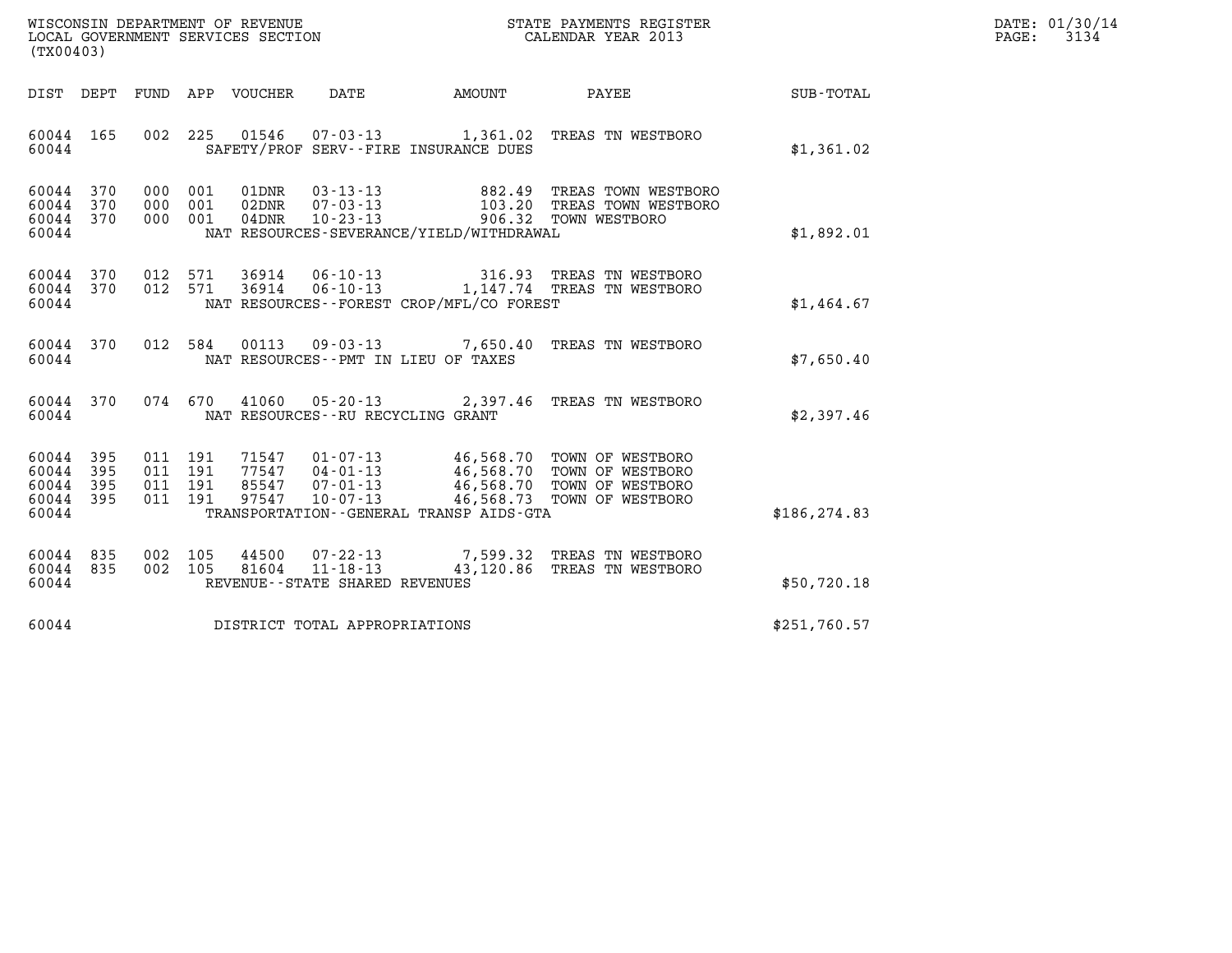| WISCONSIN DEPARTMENT OF REVENUE<br>LOCAL GOVERNMENT SERVICES SECTION | STATE PAYMENTS REGISTER<br>CALENDAR YEAR 2013 | DATE: 01/30/14<br>3134<br>PAGE: |
|----------------------------------------------------------------------|-----------------------------------------------|---------------------------------|

| (TX00403)                                 |                          |                          |                          |                                  |                                                                       |                                                                                             |                                                                              |                  |
|-------------------------------------------|--------------------------|--------------------------|--------------------------|----------------------------------|-----------------------------------------------------------------------|---------------------------------------------------------------------------------------------|------------------------------------------------------------------------------|------------------|
| DIST                                      | DEPT                     | FUND                     |                          | APP VOUCHER                      | <b>DATE</b>                                                           | AMOUNT                                                                                      | PAYEE                                                                        | <b>SUB-TOTAL</b> |
| 60044<br>60044                            | 165                      | 002                      | 225                      | 01546                            | $07 - 03 - 13$                                                        | 1,361.02<br>SAFETY/PROF SERV--FIRE INSURANCE DUES                                           | TREAS TN WESTBORO                                                            | \$1,361.02       |
| 60044<br>60044<br>60044<br>60044          | 370<br>370<br>370        | 000<br>000<br>000        | 001<br>001<br>001        | 01DNR<br>02DNR<br>$04$ DNR       | $03 - 13 - 13$<br>$07 - 03 - 13$<br>$10 - 23 - 13$                    | 882.49<br>906.32<br>NAT RESOURCES-SEVERANCE/YIELD/WITHDRAWAL                                | TREAS TOWN WESTBORO<br>103.20 TREAS TOWN WESTBORO<br>TOWN WESTBORO           | \$1,892.01       |
| 60044<br>60044<br>60044                   | 370<br>370               | 012<br>012               | 571<br>571               | 36914<br>36914                   | 06-10-13                                                              | 316.93<br>NAT RESOURCES--FOREST CROP/MFL/CO FOREST                                          | TREAS TN WESTBORO<br>06-10-13 1,147.74 TREAS TN WESTBORO                     | \$1,464.67       |
| 60044<br>60044                            | 370                      | 012                      | 584                      | 00113                            | $09 - 03 - 13$                                                        | 7,650.40<br>NAT RESOURCES -- PMT IN LIEU OF TAXES                                           | TREAS TN WESTBORO                                                            | \$7,650.40       |
| 60044<br>60044                            | 370                      | 074                      | 670                      | 41060                            | NAT RESOURCES - - RU RECYCLING GRANT                                  | $05 - 20 - 13$ 2,397.46                                                                     | TREAS TN WESTBORO                                                            | \$2,397.46       |
| 60044<br>60044<br>60044<br>60044<br>60044 | 395<br>395<br>395<br>395 | 011<br>011<br>011<br>011 | 191<br>191<br>191<br>191 | 71547<br>77547<br>85547<br>97547 | $01 - 07 - 13$<br>$04 - 01 - 13$<br>$07 - 01 - 13$<br>$10 - 07 - 13$  | 46,568.70<br>46,568.70<br>46,568.70<br>46,568.73<br>TRANSPORTATION--GENERAL TRANSP AIDS-GTA | TOWN OF WESTBORO<br>TOWN OF WESTBORO<br>TOWN OF WESTBORO<br>TOWN OF WESTBORO | \$186, 274.83    |
| 60044<br>60044<br>60044                   | 835<br>835               | 002<br>002               | 105<br>105               | 44500<br>81604                   | $07 - 22 - 13$<br>$11 - 18 - 13$<br>REVENUE - - STATE SHARED REVENUES | 7,599.32<br>43,120.86                                                                       | TREAS TN WESTBORO<br>TREAS TN WESTBORO                                       | \$50,720.18      |
| 60044                                     |                          |                          |                          |                                  | DISTRICT TOTAL APPROPRIATIONS                                         |                                                                                             |                                                                              | \$251,760.57     |
|                                           |                          |                          |                          |                                  |                                                                       |                                                                                             |                                                                              |                  |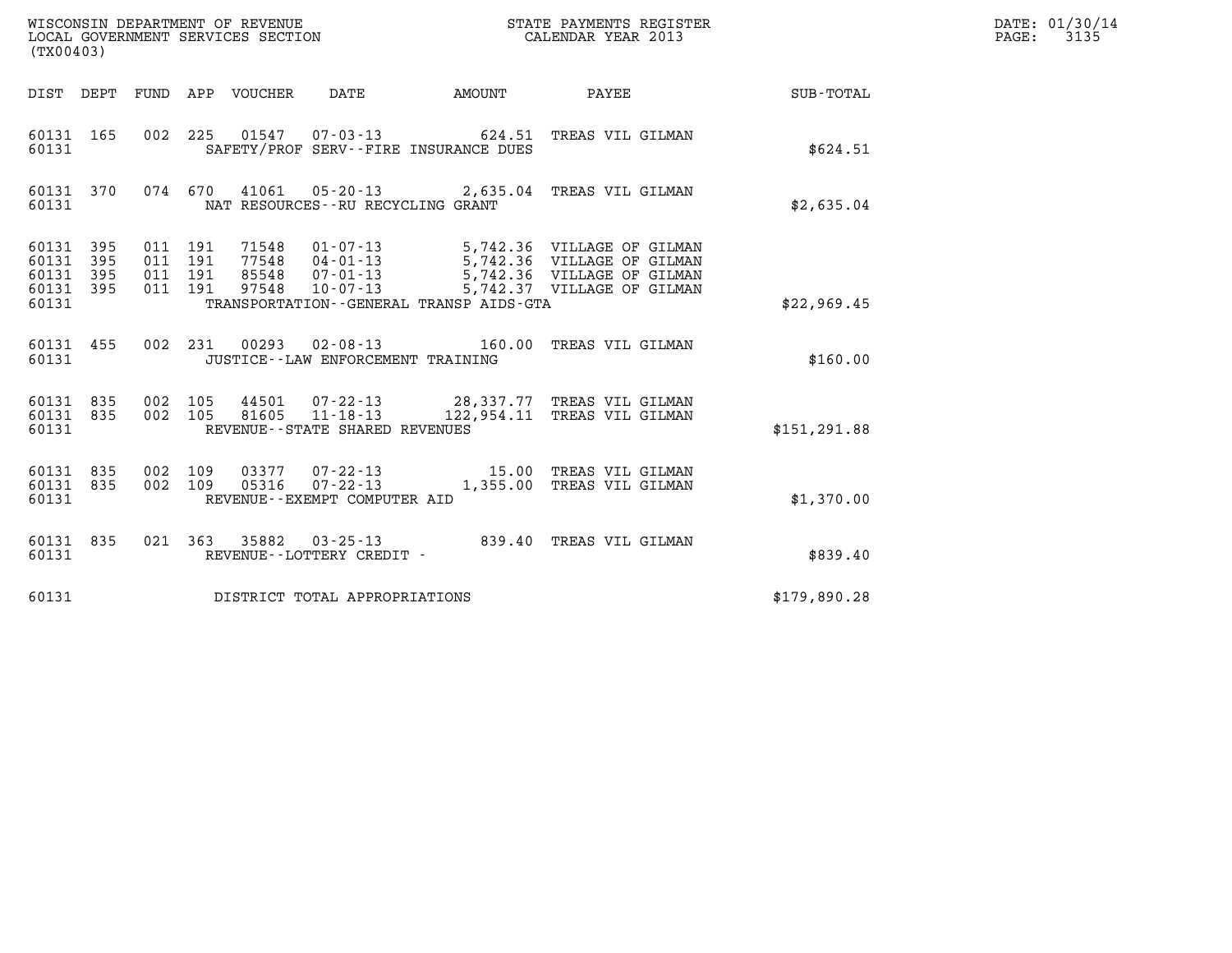| WISCONSIN DEPARTMENT OF REVENUE<br>LOCAL GOVERNMENT SERVICES SECTION<br>CALENDAR YEAR 2013<br>(TX00403) |           |                                          |  |                                  |                                                     |  |                                                                                                                                                                      |               | DATE: 01/30/14<br>$\mathtt{PAGE:}$<br>3135 |
|---------------------------------------------------------------------------------------------------------|-----------|------------------------------------------|--|----------------------------------|-----------------------------------------------------|--|----------------------------------------------------------------------------------------------------------------------------------------------------------------------|---------------|--------------------------------------------|
|                                                                                                         |           |                                          |  |                                  |                                                     |  | DIST DEPT FUND APP VOUCHER DATE AMOUNT PAYEE TOTAL                                                                                                                   |               |                                            |
| 60131 165<br>60131                                                                                      |           |                                          |  |                                  | SAFETY/PROF SERV--FIRE INSURANCE DUES               |  | 002 225 01547 07-03-13 624.51 TREAS VIL GILMAN                                                                                                                       | \$624.51      |                                            |
| 60131                                                                                                   | 60131 370 |                                          |  |                                  | NAT RESOURCES - - RU RECYCLING GRANT                |  | 074 670 41061 05-20-13 2,635.04 TREAS VIL GILMAN                                                                                                                     | \$2,635.04    |                                            |
| 60131 395<br>60131<br>60131 395<br>60131 395<br>60131                                                   | 395       | 011 191<br>011 191<br>011 191<br>011 191 |  | 71548<br>77548<br>85548<br>97548 | TRANSPORTATION--GENERAL TRANSP AIDS-GTA             |  | 01-07-13 5,742.36 VILLAGE OF GILMAN<br>04-01-13<br>04-01-13 5,742.36 VILLAGE OF GILMAN<br>07-01-13 5,742.36 VILLAGE OF GILMAN<br>10-07-13 5,742.37 VILLAGE OF GILMAN | \$22,969.45   |                                            |
| 60131 455<br>60131                                                                                      |           |                                          |  |                                  | JUSTICE - - LAW ENFORCEMENT TRAINING                |  | 002 231 00293 02-08-13 160.00 TREAS VIL GILMAN                                                                                                                       | \$160.00      |                                            |
| 60131 835<br>60131 835<br>60131                                                                         |           | 002 105<br>002 105                       |  | 81605                            | $11 - 18 - 13$<br>REVENUE - - STATE SHARED REVENUES |  | 44501 07-22-13 28,337.77 TREAS VIL GILMAN<br>122,954.11 TREAS VIL GILMAN                                                                                             | \$151, 291.88 |                                            |
| 60131 835<br>60131 835<br>60131                                                                         |           | 002 109<br>002 109                       |  |                                  | REVENUE--EXEMPT COMPUTER AID                        |  |                                                                                                                                                                      | \$1,370.00    |                                            |
| 60131 835<br>60131                                                                                      |           |                                          |  |                                  | REVENUE--LOTTERY CREDIT -                           |  | 021 363 35882 03-25-13 839.40 TREAS VIL GILMAN                                                                                                                       | \$839.40      |                                            |
| 60131                                                                                                   |           |                                          |  |                                  | DISTRICT TOTAL APPROPRIATIONS                       |  |                                                                                                                                                                      | \$179,890.28  |                                            |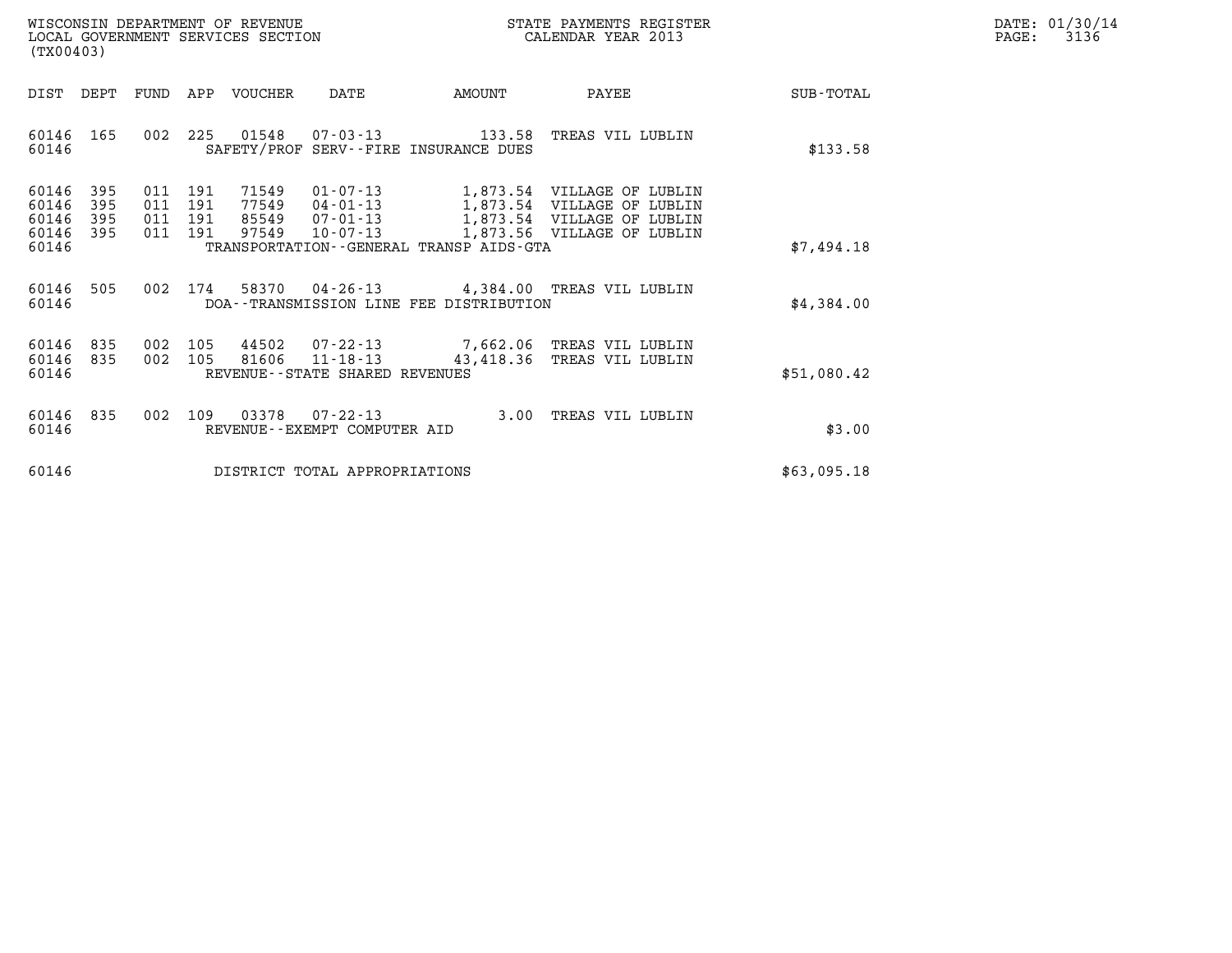| WISCONSIN DEPARTMENT OF REVENUE   | STATE PAYMENTS REGISTER | DATE: 01/30/14 |
|-----------------------------------|-------------------------|----------------|
| LOCAL GOVERNMENT SERVICES SECTION | CALENDAR YEAR 2013      | 3136<br>PAGE:  |

| WISCONSIN DEPARTMENT OF REVENUE<br>STATE PAYMENTS REGISTER<br>CALENDAR YEAR 2013<br>LOCAL GOVERNMENT SERVICES SECTION<br>(TX00403) |                          |                          |                                                              |                                                     |                                         |                                                                                                                      |                  |
|------------------------------------------------------------------------------------------------------------------------------------|--------------------------|--------------------------|--------------------------------------------------------------|-----------------------------------------------------|-----------------------------------------|----------------------------------------------------------------------------------------------------------------------|------------------|
| DIST                                                                                                                               | DEPT                     | FUND                     | APP<br><b>VOUCHER</b>                                        | DATE                                                | AMOUNT                                  | PAYEE                                                                                                                | <b>SUB-TOTAL</b> |
| 60146<br>60146                                                                                                                     | 165                      | 002                      | 225<br>01548                                                 |                                                     | SAFETY/PROF SERV--FIRE INSURANCE DUES   |                                                                                                                      | \$133.58         |
| 60146<br>60146<br>60146<br>60146<br>60146                                                                                          | 395<br>395<br>395<br>395 | 011<br>011<br>011<br>011 | 71549<br>191<br>191<br>77549<br>85549<br>191<br>97549<br>191 | 01-07-13<br>$04 - 01 - 13$<br>07-01-13<br>10-07-13  | TRANSPORTATION--GENERAL TRANSP AIDS-GTA | 1,873.54 VILLAGE OF LUBLIN<br>1,873.54 VILLAGE OF LUBLIN<br>1,873.54 VILLAGE OF LUBLIN<br>1,873.56 VILLAGE OF LUBLIN | \$7,494.18       |
|                                                                                                                                    |                          |                          |                                                              |                                                     |                                         |                                                                                                                      |                  |
| 60146<br>60146                                                                                                                     | 505                      | 002                      | 174<br>58370                                                 |                                                     | DOA--TRANSMISSION LINE FEE DISTRIBUTION | 04-26-13 4,384.00 TREAS VIL LUBLIN                                                                                   | \$4,384.00       |
| 60146<br>60146<br>60146                                                                                                            | 835<br>835               | 002<br>002               | 105<br>105<br>81606                                          | $11 - 18 - 13$<br>REVENUE - - STATE SHARED REVENUES |                                         | 44502 07-22-13 7,662.06 TREAS VIL LUBLIN<br>43,418.36 TREAS VIL LUBLIN                                               | \$51,080.42      |
| 60146<br>60146                                                                                                                     | 835                      | 002                      | 109<br>03378                                                 | $07 - 22 - 13$<br>REVENUE - - EXEMPT COMPUTER AID   | 3.00                                    | TREAS VIL LUBLIN                                                                                                     | \$3.00           |
| 60146                                                                                                                              |                          |                          |                                                              | DISTRICT TOTAL APPROPRIATIONS                       |                                         |                                                                                                                      | \$63,095.18      |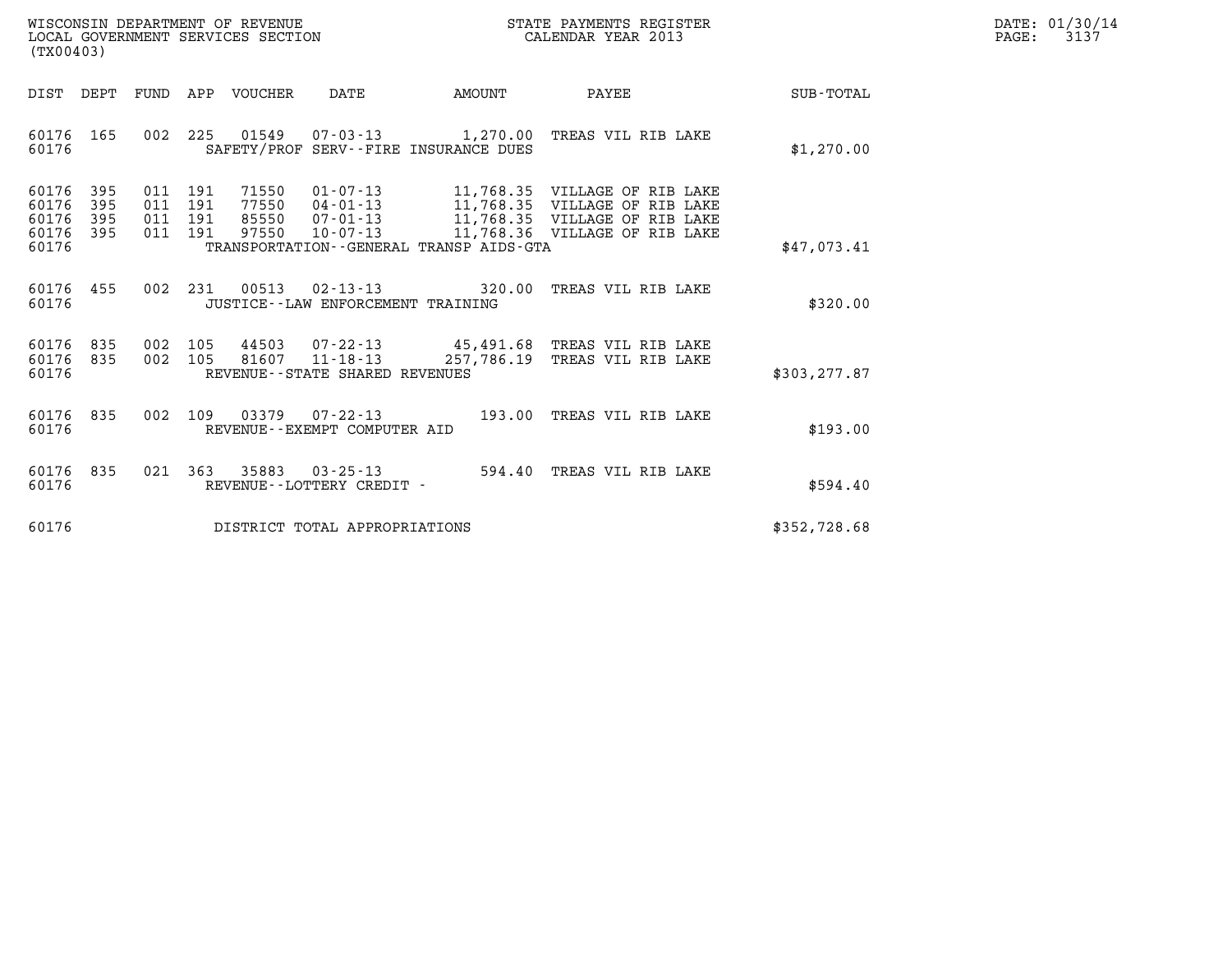| WISCONSIN DEPARTMENT OF REVENUE<br>LOCAL GOVERNMENT SERVICES SECTION | STATE PAYMENTS REGISTER<br>CALENDAR YEAR 2013 | DATE: 01/30/14<br>3137<br>PAGE: |
|----------------------------------------------------------------------|-----------------------------------------------|---------------------------------|

| DIST<br>DEPT<br><b>FUND</b><br>APP<br><b>VOUCHER</b><br>DATE<br>AMOUNT<br>PAYEE                                                                                                                                                                                                                                                                                                                                    | SUB-TOTAL     |
|--------------------------------------------------------------------------------------------------------------------------------------------------------------------------------------------------------------------------------------------------------------------------------------------------------------------------------------------------------------------------------------------------------------------|---------------|
| 002<br>225<br>60176<br>165<br>01549<br>$07 - 03 - 13$<br>1,270.00<br>TREAS VIL RIB LAKE<br>SAFETY/PROF SERV--FIRE INSURANCE DUES<br>60176                                                                                                                                                                                                                                                                          | \$1,270.00    |
| 60176<br>395<br>71550<br>$01 - 07 - 13$<br>011<br>191<br>11,768.35 VILLAGE OF RIB LAKE<br>60176<br>395<br>011<br>191<br>77550<br>04-01-13<br>11,768.35 VILLAGE OF RIB LAKE<br>11,768.35 VILLAGE OF RIB LAKE<br>60176<br>395<br>191<br>85550<br>$07 - 01 - 13$<br>011<br>60176<br>395<br>011<br>191<br>97550<br>$10 - 07 - 13$<br>11,768.36 VILLAGE OF RIB LAKE<br>60176<br>TRANSPORTATION--GENERAL TRANSP AIDS-GTA | \$47,073.41   |
| 002<br>231<br>00513<br>60176<br>455<br>$02 - 13 - 13$<br>320.00<br>TREAS VIL RIB LAKE<br>60176<br>JUSTICE -- LAW ENFORCEMENT TRAINING                                                                                                                                                                                                                                                                              | \$320.00      |
| 60176<br>835<br>002<br>105<br>44503<br>$07 - 22 - 13$<br>45,491.68 TREAS VIL RIB LAKE<br>002<br>$11 - 18 - 13$<br>257,786.19<br>60176<br>835<br>105<br>81607<br>TREAS VIL RIB LAKE<br>60176<br>REVENUE--STATE SHARED REVENUES                                                                                                                                                                                      | \$303, 277.87 |
| 002<br>109<br>60176<br>835<br>03379<br>$07 - 22 - 13$<br>193.00<br>TREAS VIL RIB LAKE<br>60176<br>REVENUE--EXEMPT COMPUTER AID                                                                                                                                                                                                                                                                                     | \$193.00      |
| 60176<br>021<br>363<br>35883<br>835<br>$03 - 25 - 13$<br>594.40<br>TREAS VIL RIB LAKE<br>60176<br>REVENUE - - LOTTERY CREDIT -                                                                                                                                                                                                                                                                                     | \$594.40      |
| 60176<br>DISTRICT TOTAL APPROPRIATIONS                                                                                                                                                                                                                                                                                                                                                                             | \$352,728.68  |

(TX00403)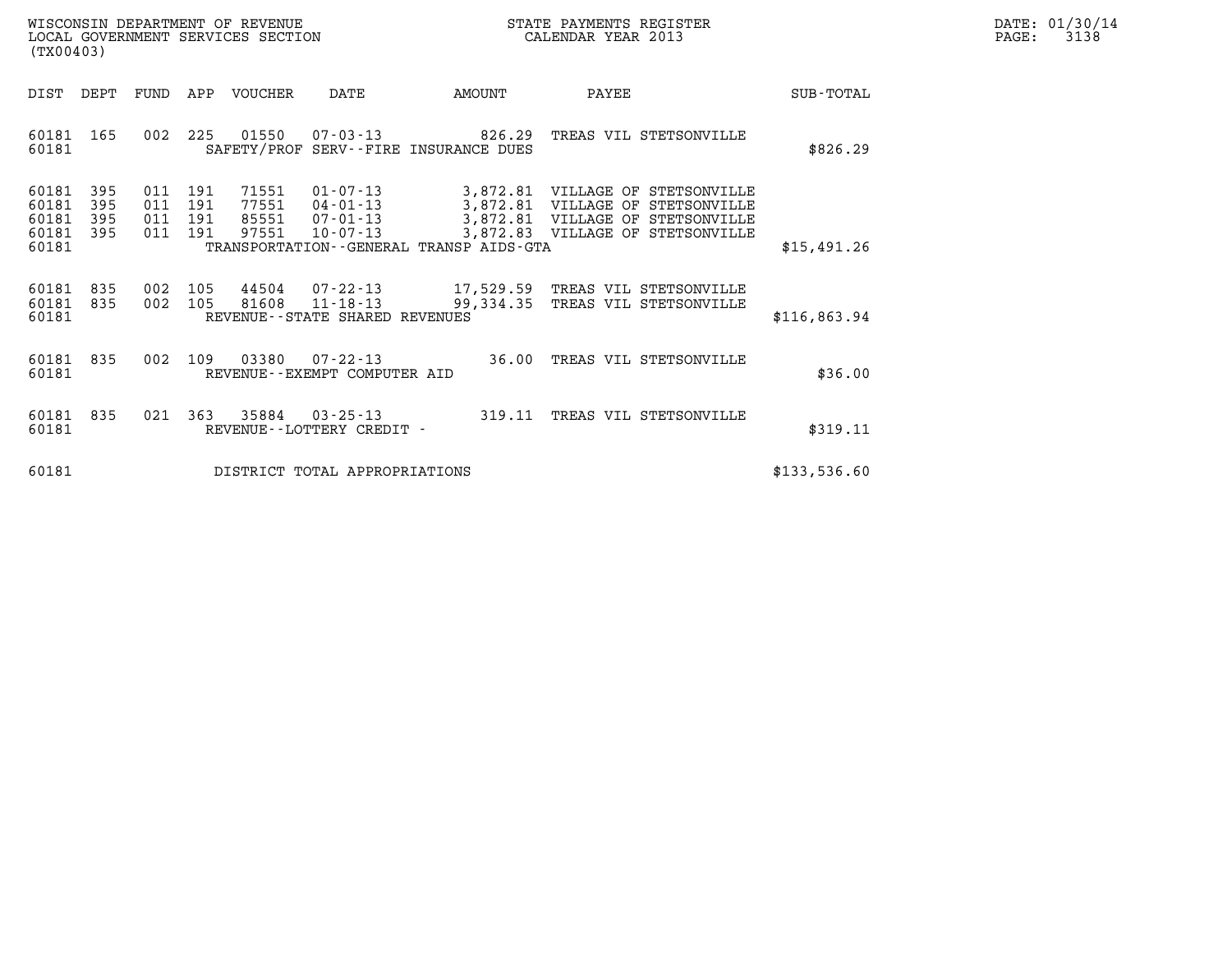| WISCONSIN DEPARTMENT OF REVENUE   | STATE PAYMENTS REGISTER | DATE: 01/30/14 |
|-----------------------------------|-------------------------|----------------|
| LOCAL GOVERNMENT SERVICES SECTION | CALENDAR YEAR 2013      | 3138<br>PAGE:  |

| (TX00403)                                 | LOCAL GOVERNMENT SERVICES SECTION<br>CALENDAR YEAR 2013 |                                              |                               |                                         |                                                                                                                                                                                                 |                  |
|-------------------------------------------|---------------------------------------------------------|----------------------------------------------|-------------------------------|-----------------------------------------|-------------------------------------------------------------------------------------------------------------------------------------------------------------------------------------------------|------------------|
| DIST<br>DEPT                              | FUND                                                    | VOUCHER<br>APP                               | DATE                          | AMOUNT                                  | PAYEE                                                                                                                                                                                           | <b>SUB-TOTAL</b> |
| 60181<br>60181                            | 002<br>165                                              | 225<br>01550                                 |                               | SAFETY/PROF SERV--FIRE INSURANCE DUES   | $07 - 03 - 13$ $826.29$ TREAS VIL STETSONVILLE                                                                                                                                                  | \$826.29         |
| 60181<br>60181<br>60181<br>60181<br>60181 | 395<br>011<br>395<br>011<br>395<br>011<br>395<br>011    | 191<br>71551<br>191<br>191<br>97551<br>191   | 10-07-13                      | TRANSPORTATION--GENERAL TRANSP AIDS-GTA | $01 - 07 - 13$ 3,872.81 VILLAGE OF STETSONVILLE<br>77551  04-01-13  3,872.81  VILLAGE OF STETSONVILLE<br>85551  07-01-13  3,872.81  VILLAGE OF STETSONVILLE<br>3,872.83 VILLAGE OF STETSONVILLE | \$15,491.26      |
| 60181<br>60181<br>60181                   | 835<br>002<br>835<br>002                                | 105<br>105<br>REVENUE--STATE SHARED REVENUES |                               |                                         | 81608  11-18-13  99,334.35  TREAS VIL STETSONVILLE                                                                                                                                              | \$116,863.94     |
| 60181<br>60181                            | 002<br>835                                              | 109<br>REVENUE--EXEMPT COMPUTER AID          | 03380 07-22-13                |                                         | 36.00 TREAS VIL STETSONVILLE                                                                                                                                                                    | \$36.00          |
| 60181<br>60181                            | 835<br>021                                              | 363 35884<br>REVENUE - - LOTTERY CREDIT -    | $03 - 25 - 13$                |                                         | 319.11 TREAS VIL STETSONVILLE                                                                                                                                                                   | \$319.11         |
| 60181                                     |                                                         |                                              | DISTRICT TOTAL APPROPRIATIONS |                                         |                                                                                                                                                                                                 | \$133,536.60     |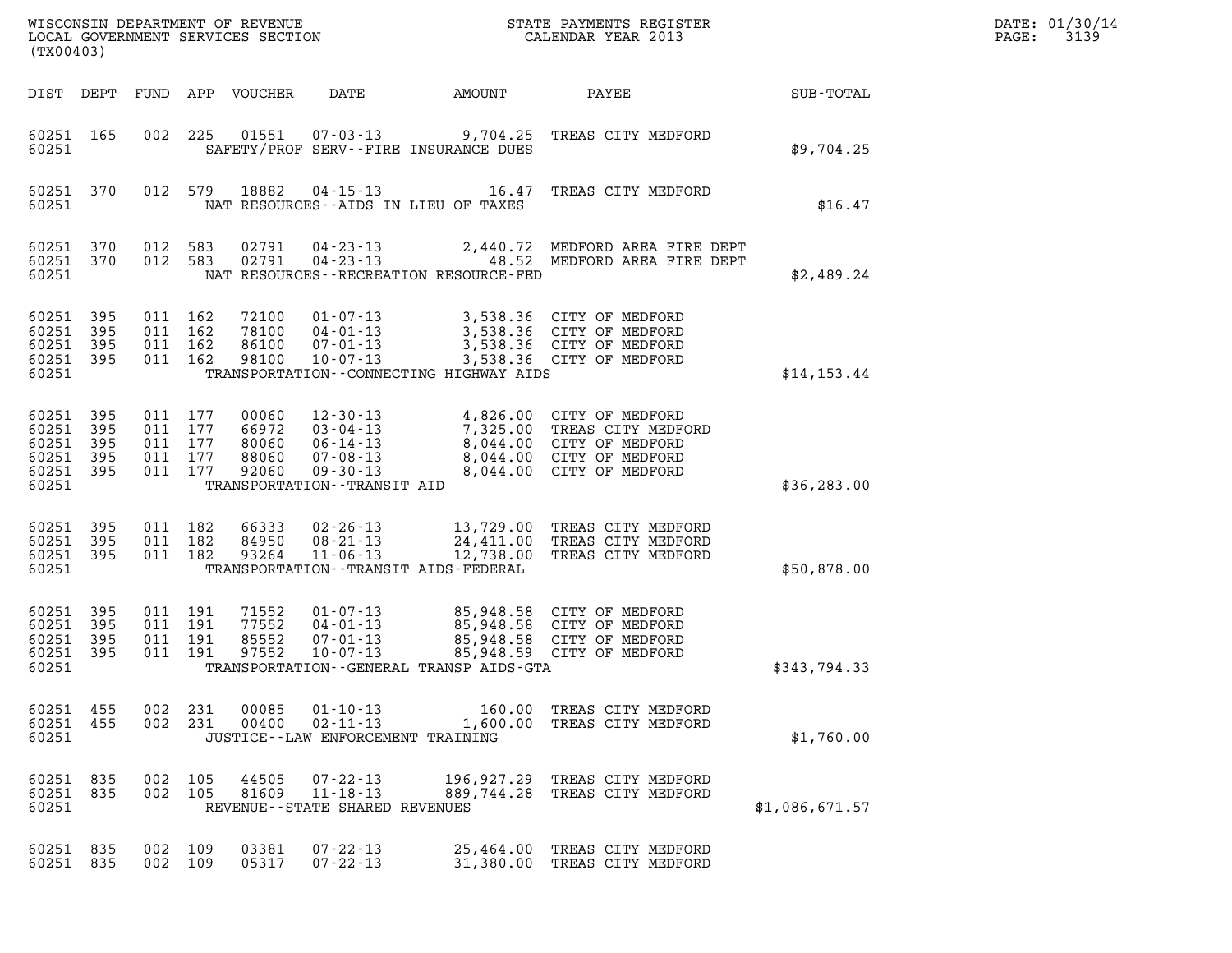| DATE: | 01/30/14 |
|-------|----------|
| PAGE: | 3139     |

| (TX00403)                                                  |                     |                                                 |         |                                           |                                                                                                              |                                                                        |                                                                                                                           |                | DATE: 01/30/14<br>PAGE:<br>3139 |
|------------------------------------------------------------|---------------------|-------------------------------------------------|---------|-------------------------------------------|--------------------------------------------------------------------------------------------------------------|------------------------------------------------------------------------|---------------------------------------------------------------------------------------------------------------------------|----------------|---------------------------------|
| DIST DEPT                                                  |                     |                                                 |         | FUND APP VOUCHER                          | DATE                                                                                                         | AMOUNT                                                                 | PAYEE                                                                                                                     | SUB-TOTAL      |                                 |
| 60251 165<br>60251                                         |                     | 002                                             | 225     | 01551                                     |                                                                                                              | $07 - 03 - 13$ 9,704.25<br>SAFETY/PROF SERV--FIRE INSURANCE DUES       | TREAS CITY MEDFORD                                                                                                        | \$9,704.25     |                                 |
| 60251 370<br>60251                                         |                     |                                                 | 012 579 | 18882                                     | $04 - 15 - 13$                                                                                               | 16.47<br>NAT RESOURCES--AIDS IN LIEU OF TAXES                          | TREAS CITY MEDFORD                                                                                                        | \$16.47        |                                 |
| 60251 370<br>60251 370<br>60251                            |                     | 012 583<br>012 583                              |         | 02791<br>02791                            | 04-23-13<br>$04 - 23 - 13$                                                                                   | NAT RESOURCES - - RECREATION RESOURCE - FED                            | 2,440.72 MEDFORD AREA FIRE DEPT<br>48.52 MEDFORD AREA FIRE DEPT                                                           | \$2,489.24     |                                 |
| 60251<br>60251 395<br>60251<br>60251 395<br>60251          | 395<br>395          | 011 162<br>011 162<br>011 162<br>011 162        |         | 72100<br>78100<br>86100<br>98100          | $01 - 07 - 13$<br>04-01-13<br>07-01-13<br>$10 - 07 - 13$                                                     | 3,538.36<br>TRANSPORTATION--CONNECTING HIGHWAY AIDS                    | 3,538.36 CITY OF MEDFORD<br>3,538.36 CITY OF MEDFORD<br>CITY OF MEDFORD<br>3,538.36 CITY OF MEDFORD                       | \$14, 153.44   |                                 |
| 60251 395<br>60251<br>60251<br>60251<br>60251 395<br>60251 | 395<br>395<br>395   | 011 177<br>011<br>011 177<br>011 177<br>011 177 | 177     | 00060<br>66972<br>80060<br>88060<br>92060 | $12 - 30 - 13$<br>03-04-13<br>06-14-13<br>$07 - 08 - 13$<br>$09 - 30 - 13$<br>TRANSPORTATION - - TRANSIT AID | 8,044.00<br>8,044.00                                                   | 4,826.00 CITY OF MEDFORD<br>7,325.00 TREAS CITY MEDFORD<br>8,044.00 CITY OF MEDFORD<br>CITY OF MEDFORD<br>CITY OF MEDFORD | \$36, 283.00   |                                 |
| 60251 395<br>60251<br>60251 395<br>60251                   | 395                 | 011 182<br>011 182<br>011 182                   |         | 66333<br>84950<br>93264                   | $02 - 26 - 13$<br>$08 - 21 - 13$<br>$11 - 06 - 13$                                                           | TRANSPORTATION - - TRANSIT AIDS - FEDERAL                              | 13,729.00 TREAS CITY MEDFORD<br>24,411.00 TREAS CITY MEDFORD<br>12,738.00 TREAS CITY MEDFORD                              | \$50,878.00    |                                 |
| 60251 395<br>60251<br>60251<br>60251<br>60251              | 395<br>395<br>- 395 | 011 191<br>011<br>011 191<br>011 191            | 191     | 71552<br>77552<br>85552<br>97552          | $01 - 07 - 13$<br>$04 - 01 - 13$<br>$07 - 01 - 13$<br>$10 - 07 - 13$                                         | 85,948.58<br>85,948.58<br>TRANSPORTATION - - GENERAL TRANSP AIDS - GTA | 85,948.58 CITY OF MEDFORD<br>CITY OF MEDFORD<br>CITY OF MEDFORD<br>85,948.59 CITY OF MEDFORD                              | \$343,794.33   |                                 |
| 60251 455<br>60251 455<br>60251                            |                     | 002 231<br>002 231                              |         | 00085<br>00400                            | $01 - 10 - 13$<br>$02 - 11 - 13$<br>JUSTICE - - LAW ENFORCEMENT TRAINING                                     |                                                                        | 160.00 TREAS CITY MEDFORD<br>1,600.00 TREAS CITY MEDFORD                                                                  | \$1,760.00     |                                 |
| 60251 835<br>60251 835<br>60251                            |                     | 002 105<br>002 105                              |         | 44505<br>81609                            | $07 - 22 - 13$<br>$11 - 18 - 13$<br>REVENUE--STATE SHARED REVENUES                                           |                                                                        | 196,927.29 TREAS CITY MEDFORD<br>889,744.28 TREAS CITY MEDFORD                                                            | \$1,086,671.57 |                                 |
| 60251 835<br>60251 835                                     |                     | 002 109<br>002 109                              |         | 03381<br>05317                            | $07 - 22 - 13$<br>$07 - 22 - 13$                                                                             |                                                                        | 25,464.00 TREAS CITY MEDFORD<br>31,380.00 TREAS CITY MEDFORD                                                              |                |                                 |